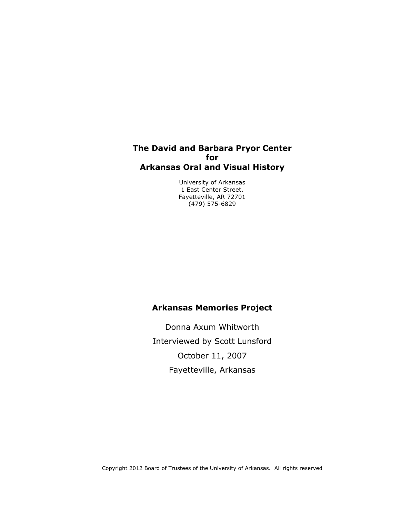#### **The David and Barbara Pryor Center for Arkansas Oral and Visual History**

University of Arkansas 1 East Center Street. Fayetteville, AR 72701 (479) 575-6829

#### **Arkansas Memories Project**

Donna Axum Whitworth Interviewed by Scott Lunsford October 11, 2007 Fayetteville, Arkansas

Copyright 2012 Board of Trustees of the University of Arkansas. All rights reserved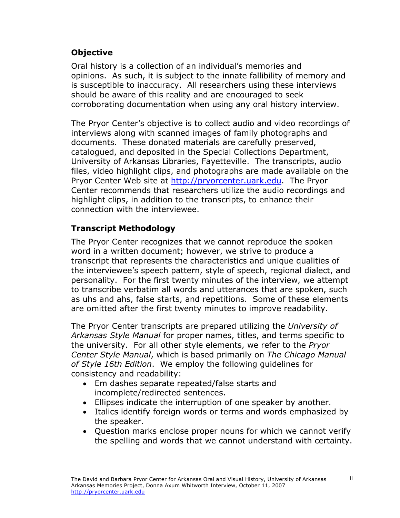## **Objective**

Oral history is a collection of an individual's memories and opinions. As such, it is subject to the innate fallibility of memory and is susceptible to inaccuracy. All researchers using these interviews should be aware of this reality and are encouraged to seek corroborating documentation when using any oral history interview.

The Pryor Center's objective is to collect audio and video recordings of interviews along with scanned images of family photographs and documents. These donated materials are carefully preserved, catalogued, and deposited in the Special Collections Department, University of Arkansas Libraries, Fayetteville. The transcripts, audio files, video highlight clips, and photographs are made available on the Pryor Center Web site at http://pryorcenter.uark.edu. The Pryor Center recommends that researchers utilize the audio recordings and highlight clips, in addition to the transcripts, to enhance their connection with the interviewee.

## **Transcript Methodology**

The Pryor Center recognizes that we cannot reproduce the spoken word in a written document; however, we strive to produce a transcript that represents the characteristics and unique qualities of the interviewee's speech pattern, style of speech, regional dialect, and personality. For the first twenty minutes of the interview, we attempt to transcribe verbatim all words and utterances that are spoken, such as uhs and ahs, false starts, and repetitions. Some of these elements are omitted after the first twenty minutes to improve readability.

The Pryor Center transcripts are prepared utilizing the *University of Arkansas Style Manual* for proper names, titles, and terms specific to the university. For all other style elements, we refer to the *Pryor Center Style Manual*, which is based primarily on *The Chicago Manual of Style 16th Edition*. We employ the following guidelines for consistency and readability:

- Em dashes separate repeated/false starts and incomplete/redirected sentences.
- Ellipses indicate the interruption of one speaker by another.
- Italics identify foreign words or terms and words emphasized by the speaker.
- Question marks enclose proper nouns for which we cannot verify the spelling and words that we cannot understand with certainty.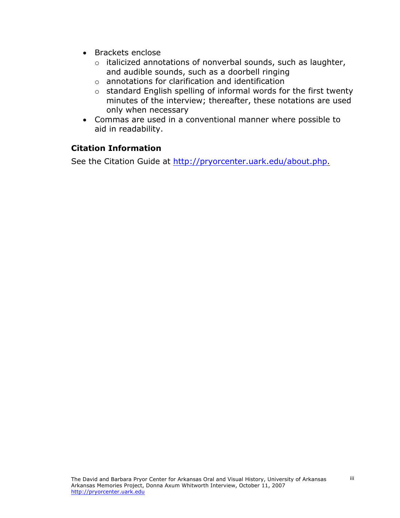- Brackets enclose
	- o italicized annotations of nonverbal sounds, such as laughter, and audible sounds, such as a doorbell ringing
	- o annotations for clarification and identification
	- o standard English spelling of informal words for the first twenty minutes of the interview; thereafter, these notations are used only when necessary
- Commas are used in a conventional manner where possible to aid in readability.

## **Citation Information**

See the Citation Guide at http://pryorcenter.uark.edu/about.php.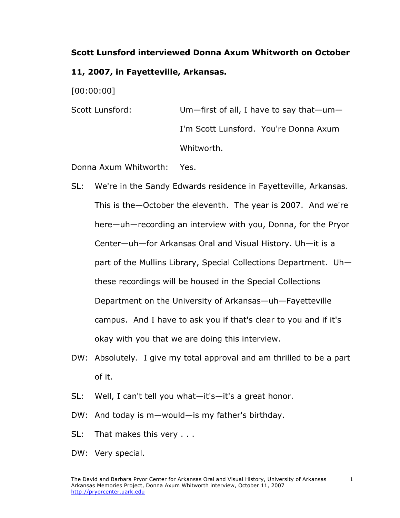# **Scott Lunsford interviewed Donna Axum Whitworth on October 11, 2007, in Fayetteville, Arkansas.**

[00:00:00]

Scott Lunsford: Um—first of all, I have to say that—um— I'm Scott Lunsford. You're Donna Axum Whitworth.

Donna Axum Whitworth: Yes.

- SL: We're in the Sandy Edwards residence in Fayetteville, Arkansas. This is the—October the eleventh. The year is 2007. And we're here—uh—recording an interview with you, Donna, for the Pryor Center—uh—for Arkansas Oral and Visual History. Uh—it is a part of the Mullins Library, Special Collections Department. Uh these recordings will be housed in the Special Collections Department on the University of Arkansas—uh—Fayetteville campus. And I have to ask you if that's clear to you and if it's okay with you that we are doing this interview.
- DW: Absolutely. I give my total approval and am thrilled to be a part of it.
- SL: Well, I can't tell you what—it's—it's a great honor.
- DW: And today is m—would—is my father's birthday.
- SL: That makes this very . . .
- DW: Very special.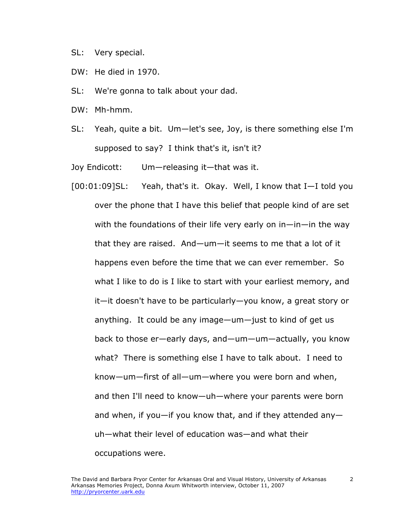- SL: Very special.
- DW: He died in 1970.
- SL: We're gonna to talk about your dad.
- DW: Mh-hmm.
- SL: Yeah, quite a bit. Um—let's see, Joy, is there something else I'm supposed to say? I think that's it, isn't it?

Joy Endicott: Um—releasing it—that was it.

[00:01:09]SL: Yeah, that's it. Okay. Well, I know that I—I told you over the phone that I have this belief that people kind of are set with the foundations of their life very early on in—in—in the way that they are raised. And—um—it seems to me that a lot of it happens even before the time that we can ever remember. So what I like to do is I like to start with your earliest memory, and it—it doesn't have to be particularly—you know, a great story or anything. It could be any image—um—just to kind of get us back to those er—early days, and—um—um—actually, you know what? There is something else I have to talk about. I need to know—um—first of all—um—where you were born and when, and then I'll need to know—uh—where your parents were born and when, if you—if you know that, and if they attended any uh—what their level of education was—and what their occupations were.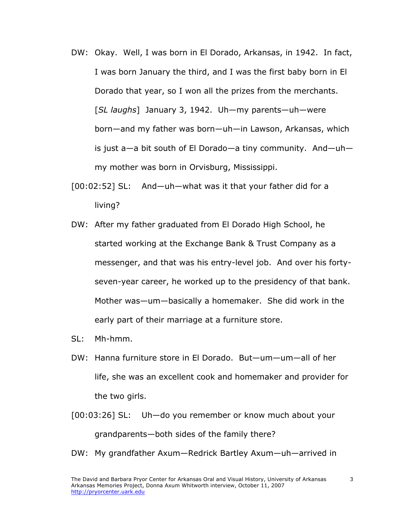- DW: Okay. Well, I was born in El Dorado, Arkansas, in 1942. In fact, I was born January the third, and I was the first baby born in El Dorado that year, so I won all the prizes from the merchants. [*SL laughs*] January 3, 1942. Uh—my parents—uh—were born—and my father was born—uh—in Lawson, Arkansas, which is just a—a bit south of El Dorado—a tiny community. And—uh my mother was born in Orvisburg, Mississippi.
- [00:02:52] SL: And—uh—what was it that your father did for a living?
- DW: After my father graduated from El Dorado High School, he started working at the Exchange Bank & Trust Company as a messenger, and that was his entry-level job. And over his fortyseven-year career, he worked up to the presidency of that bank. Mother was—um—basically a homemaker. She did work in the early part of their marriage at a furniture store.
- SL: Mh-hmm.
- DW: Hanna furniture store in El Dorado. But—um—um—all of her life, she was an excellent cook and homemaker and provider for the two girls.
- [00:03:26] SL: Uh—do you remember or know much about your grandparents—both sides of the family there?
- DW: My grandfather Axum—Redrick Bartley Axum—uh—arrived in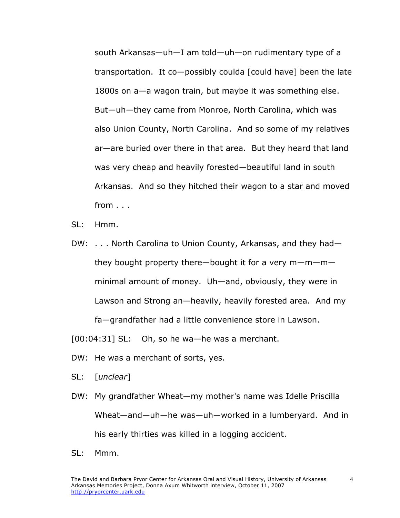south Arkansas—uh—I am told—uh—on rudimentary type of a transportation. It co—possibly coulda [could have] been the late 1800s on a—a wagon train, but maybe it was something else. But—uh—they came from Monroe, North Carolina, which was also Union County, North Carolina. And so some of my relatives ar—are buried over there in that area. But they heard that land was very cheap and heavily forested—beautiful land in south Arkansas. And so they hitched their wagon to a star and moved from . . .

- SL: Hmm.
- DW: . . . North Carolina to Union County, Arkansas, and they had they bought property there—bought it for a very m—m—m minimal amount of money. Uh—and, obviously, they were in Lawson and Strong an—heavily, heavily forested area. And my

fa—grandfather had a little convenience store in Lawson.

[00:04:31] SL: Oh, so he wa—he was a merchant.

- DW: He was a merchant of sorts, yes.
- SL: [*unclear*]
- DW: My grandfather Wheat—my mother's name was Idelle Priscilla Wheat—and—uh—he was—uh—worked in a lumberyard. And in his early thirties was killed in a logging accident.
- SL: Mmm.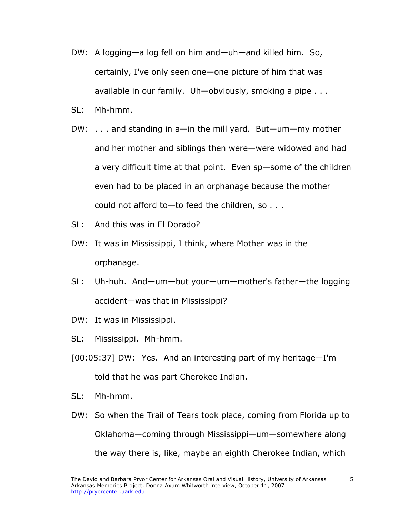- DW: A logging—a log fell on him and—uh—and killed him. So, certainly, I've only seen one—one picture of him that was available in our family. Uh—obviously, smoking a pipe . . .
- SL: Mh-hmm.
- DW: . . . and standing in a—in the mill yard. But—um—my mother and her mother and siblings then were—were widowed and had a very difficult time at that point. Even sp—some of the children even had to be placed in an orphanage because the mother could not afford to—to feed the children, so . . .
- SL: And this was in El Dorado?
- DW: It was in Mississippi, I think, where Mother was in the orphanage.
- SL: Uh-huh. And—um—but your—um—mother's father—the logging accident—was that in Mississippi?
- DW: It was in Mississippi.
- SL: Mississippi. Mh-hmm.
- [00:05:37] DW: Yes. And an interesting part of my heritage—I'm told that he was part Cherokee Indian.
- SL: Mh-hmm.
- DW: So when the Trail of Tears took place, coming from Florida up to Oklahoma—coming through Mississippi—um—somewhere along the way there is, like, maybe an eighth Cherokee Indian, which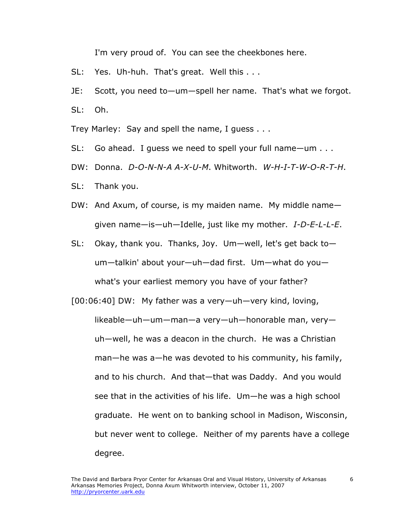I'm very proud of. You can see the cheekbones here.

- SL: Yes. Uh-huh. That's great. Well this . . .
- JE: Scott, you need to—um—spell her name. That's what we forgot. SL: Oh.

Trey Marley: Say and spell the name, I guess . . .

- SL: Go ahead. I guess we need to spell your full name—um . . .
- DW: Donna. *D-O-N-N-A A-X-U-M*. Whitworth. *W-H-I-T-W-O-R-T-H*.
- SL: Thank you.
- DW: And Axum, of course, is my maiden name. My middle name given name—is—uh—Idelle, just like my mother. *I-D-E-L-L-E*.
- SL: Okay, thank you. Thanks, Joy. Um—well, let's get back to um—talkin' about your—uh—dad first. Um—what do you what's your earliest memory you have of your father?

[00:06:40] DW: My father was a very—uh—very kind, loving, likeable—uh—um—man—a very—uh—honorable man, very uh—well, he was a deacon in the church. He was a Christian man—he was a—he was devoted to his community, his family, and to his church. And that—that was Daddy. And you would see that in the activities of his life. Um—he was a high school graduate. He went on to banking school in Madison, Wisconsin, but never went to college. Neither of my parents have a college degree.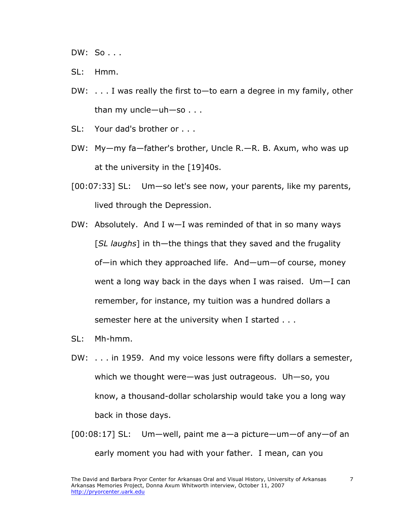DW: So . . .

SL: Hmm.

- DW: . . . I was really the first to—to earn a degree in my family, other than my uncle—uh—so . . .
- SL: Your dad's brother or . . .
- DW: My—my fa—father's brother, Uncle R.—R. B. Axum, who was up at the university in the [19]40s.
- [00:07:33] SL: Um—so let's see now, your parents, like my parents, lived through the Depression.
- DW: Absolutely. And I w—I was reminded of that in so many ways [*SL laughs*] in th—the things that they saved and the frugality of—in which they approached life. And—um—of course, money went a long way back in the days when I was raised. Um—I can remember, for instance, my tuition was a hundred dollars a semester here at the university when I started . . .
- SL: Mh-hmm.
- DW: . . . in 1959. And my voice lessons were fifty dollars a semester, which we thought were—was just outrageous. Uh—so, you know, a thousand-dollar scholarship would take you a long way back in those days.
- [00:08:17] SL: Um—well, paint me a—a picture—um—of any—of an early moment you had with your father. I mean, can you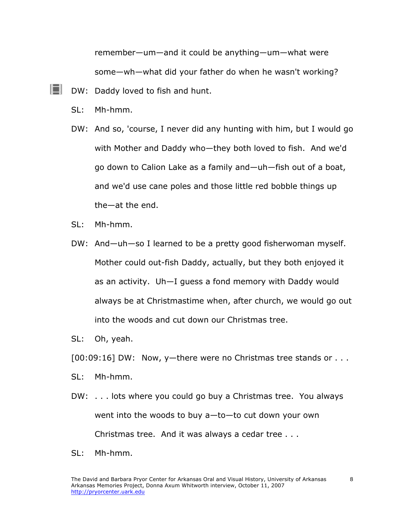remember—um—and it could be anything—um—what were some—wh—what did your father do when he wasn't working?

- DW: Daddy loved to fish and hunt.
	- SL: Mh-hmm.
	- DW: And so, 'course, I never did any hunting with him, but I would go with Mother and Daddy who—they both loved to fish. And we'd go down to Calion Lake as a family and—uh—fish out of a boat, and we'd use cane poles and those little red bobble things up the—at the end.
	- SL: Mh-hmm.
	- DW: And—uh—so I learned to be a pretty good fisherwoman myself. Mother could out-fish Daddy, actually, but they both enjoyed it as an activity. Uh—I guess a fond memory with Daddy would always be at Christmastime when, after church, we would go out into the woods and cut down our Christmas tree.
	- SL: Oh, yeah.

[00:09:16] DW: Now, y—there were no Christmas tree stands or . . .

- SL: Mh-hmm.
- DW: . . . lots where you could go buy a Christmas tree. You always went into the woods to buy a—to—to cut down your own Christmas tree. And it was always a cedar tree . . .
- SL: Mh-hmm.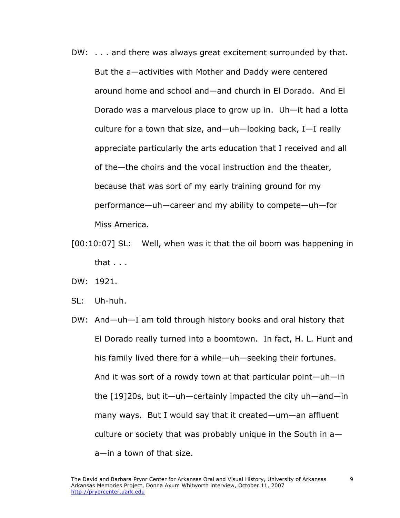- DW: . . . and there was always great excitement surrounded by that. But the a—activities with Mother and Daddy were centered around home and school and—and church in El Dorado. And El Dorado was a marvelous place to grow up in. Uh—it had a lotta culture for a town that size, and—uh—looking back, I—I really appreciate particularly the arts education that I received and all of the—the choirs and the vocal instruction and the theater, because that was sort of my early training ground for my performance—uh—career and my ability to compete—uh—for Miss America.
- [00:10:07] SL: Well, when was it that the oil boom was happening in that . . .
- DW: 1921.
- SL: Uh-huh.
- DW: And—uh—I am told through history books and oral history that El Dorado really turned into a boomtown. In fact, H. L. Hunt and his family lived there for a while—uh—seeking their fortunes. And it was sort of a rowdy town at that particular point—uh—in the [19]20s, but it—uh—certainly impacted the city uh—and—in many ways. But I would say that it created—um—an affluent culture or society that was probably unique in the South in  $a$ a—in a town of that size.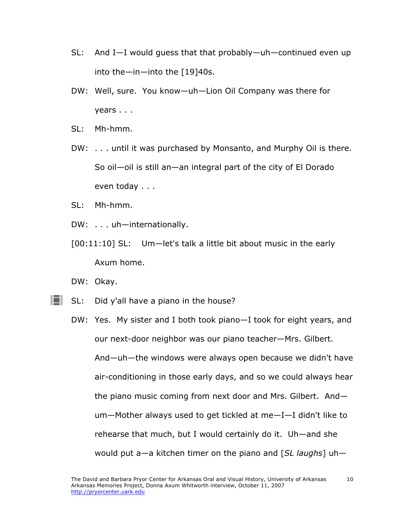- SL: And I—I would guess that that probably—uh—continued even up into the—in—into the [19]40s.
- DW: Well, sure. You know—uh—Lion Oil Company was there for years . . .
- SL: Mh-hmm.
- DW: . . . until it was purchased by Monsanto, and Murphy Oil is there. So oil—oil is still an—an integral part of the city of El Dorado even today . . .
- SL: Mh-hmm.
- DW: . . . uh—internationally.
- [00:11:10] SL: Um—let's talk a little bit about music in the early Axum home.
- DW: Okay.
- $\blacksquare$ SL: Did y'all have a piano in the house?

DW: Yes. My sister and I both took piano—I took for eight years, and our next-door neighbor was our piano teacher—Mrs. Gilbert. And—uh—the windows were always open because we didn't have air-conditioning in those early days, and so we could always hear the piano music coming from next door and Mrs. Gilbert. And um—Mother always used to get tickled at me—I—I didn't like to rehearse that much, but I would certainly do it. Uh—and she would put a—a kitchen timer on the piano and [*SL laughs*] uh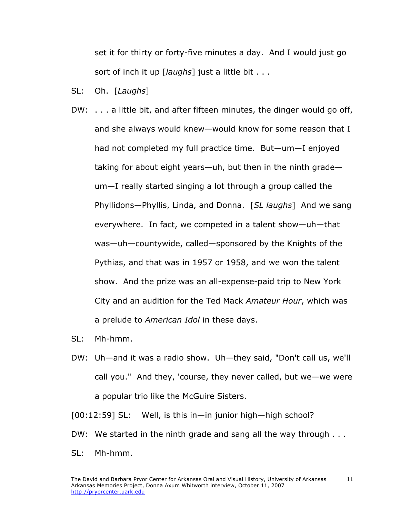set it for thirty or forty-five minutes a day. And I would just go sort of inch it up [*laughs*] just a little bit . . .

- SL: Oh. [*Laughs*]
- DW: . . . a little bit, and after fifteen minutes, the dinger would go off, and she always would knew—would know for some reason that I had not completed my full practice time. But—um—I enjoyed taking for about eight years—uh, but then in the ninth grade um—I really started singing a lot through a group called the Phyllidons—Phyllis, Linda, and Donna. [*SL laughs*] And we sang everywhere. In fact, we competed in a talent show—uh—that was—uh—countywide, called—sponsored by the Knights of the Pythias, and that was in 1957 or 1958, and we won the talent show. And the prize was an all-expense-paid trip to New York City and an audition for the Ted Mack *Amateur Hour*, which was a prelude to *American Idol* in these days.
- SL: Mh-hmm.
- DW: Uh—and it was a radio show. Uh—they said, "Don't call us, we'll call you." And they, 'course, they never called, but we—we were a popular trio like the McGuire Sisters.

[00:12:59] SL: Well, is this in—in junior high—high school?

- DW: We started in the ninth grade and sang all the way through . . .
- SL: Mh-hmm.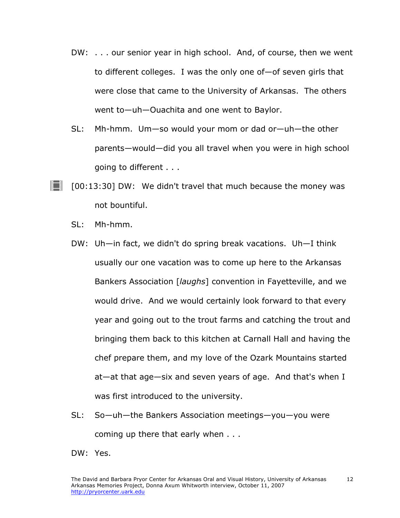- DW: . . . our senior year in high school. And, of course, then we went to different colleges. I was the only one of—of seven girls that were close that came to the University of Arkansas. The others went to—uh—Ouachita and one went to Baylor.
- SL: Mh-hmm. Um—so would your mom or dad or—uh—the other parents—would—did you all travel when you were in high school going to different . . .
- $\iiint$  [00:13:30] DW: We didn't travel that much because the money was not bountiful.
	- SL: Mh-hmm.
	- DW: Uh—in fact, we didn't do spring break vacations. Uh—I think usually our one vacation was to come up here to the Arkansas Bankers Association [*laughs*] convention in Fayetteville, and we would drive. And we would certainly look forward to that every year and going out to the trout farms and catching the trout and bringing them back to this kitchen at Carnall Hall and having the chef prepare them, and my love of the Ozark Mountains started at—at that age—six and seven years of age. And that's when I was first introduced to the university.
	- SL: So—uh—the Bankers Association meetings—you—you were coming up there that early when . . .

DW: Yes.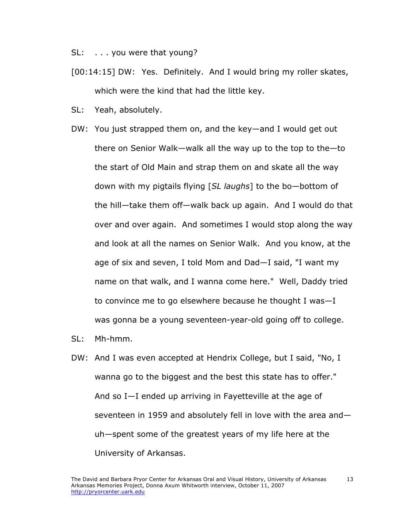SL: . . . you were that young?

- [00:14:15] DW: Yes. Definitely. And I would bring my roller skates, which were the kind that had the little key.
- SL: Yeah, absolutely.
- DW: You just strapped them on, and the key—and I would get out there on Senior Walk—walk all the way up to the top to the—to the start of Old Main and strap them on and skate all the way down with my pigtails flying [*SL laughs*] to the bo—bottom of the hill—take them off—walk back up again. And I would do that over and over again. And sometimes I would stop along the way and look at all the names on Senior Walk. And you know, at the age of six and seven, I told Mom and Dad—I said, "I want my name on that walk, and I wanna come here." Well, Daddy tried to convince me to go elsewhere because he thought I was—I was gonna be a young seventeen-year-old going off to college.
- SL: Mh-hmm.
- DW: And I was even accepted at Hendrix College, but I said, "No, I wanna go to the biggest and the best this state has to offer." And so I—I ended up arriving in Fayetteville at the age of seventeen in 1959 and absolutely fell in love with the area and uh—spent some of the greatest years of my life here at the University of Arkansas.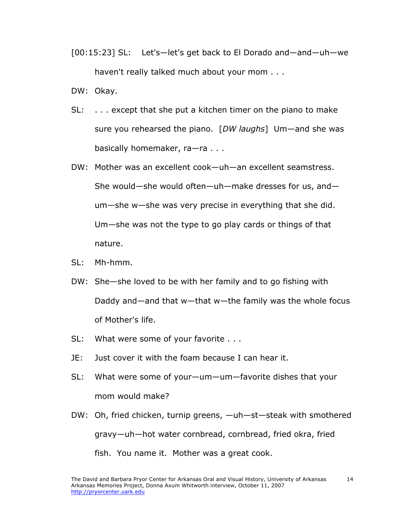- [00:15:23] SL: Let's—let's get back to El Dorado and—and—uh—we haven't really talked much about your mom . . .
- DW: Okay.
- SL: . . . except that she put a kitchen timer on the piano to make sure you rehearsed the piano. [*DW laughs*] Um—and she was basically homemaker, ra—ra . . .
- DW: Mother was an excellent cook—uh—an excellent seamstress. She would—she would often—uh—make dresses for us, and um—she w—she was very precise in everything that she did. Um—she was not the type to go play cards or things of that nature.
- SL: Mh-hmm.
- DW: She—she loved to be with her family and to go fishing with Daddy and—and that w—that w—the family was the whole focus of Mother's life.
- SL: What were some of your favorite . . .
- JE: Just cover it with the foam because I can hear it.
- SL: What were some of your—um—um—favorite dishes that your mom would make?
- DW: Oh, fried chicken, turnip greens, —uh—st—steak with smothered gravy—uh—hot water cornbread, cornbread, fried okra, fried fish. You name it. Mother was a great cook.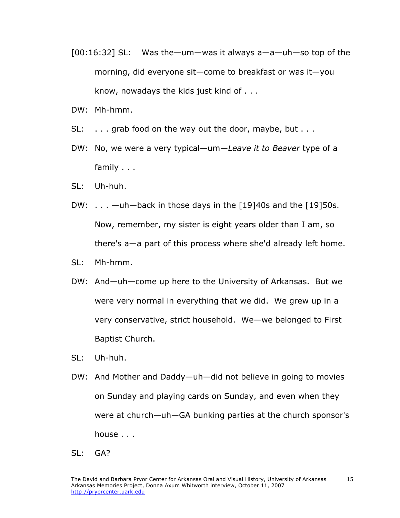- [00:16:32] SL: Was the—um—was it always a—a—uh—so top of the morning, did everyone sit—come to breakfast or was it—you know, nowadays the kids just kind of . . .
- DW: Mh-hmm.
- SL: . . . . grab food on the way out the door, maybe, but . . .
- DW: No, we were a very typical—um—*Leave it to Beaver* type of a family . . .
- SL: Uh-huh.
- DW: . . . —uh—back in those days in the [19]40s and the [19]50s. Now, remember, my sister is eight years older than I am, so there's a—a part of this process where she'd already left home.
- SL: Mh-hmm.
- DW: And—uh—come up here to the University of Arkansas. But we were very normal in everything that we did. We grew up in a very conservative, strict household. We—we belonged to First Baptist Church.
- SL: Uh-huh.
- DW: And Mother and Daddy—uh—did not believe in going to movies on Sunday and playing cards on Sunday, and even when they were at church—uh—GA bunking parties at the church sponsor's house . . .
- SL: GA?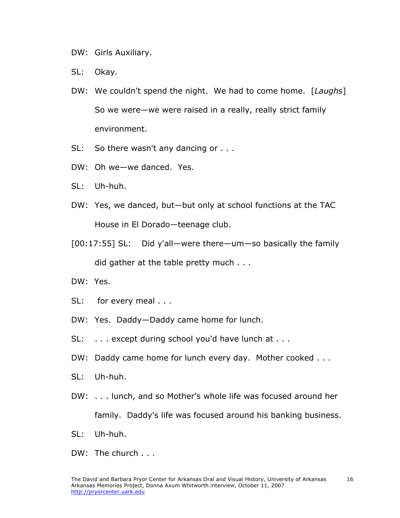DW: Girls Auxiliary.

SL: Okay.

- DW: We couldn't spend the night. We had to come home. [*Laughs*] So we were—we were raised in a really, really strict family environment.
- SL: So there wasn't any dancing or . . .
- DW: Oh we—we danced. Yes.
- SL: Uh-huh.
- DW: Yes, we danced, but—but only at school functions at the TAC House in El Dorado—teenage club.
- [00:17:55] SL: Did y'all—were there—um—so basically the family did gather at the table pretty much . . .
- DW: Yes.
- SL: for every meal . . .
- DW: Yes. Daddy—Daddy came home for lunch.
- SL: . . . except during school you'd have lunch at . . .
- DW: Daddy came home for lunch every day. Mother cooked . . .
- SL: Uh-huh.
- DW: . . . lunch, and so Mother's whole life was focused around her family. Daddy's life was focused around his banking business.
- SL: Uh-huh.
- DW: The church . . .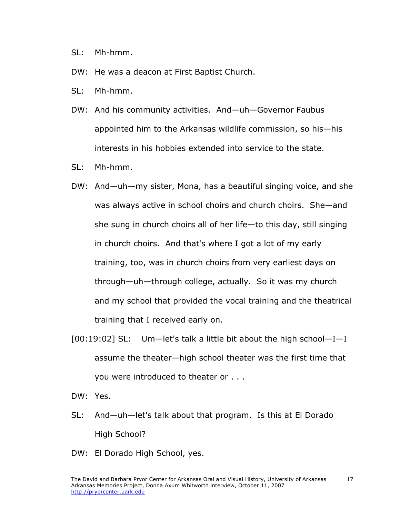- SL: Mh-hmm.
- DW: He was a deacon at First Baptist Church.
- SL: Mh-hmm.
- DW: And his community activities. And—uh—Governor Faubus appointed him to the Arkansas wildlife commission, so his—his interests in his hobbies extended into service to the state.
- SL: Mh-hmm.
- DW: And—uh—my sister, Mona, has a beautiful singing voice, and she was always active in school choirs and church choirs. She—and she sung in church choirs all of her life—to this day, still singing in church choirs. And that's where I got a lot of my early training, too, was in church choirs from very earliest days on through—uh—through college, actually. So it was my church and my school that provided the vocal training and the theatrical training that I received early on.
- [00:19:02] SL: Um—let's talk a little bit about the high school—I—I assume the theater—high school theater was the first time that you were introduced to theater or . . .
- DW: Yes.
- SL: And—uh—let's talk about that program. Is this at El Dorado High School?
- DW: El Dorado High School, yes.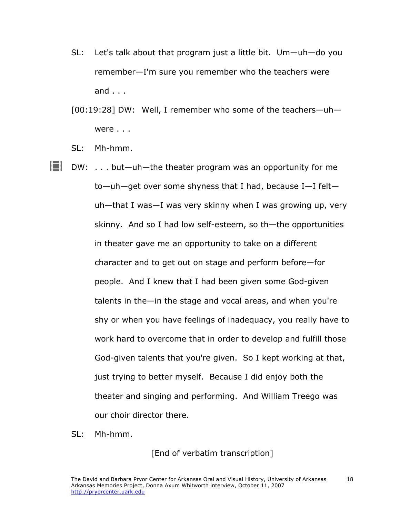- SL: Let's talk about that program just a little bit. Um—uh—do you remember—I'm sure you remember who the teachers were and . . .
- [00:19:28] DW: Well, I remember who some of the teachers—uh were . . .
- SL: Mh-hmm.
- $\Box$  DW: ... but—uh—the theater program was an opportunity for me to—uh—get over some shyness that I had, because I—I felt uh—that I was—I was very skinny when I was growing up, very skinny. And so I had low self-esteem, so th—the opportunities in theater gave me an opportunity to take on a different character and to get out on stage and perform before—for people. And I knew that I had been given some God-given talents in the—in the stage and vocal areas, and when you're shy or when you have feelings of inadequacy, you really have to work hard to overcome that in order to develop and fulfill those God-given talents that you're given. So I kept working at that, just trying to better myself. Because I did enjoy both the theater and singing and performing. And William Treego was our choir director there.
	- SL: Mh-hmm.

[End of verbatim transcription]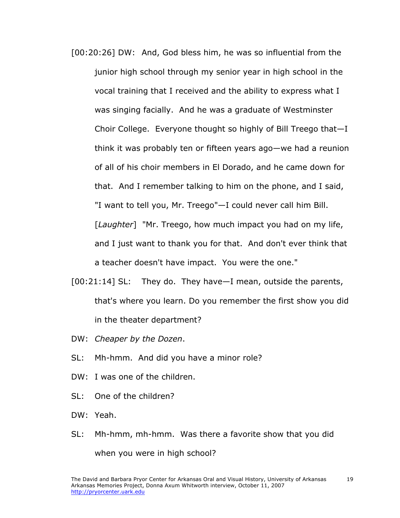- [00:20:26] DW: And, God bless him, he was so influential from the junior high school through my senior year in high school in the vocal training that I received and the ability to express what I was singing facially. And he was a graduate of Westminster Choir College. Everyone thought so highly of Bill Treego that—I think it was probably ten or fifteen years ago—we had a reunion of all of his choir members in El Dorado, and he came down for that. And I remember talking to him on the phone, and I said, "I want to tell you, Mr. Treego"—I could never call him Bill. [*Laughter*] "Mr. Treego, how much impact you had on my life, and I just want to thank you for that. And don't ever think that a teacher doesn't have impact. You were the one."
- [00:21:14] SL: They do. They have—I mean, outside the parents, that's where you learn. Do you remember the first show you did in the theater department?
- DW: *Cheaper by the Dozen*.
- SL: Mh-hmm. And did you have a minor role?
- DW: I was one of the children.
- SL: One of the children?
- DW: Yeah.
- SL: Mh-hmm, mh-hmm. Was there a favorite show that you did when you were in high school?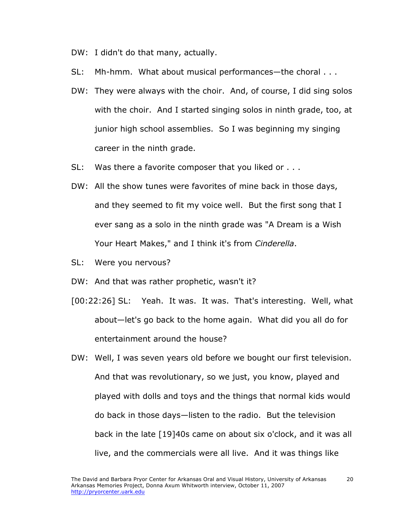- DW: I didn't do that many, actually.
- SL: Mh-hmm. What about musical performances—the choral . . .
- DW: They were always with the choir. And, of course, I did sing solos with the choir. And I started singing solos in ninth grade, too, at junior high school assemblies. So I was beginning my singing career in the ninth grade.
- SL: Was there a favorite composer that you liked or . . .
- DW: All the show tunes were favorites of mine back in those days, and they seemed to fit my voice well. But the first song that I ever sang as a solo in the ninth grade was "A Dream is a Wish Your Heart Makes," and I think it's from *Cinderella*.
- SL: Were you nervous?
- DW: And that was rather prophetic, wasn't it?
- [00:22:26] SL: Yeah. It was. It was. That's interesting. Well, what about—let's go back to the home again. What did you all do for entertainment around the house?
- DW: Well, I was seven years old before we bought our first television. And that was revolutionary, so we just, you know, played and played with dolls and toys and the things that normal kids would do back in those days—listen to the radio. But the television back in the late [19]40s came on about six o'clock, and it was all live, and the commercials were all live. And it was things like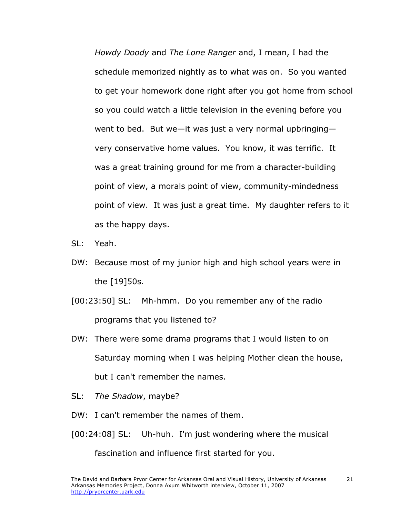*Howdy Doody* and *The Lone Ranger* and, I mean, I had the schedule memorized nightly as to what was on. So you wanted to get your homework done right after you got home from school so you could watch a little television in the evening before you went to bed. But we—it was just a very normal upbringing very conservative home values. You know, it was terrific. It was a great training ground for me from a character-building point of view, a morals point of view, community-mindedness point of view. It was just a great time. My daughter refers to it as the happy days.

- SL: Yeah.
- DW: Because most of my junior high and high school years were in the [19]50s.
- [00:23:50] SL: Mh-hmm. Do you remember any of the radio programs that you listened to?
- DW: There were some drama programs that I would listen to on Saturday morning when I was helping Mother clean the house, but I can't remember the names.
- SL: *The Shadow*, maybe?
- DW: I can't remember the names of them.
- [00:24:08] SL: Uh-huh. I'm just wondering where the musical

fascination and influence first started for you.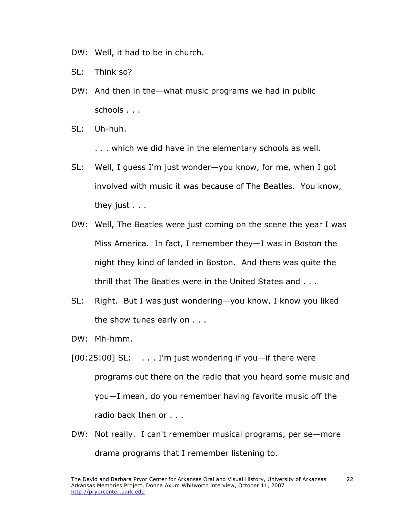DW: Well, it had to be in church.

- SL: Think so?
- DW: And then in the—what music programs we had in public schools . . .

SL: Uh-huh.

. . . which we did have in the elementary schools as well.

- SL: Well, I guess I'm just wonder—you know, for me, when I got involved with music it was because of The Beatles. You know, they just . . .
- DW: Well, The Beatles were just coming on the scene the year I was Miss America. In fact, I remember they—I was in Boston the night they kind of landed in Boston. And there was quite the thrill that The Beatles were in the United States and . . .
- SL: Right. But I was just wondering—you know, I know you liked the show tunes early on . . .
- DW: Mh-hmm.
- [00:25:00] SL: . . . . I'm just wondering if you-if there were programs out there on the radio that you heard some music and you—I mean, do you remember having favorite music off the radio back then or . . .
- DW: Not really. I can't remember musical programs, per se—more drama programs that I remember listening to.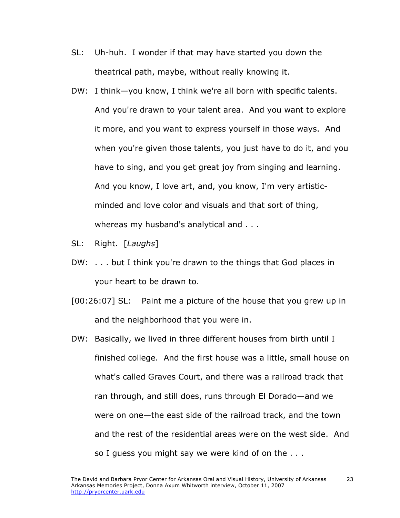- SL: Uh-huh. I wonder if that may have started you down the theatrical path, maybe, without really knowing it.
- DW: I think—you know, I think we're all born with specific talents. And you're drawn to your talent area. And you want to explore it more, and you want to express yourself in those ways. And when you're given those talents, you just have to do it, and you have to sing, and you get great joy from singing and learning. And you know, I love art, and, you know, I'm very artisticminded and love color and visuals and that sort of thing, whereas my husband's analytical and . . .
- SL: Right. [*Laughs*]
- DW: . . . but I think you're drawn to the things that God places in your heart to be drawn to.
- [00:26:07] SL: Paint me a picture of the house that you grew up in and the neighborhood that you were in.
- DW: Basically, we lived in three different houses from birth until I finished college. And the first house was a little, small house on what's called Graves Court, and there was a railroad track that ran through, and still does, runs through El Dorado—and we were on one—the east side of the railroad track, and the town and the rest of the residential areas were on the west side. And so I guess you might say we were kind of on the . . .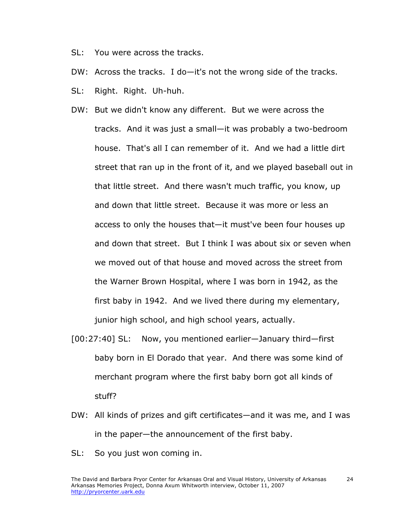- SL: You were across the tracks.
- DW: Across the tracks. I do—it's not the wrong side of the tracks.
- SL: Right. Right. Uh-huh.
- DW: But we didn't know any different. But we were across the tracks. And it was just a small—it was probably a two-bedroom house. That's all I can remember of it. And we had a little dirt street that ran up in the front of it, and we played baseball out in that little street. And there wasn't much traffic, you know, up and down that little street. Because it was more or less an access to only the houses that—it must've been four houses up and down that street. But I think I was about six or seven when we moved out of that house and moved across the street from the Warner Brown Hospital, where I was born in 1942, as the first baby in 1942. And we lived there during my elementary, junior high school, and high school years, actually.
- [00:27:40] SL: Now, you mentioned earlier—January third—first baby born in El Dorado that year. And there was some kind of merchant program where the first baby born got all kinds of stuff?
- DW: All kinds of prizes and gift certificates—and it was me, and I was in the paper—the announcement of the first baby.
- SL: So you just won coming in.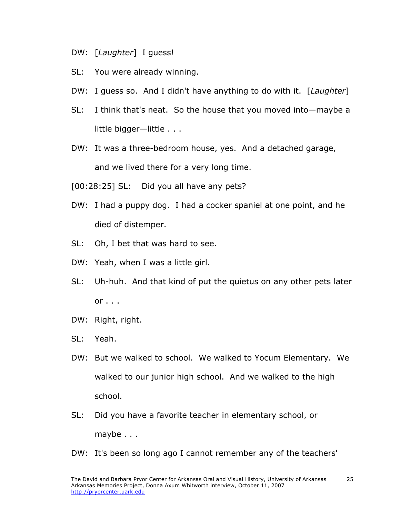- DW: [*Laughter*] I guess!
- SL: You were already winning.
- DW: I guess so. And I didn't have anything to do with it. [*Laughter*]
- SL: I think that's neat. So the house that you moved into—maybe a little bigger—little . . .
- DW: It was a three-bedroom house, yes. And a detached garage, and we lived there for a very long time.
- [00:28:25] SL: Did you all have any pets?
- DW: I had a puppy dog. I had a cocker spaniel at one point, and he died of distemper.
- SL: Oh, I bet that was hard to see.
- DW: Yeah, when I was a little girl.
- SL: Uh-huh. And that kind of put the quietus on any other pets later  $or \ldots$
- DW: Right, right.
- SL: Yeah.
- DW: But we walked to school. We walked to Yocum Elementary. We walked to our junior high school. And we walked to the high school.
- SL: Did you have a favorite teacher in elementary school, or maybe . . .
- DW: It's been so long ago I cannot remember any of the teachers'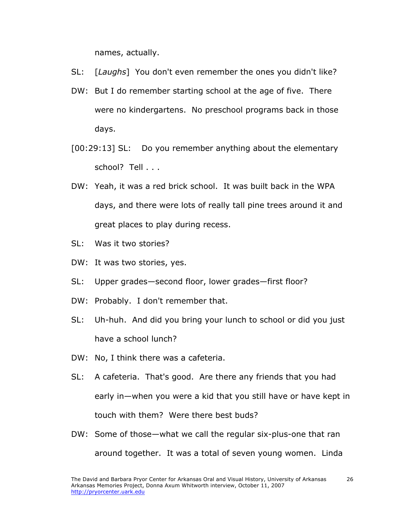names, actually.

- SL: [*Laughs*] You don't even remember the ones you didn't like?
- DW: But I do remember starting school at the age of five. There were no kindergartens. No preschool programs back in those days.
- [00:29:13] SL: Do you remember anything about the elementary school? Tell . . .
- DW: Yeah, it was a red brick school. It was built back in the WPA days, and there were lots of really tall pine trees around it and great places to play during recess.
- SL: Was it two stories?
- DW: It was two stories, yes.
- SL: Upper grades—second floor, lower grades—first floor?
- DW: Probably. I don't remember that.
- SL: Uh-huh. And did you bring your lunch to school or did you just have a school lunch?
- DW: No, I think there was a cafeteria.
- SL: A cafeteria. That's good. Are there any friends that you had early in—when you were a kid that you still have or have kept in touch with them? Were there best buds?
- DW: Some of those—what we call the regular six-plus-one that ran around together. It was a total of seven young women. Linda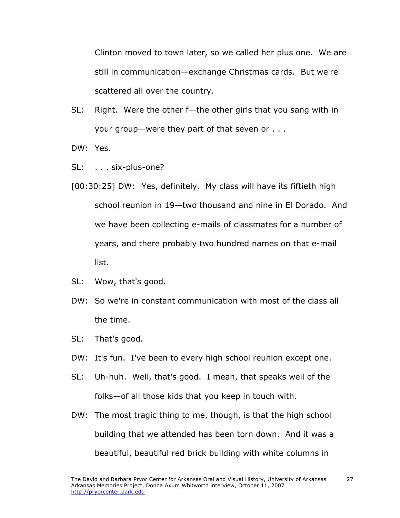Clinton moved to town later, so we called her plus one. We are still in communication—exchange Christmas cards. But we're scattered all over the country.

SL: Right. Were the other f—the other girls that you sang with in your group—were they part of that seven or . . .

DW: Yes.

- SL: . . . six-plus-one?
- [00:30:25] DW: Yes, definitely. My class will have its fiftieth high school reunion in 19—two thousand and nine in El Dorado. And we have been collecting e-mails of classmates for a number of years, and there probably two hundred names on that e-mail list.
- SL: Wow, that's good.
- DW: So we're in constant communication with most of the class all the time.
- SL: That's good.
- DW: It's fun. I've been to every high school reunion except one.
- SL: Uh-huh. Well, that's good. I mean, that speaks well of the folks—of all those kids that you keep in touch with.
- DW: The most tragic thing to me, though, is that the high school building that we attended has been torn down. And it was a beautiful, beautiful red brick building with white columns in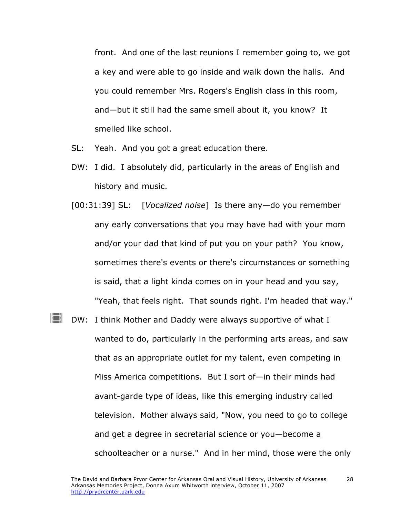front. And one of the last reunions I remember going to, we got a key and were able to go inside and walk down the halls. And you could remember Mrs. Rogers's English class in this room, and—but it still had the same smell about it, you know? It smelled like school.

- SL: Yeah. And you got a great education there.
- DW: I did. I absolutely did, particularly in the areas of English and history and music.
- [00:31:39] SL: [*Vocalized noise*] Is there any—do you remember any early conversations that you may have had with your mom and/or your dad that kind of put you on your path? You know, sometimes there's events or there's circumstances or something is said, that a light kinda comes on in your head and you say, "Yeah, that feels right. That sounds right. I'm headed that way."
- $\Box$  DW: I think Mother and Daddy were always supportive of what I wanted to do, particularly in the performing arts areas, and saw that as an appropriate outlet for my talent, even competing in Miss America competitions. But I sort of—in their minds had avant-garde type of ideas, like this emerging industry called television. Mother always said, "Now, you need to go to college and get a degree in secretarial science or you—become a schoolteacher or a nurse." And in her mind, those were the only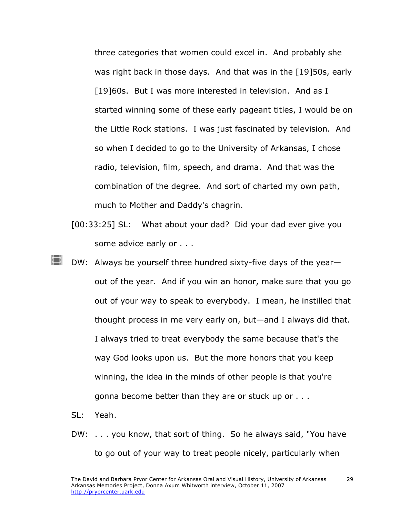three categories that women could excel in. And probably she was right back in those days. And that was in the [19]50s, early [19]60s. But I was more interested in television. And as I started winning some of these early pageant titles, I would be on the Little Rock stations. I was just fascinated by television. And so when I decided to go to the University of Arkansas, I chose radio, television, film, speech, and drama. And that was the combination of the degree. And sort of charted my own path, much to Mother and Daddy's chagrin.

- [00:33:25] SL: What about your dad? Did your dad ever give you some advice early or . . .
- DW: Always be yourself three hundred sixty-five days of the year out of the year. And if you win an honor, make sure that you go out of your way to speak to everybody. I mean, he instilled that thought process in me very early on, but—and I always did that. I always tried to treat everybody the same because that's the way God looks upon us. But the more honors that you keep winning, the idea in the minds of other people is that you're gonna become better than they are or stuck up or . . .
	- SL: Yeah.
	- DW: . . . you know, that sort of thing. So he always said, "You have to go out of your way to treat people nicely, particularly when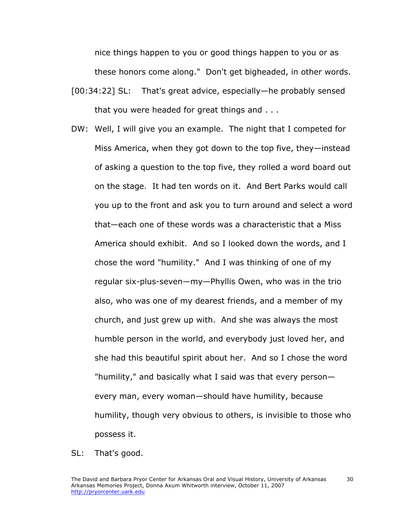nice things happen to you or good things happen to you or as these honors come along." Don't get bigheaded, in other words.

- [00:34:22] SL: That's great advice, especially—he probably sensed that you were headed for great things and . . .
- DW: Well, I will give you an example. The night that I competed for Miss America, when they got down to the top five, they—instead of asking a question to the top five, they rolled a word board out on the stage. It had ten words on it. And Bert Parks would call you up to the front and ask you to turn around and select a word that—each one of these words was a characteristic that a Miss America should exhibit. And so I looked down the words, and I chose the word "humility." And I was thinking of one of my regular six-plus-seven—my—Phyllis Owen, who was in the trio also, who was one of my dearest friends, and a member of my church, and just grew up with. And she was always the most humble person in the world, and everybody just loved her, and she had this beautiful spirit about her. And so I chose the word "humility," and basically what I said was that every person every man, every woman—should have humility, because humility, though very obvious to others, is invisible to those who possess it.
- SL: That's good.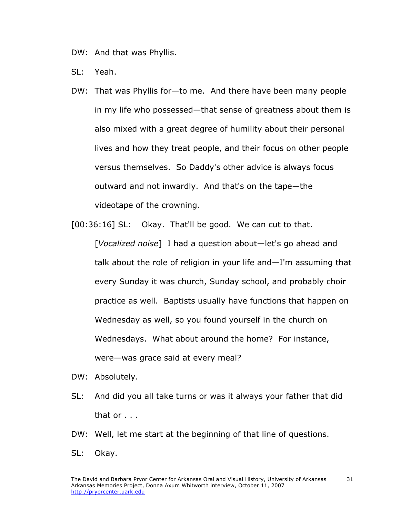DW: And that was Phyllis.

SL: Yeah.

DW: That was Phyllis for—to me. And there have been many people in my life who possessed—that sense of greatness about them is also mixed with a great degree of humility about their personal lives and how they treat people, and their focus on other people versus themselves. So Daddy's other advice is always focus outward and not inwardly. And that's on the tape—the videotape of the crowning.

[00:36:16] SL: Okay. That'll be good. We can cut to that.

[*Vocalized noise*] I had a question about—let's go ahead and talk about the role of religion in your life and—I'm assuming that every Sunday it was church, Sunday school, and probably choir practice as well. Baptists usually have functions that happen on Wednesday as well, so you found yourself in the church on Wednesdays. What about around the home? For instance, were—was grace said at every meal?

DW: Absolutely.

- SL: And did you all take turns or was it always your father that did that or . . .
- DW: Well, let me start at the beginning of that line of questions.

SL: Okay.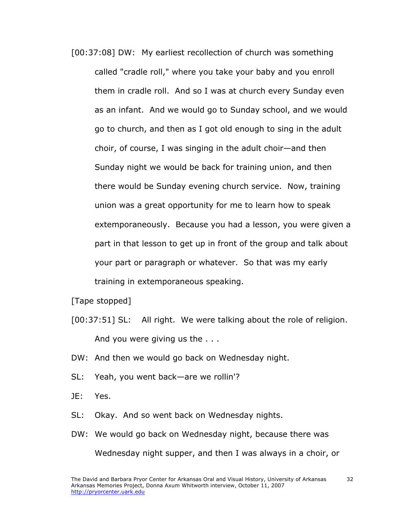[00:37:08] DW: My earliest recollection of church was something called "cradle roll," where you take your baby and you enroll them in cradle roll. And so I was at church every Sunday even as an infant. And we would go to Sunday school, and we would go to church, and then as I got old enough to sing in the adult choir, of course, I was singing in the adult choir—and then Sunday night we would be back for training union, and then there would be Sunday evening church service. Now, training union was a great opportunity for me to learn how to speak extemporaneously. Because you had a lesson, you were given a part in that lesson to get up in front of the group and talk about your part or paragraph or whatever. So that was my early training in extemporaneous speaking.

[Tape stopped]

- [00:37:51] SL: All right. We were talking about the role of religion. And you were giving us the . . .
- DW: And then we would go back on Wednesday night.
- SL: Yeah, you went back—are we rollin'?
- JE: Yes.
- SL: Okay. And so went back on Wednesday nights.
- DW: We would go back on Wednesday night, because there was Wednesday night supper, and then I was always in a choir, or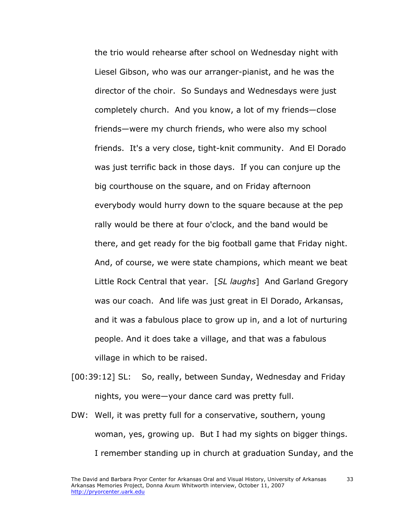the trio would rehearse after school on Wednesday night with Liesel Gibson, who was our arranger-pianist, and he was the director of the choir. So Sundays and Wednesdays were just completely church. And you know, a lot of my friends—close friends—were my church friends, who were also my school friends. It's a very close, tight-knit community. And El Dorado was just terrific back in those days. If you can conjure up the big courthouse on the square, and on Friday afternoon everybody would hurry down to the square because at the pep rally would be there at four o'clock, and the band would be there, and get ready for the big football game that Friday night. And, of course, we were state champions, which meant we beat Little Rock Central that year. [*SL laughs*] And Garland Gregory was our coach. And life was just great in El Dorado, Arkansas, and it was a fabulous place to grow up in, and a lot of nurturing people. And it does take a village, and that was a fabulous village in which to be raised.

- [00:39:12] SL: So, really, between Sunday, Wednesday and Friday nights, you were—your dance card was pretty full.
- DW: Well, it was pretty full for a conservative, southern, young woman, yes, growing up. But I had my sights on bigger things. I remember standing up in church at graduation Sunday, and the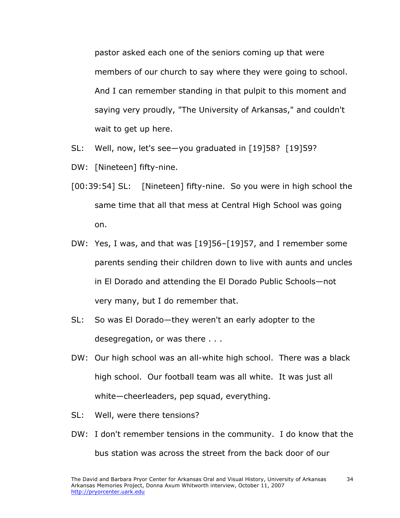pastor asked each one of the seniors coming up that were members of our church to say where they were going to school. And I can remember standing in that pulpit to this moment and saying very proudly, "The University of Arkansas," and couldn't wait to get up here.

- SL: Well, now, let's see—you graduated in [19]58? [19]59?
- DW: [Nineteen] fifty-nine.
- [00:39:54] SL: [Nineteen] fifty-nine. So you were in high school the same time that all that mess at Central High School was going on.
- DW: Yes, I was, and that was [19]56–[19]57, and I remember some parents sending their children down to live with aunts and uncles in El Dorado and attending the El Dorado Public Schools—not very many, but I do remember that.
- SL: So was El Dorado—they weren't an early adopter to the desegregation, or was there . . .
- DW: Our high school was an all-white high school. There was a black high school. Our football team was all white. It was just all white—cheerleaders, pep squad, everything.
- SL: Well, were there tensions?
- DW: I don't remember tensions in the community. I do know that the bus station was across the street from the back door of our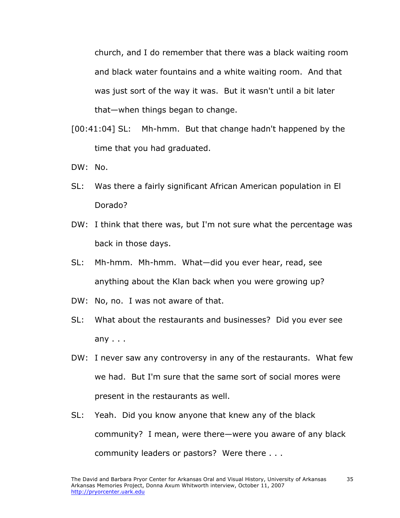church, and I do remember that there was a black waiting room and black water fountains and a white waiting room. And that was just sort of the way it was. But it wasn't until a bit later that—when things began to change.

- [00:41:04] SL: Mh-hmm. But that change hadn't happened by the time that you had graduated.
- DW: No.
- SL: Was there a fairly significant African American population in El Dorado?
- DW: I think that there was, but I'm not sure what the percentage was back in those days.
- SL: Mh-hmm. Mh-hmm. What—did you ever hear, read, see anything about the Klan back when you were growing up?
- DW: No, no. I was not aware of that.
- SL: What about the restaurants and businesses? Did you ever see any . . .
- DW: I never saw any controversy in any of the restaurants. What few we had. But I'm sure that the same sort of social mores were present in the restaurants as well.
- SL: Yeah. Did you know anyone that knew any of the black community? I mean, were there—were you aware of any black community leaders or pastors? Were there . . .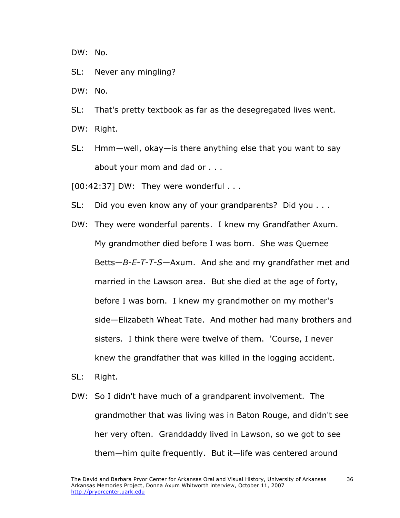DW: No.

- SL: Never any mingling?
- DW: No.
- SL: That's pretty textbook as far as the desegregated lives went.
- DW: Right.
- SL: Hmm—well, okay—is there anything else that you want to say about your mom and dad or . . .
- $[00:42:37]$  DW: They were wonderful  $\ldots$
- SL: Did you even know any of your grandparents? Did you . . .
- DW: They were wonderful parents. I knew my Grandfather Axum. My grandmother died before I was born. She was Quemee Betts—*B-E-T-T-S*—Axum. And she and my grandfather met and married in the Lawson area. But she died at the age of forty, before I was born. I knew my grandmother on my mother's side—Elizabeth Wheat Tate. And mother had many brothers and sisters. I think there were twelve of them. 'Course, I never knew the grandfather that was killed in the logging accident.
- SL: Right.
- DW: So I didn't have much of a grandparent involvement. The grandmother that was living was in Baton Rouge, and didn't see her very often. Granddaddy lived in Lawson, so we got to see them—him quite frequently. But it—life was centered around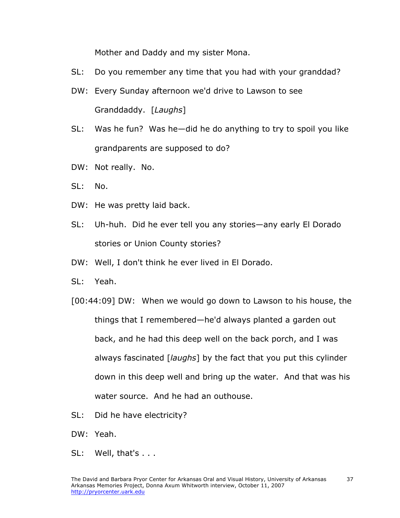Mother and Daddy and my sister Mona.

- SL: Do you remember any time that you had with your granddad?
- DW: Every Sunday afternoon we'd drive to Lawson to see Granddaddy. [*Laughs*]
- SL: Was he fun? Was he—did he do anything to try to spoil you like grandparents are supposed to do?
- DW: Not really. No.
- SL: No.
- DW: He was pretty laid back.
- SL: Uh-huh. Did he ever tell you any stories—any early El Dorado stories or Union County stories?
- DW: Well, I don't think he ever lived in El Dorado.
- SL: Yeah.
- [00:44:09] DW: When we would go down to Lawson to his house, the things that I remembered—he'd always planted a garden out back, and he had this deep well on the back porch, and I was always fascinated [*laughs*] by the fact that you put this cylinder down in this deep well and bring up the water. And that was his water source. And he had an outhouse.
- SL: Did he have electricity?
- DW: Yeah.
- SL: Well, that's . . .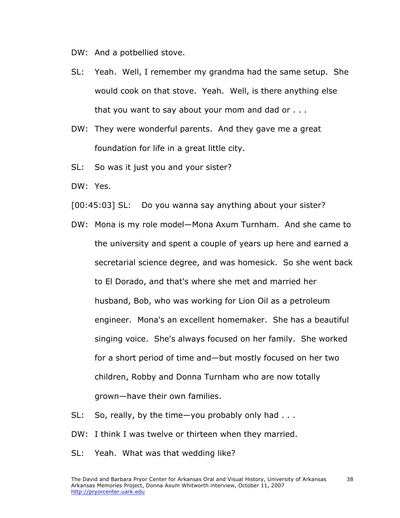DW: And a potbellied stove.

- SL: Yeah. Well, I remember my grandma had the same setup. She would cook on that stove. Yeah. Well, is there anything else that you want to say about your mom and dad or . . .
- DW: They were wonderful parents. And they gave me a great foundation for life in a great little city.
- SL: So was it just you and your sister?
- DW: Yes.
- [00:45:03] SL: Do you wanna say anything about your sister?
- DW: Mona is my role model—Mona Axum Turnham. And she came to the university and spent a couple of years up here and earned a secretarial science degree, and was homesick. So she went back to El Dorado, and that's where she met and married her husband, Bob, who was working for Lion Oil as a petroleum engineer. Mona's an excellent homemaker. She has a beautiful singing voice. She's always focused on her family. She worked for a short period of time and—but mostly focused on her two children, Robby and Donna Turnham who are now totally grown—have their own families.
- SL: So, really, by the time—you probably only had  $\dots$
- DW: I think I was twelve or thirteen when they married.
- SL: Yeah. What was that wedding like?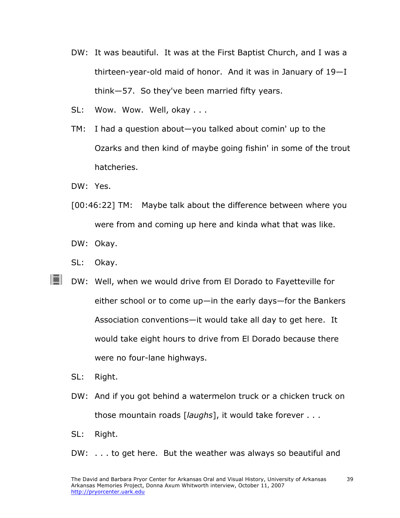- DW: It was beautiful. It was at the First Baptist Church, and I was a thirteen-year-old maid of honor. And it was in January of 19—I think—57. So they've been married fifty years.
- SL: Wow. Wow. Well, okay . . .
- TM: I had a question about—you talked about comin' up to the Ozarks and then kind of maybe going fishin' in some of the trout hatcheries.

DW: Yes.

- [00:46:22] TM: Maybe talk about the difference between where you were from and coming up here and kinda what that was like.
- DW: Okay.
- SL: Okay.
- DW: Well, when we would drive from El Dorado to Fayetteville for either school or to come up—in the early days—for the Bankers Association conventions—it would take all day to get here. It would take eight hours to drive from El Dorado because there were no four-lane highways.

SL: Right.

- DW: And if you got behind a watermelon truck or a chicken truck on those mountain roads [*laughs*], it would take forever . . .
- SL: Right.
- DW: . . . to get here. But the weather was always so beautiful and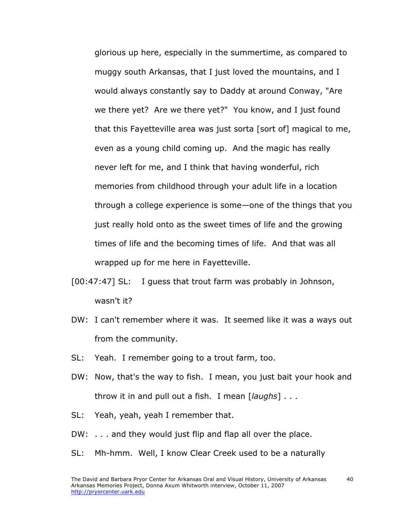glorious up here, especially in the summertime, as compared to muggy south Arkansas, that I just loved the mountains, and I would always constantly say to Daddy at around Conway, "Are we there yet? Are we there yet?" You know, and I just found that this Fayetteville area was just sorta [sort of] magical to me, even as a young child coming up. And the magic has really never left for me, and I think that having wonderful, rich memories from childhood through your adult life in a location through a college experience is some—one of the things that you just really hold onto as the sweet times of life and the growing times of life and the becoming times of life. And that was all wrapped up for me here in Fayetteville.

- [00:47:47] SL: I guess that trout farm was probably in Johnson, wasn't it?
- DW: I can't remember where it was. It seemed like it was a ways out from the community.
- SL: Yeah. I remember going to a trout farm, too.
- DW: Now, that's the way to fish. I mean, you just bait your hook and throw it in and pull out a fish. I mean [*laughs*] . . .
- SL: Yeah, yeah, yeah I remember that.
- DW: . . . and they would just flip and flap all over the place.
- SL: Mh-hmm. Well, I know Clear Creek used to be a naturally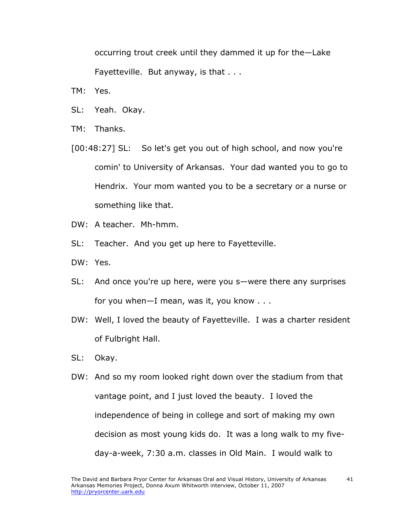occurring trout creek until they dammed it up for the—Lake Fayetteville. But anyway, is that . . .

- TM: Yes.
- SL: Yeah. Okay.
- TM: Thanks.
- [00:48:27] SL: So let's get you out of high school, and now you're comin' to University of Arkansas. Your dad wanted you to go to Hendrix. Your mom wanted you to be a secretary or a nurse or something like that.
- DW: A teacher. Mh-hmm.
- SL: Teacher. And you get up here to Fayetteville.
- DW: Yes.
- SL: And once you're up here, were you s—were there any surprises for you when—I mean, was it, you know . . .
- DW: Well, I loved the beauty of Fayetteville. I was a charter resident of Fulbright Hall.
- SL: Okay.
- DW: And so my room looked right down over the stadium from that vantage point, and I just loved the beauty. I loved the independence of being in college and sort of making my own decision as most young kids do. It was a long walk to my fiveday-a-week, 7:30 a.m. classes in Old Main. I would walk to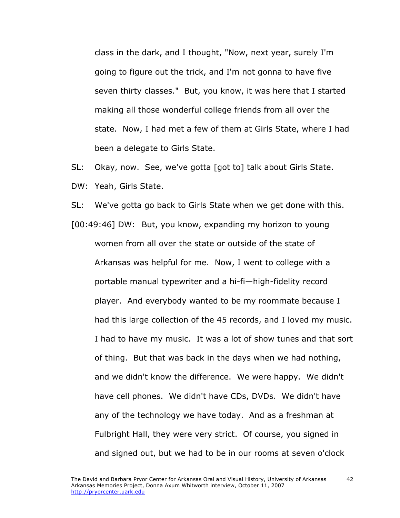class in the dark, and I thought, "Now, next year, surely I'm going to figure out the trick, and I'm not gonna to have five seven thirty classes." But, you know, it was here that I started making all those wonderful college friends from all over the state. Now, I had met a few of them at Girls State, where I had been a delegate to Girls State.

SL: Okay, now. See, we've gotta [got to] talk about Girls State. DW: Yeah, Girls State.

SL: We've gotta go back to Girls State when we get done with this.

[00:49:46] DW: But, you know, expanding my horizon to young women from all over the state or outside of the state of Arkansas was helpful for me. Now, I went to college with a portable manual typewriter and a hi-fi—high-fidelity record player. And everybody wanted to be my roommate because I had this large collection of the 45 records, and I loved my music. I had to have my music. It was a lot of show tunes and that sort of thing. But that was back in the days when we had nothing, and we didn't know the difference. We were happy. We didn't have cell phones. We didn't have CDs, DVDs. We didn't have any of the technology we have today. And as a freshman at Fulbright Hall, they were very strict. Of course, you signed in and signed out, but we had to be in our rooms at seven o'clock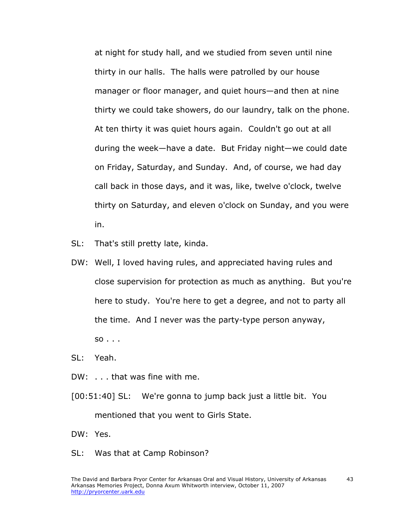at night for study hall, and we studied from seven until nine thirty in our halls. The halls were patrolled by our house manager or floor manager, and quiet hours—and then at nine thirty we could take showers, do our laundry, talk on the phone. At ten thirty it was quiet hours again. Couldn't go out at all during the week—have a date. But Friday night—we could date on Friday, Saturday, and Sunday. And, of course, we had day call back in those days, and it was, like, twelve o'clock, twelve thirty on Saturday, and eleven o'clock on Sunday, and you were in.

- SL: That's still pretty late, kinda.
- DW: Well, I loved having rules, and appreciated having rules and close supervision for protection as much as anything. But you're here to study. You're here to get a degree, and not to party all the time. And I never was the party-type person anyway, so . . .
- SL: Yeah.
- DW: . . . that was fine with me.
- [00:51:40] SL: We're gonna to jump back just a little bit. You mentioned that you went to Girls State.
- DW: Yes.
- SL: Was that at Camp Robinson?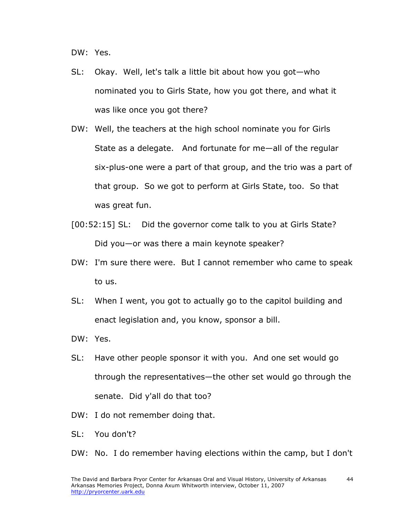DW: Yes.

- SL: Okay. Well, let's talk a little bit about how you got—who nominated you to Girls State, how you got there, and what it was like once you got there?
- DW: Well, the teachers at the high school nominate you for Girls State as a delegate. And fortunate for me—all of the regular six-plus-one were a part of that group, and the trio was a part of that group. So we got to perform at Girls State, too. So that was great fun.
- [00:52:15] SL: Did the governor come talk to you at Girls State? Did you—or was there a main keynote speaker?
- DW: I'm sure there were. But I cannot remember who came to speak to us.
- SL: When I went, you got to actually go to the capitol building and enact legislation and, you know, sponsor a bill.
- DW: Yes.
- SL: Have other people sponsor it with you. And one set would go through the representatives—the other set would go through the senate. Did y'all do that too?
- DW: I do not remember doing that.
- SL: You don't?

DW: No. I do remember having elections within the camp, but I don't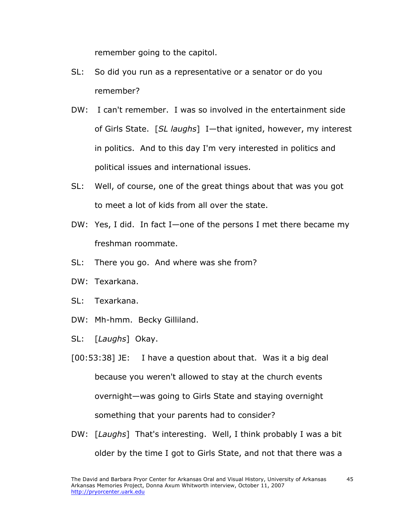remember going to the capitol.

- SL: So did you run as a representative or a senator or do you remember?
- DW: I can't remember. I was so involved in the entertainment side of Girls State. [*SL laughs*] I—that ignited, however, my interest in politics. And to this day I'm very interested in politics and political issues and international issues.
- SL: Well, of course, one of the great things about that was you got to meet a lot of kids from all over the state.
- DW: Yes, I did. In fact I—one of the persons I met there became my freshman roommate.
- SL: There you go. And where was she from?
- DW: Texarkana.
- SL: Texarkana.
- DW: Mh-hmm. Becky Gilliland.
- SL: [*Laughs*] Okay.
- [00:53:38] JE: I have a question about that. Was it a big deal because you weren't allowed to stay at the church events overnight—was going to Girls State and staying overnight something that your parents had to consider?
- DW: [*Laughs*] That's interesting. Well, I think probably I was a bit older by the time I got to Girls State, and not that there was a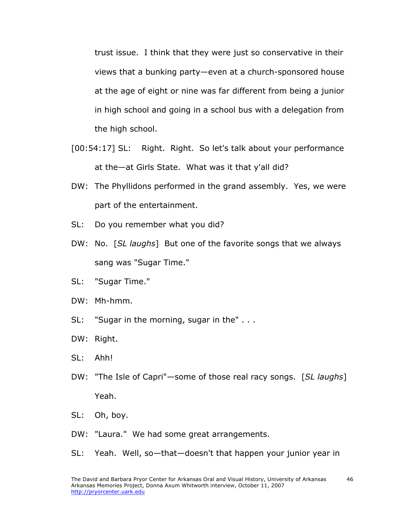trust issue. I think that they were just so conservative in their views that a bunking party—even at a church-sponsored house at the age of eight or nine was far different from being a junior in high school and going in a school bus with a delegation from the high school.

- [00:54:17] SL: Right. Right. So let's talk about your performance at the—at Girls State. What was it that y'all did?
- DW: The Phyllidons performed in the grand assembly. Yes, we were part of the entertainment.
- SL: Do you remember what you did?
- DW: No. [*SL laughs*] But one of the favorite songs that we always sang was "Sugar Time."
- SL: "Sugar Time."
- DW: Mh-hmm.
- SL: "Sugar in the morning, sugar in the" . . .
- DW: Right.
- SL: Ahh!
- DW: "The Isle of Capri"—some of those real racy songs. [*SL laughs*] Yeah.
- SL: Oh, boy.
- DW: "Laura." We had some great arrangements.
- SL: Yeah. Well, so—that—doesn't that happen your junior year in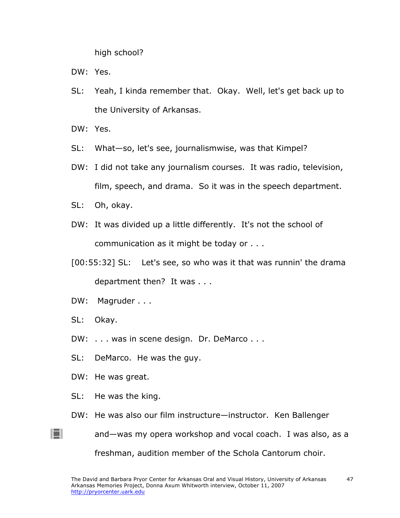high school?

DW: Yes.

SL: Yeah, I kinda remember that. Okay. Well, let's get back up to the University of Arkansas.

DW: Yes.

- SL: What—so, let's see, journalismwise, was that Kimpel?
- DW: I did not take any journalism courses. It was radio, television, film, speech, and drama. So it was in the speech department.
- SL: Oh, okay.
- DW: It was divided up a little differently. It's not the school of communication as it might be today or . . .
- [00:55:32] SL: Let's see, so who was it that was runnin' the drama department then? It was . . .
- DW: Magruder . . .
- SL: Okay.

▐▔▌

- DW: . . . was in scene design. Dr. DeMarco . . .
- SL: DeMarco. He was the guy.
- DW: He was great.
- SL: He was the king.
- DW: He was also our film instructure—instructor. Ken Ballenger
	- and—was my opera workshop and vocal coach. I was also, as a

freshman, audition member of the Schola Cantorum choir.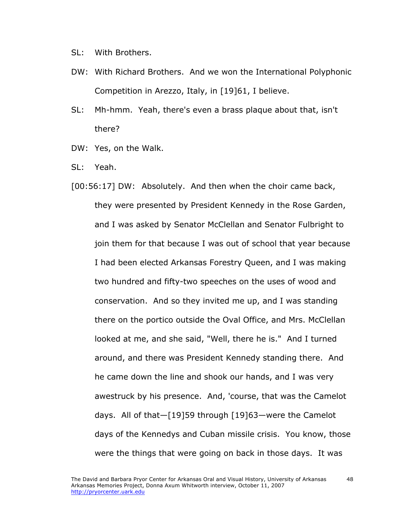- SL: With Brothers.
- DW: With Richard Brothers. And we won the International Polyphonic Competition in Arezzo, Italy, in [19]61, I believe.
- SL: Mh-hmm. Yeah, there's even a brass plaque about that, isn't there?
- DW: Yes, on the Walk.
- SL: Yeah.
- [00:56:17] DW: Absolutely. And then when the choir came back, they were presented by President Kennedy in the Rose Garden, and I was asked by Senator McClellan and Senator Fulbright to join them for that because I was out of school that year because I had been elected Arkansas Forestry Queen, and I was making two hundred and fifty-two speeches on the uses of wood and conservation. And so they invited me up, and I was standing there on the portico outside the Oval Office, and Mrs. McClellan looked at me, and she said, "Well, there he is." And I turned around, and there was President Kennedy standing there. And he came down the line and shook our hands, and I was very awestruck by his presence. And, 'course, that was the Camelot days. All of that—[19]59 through [19]63—were the Camelot days of the Kennedys and Cuban missile crisis. You know, those were the things that were going on back in those days. It was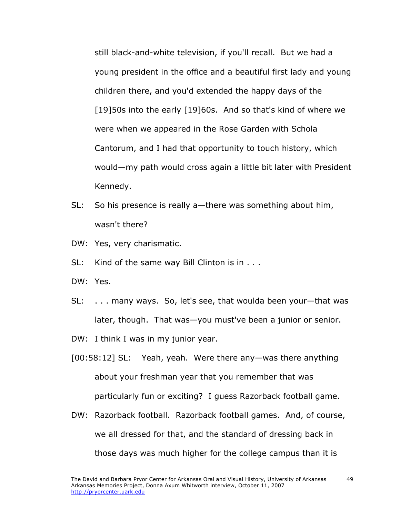still black-and-white television, if you'll recall. But we had a young president in the office and a beautiful first lady and young children there, and you'd extended the happy days of the [19]50s into the early [19]60s. And so that's kind of where we were when we appeared in the Rose Garden with Schola Cantorum, and I had that opportunity to touch history, which would—my path would cross again a little bit later with President Kennedy.

- SL: So his presence is really a—there was something about him, wasn't there?
- DW: Yes, very charismatic.
- SL: Kind of the same way Bill Clinton is in . . .
- DW: Yes.
- SL: . . . many ways. So, let's see, that woulda been your—that was later, though. That was—you must've been a junior or senior.
- DW: I think I was in my junior year.
- [00:58:12] SL: Yeah, yeah. Were there any—was there anything about your freshman year that you remember that was particularly fun or exciting? I guess Razorback football game.
- DW: Razorback football. Razorback football games. And, of course, we all dressed for that, and the standard of dressing back in those days was much higher for the college campus than it is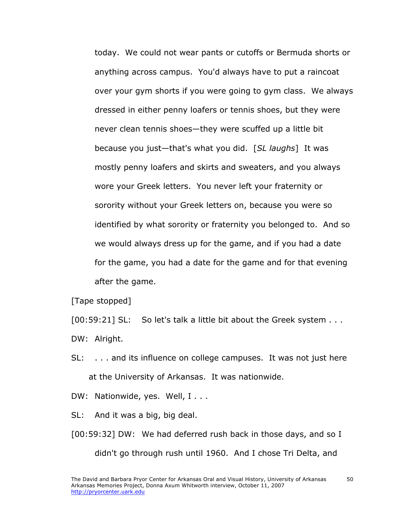today. We could not wear pants or cutoffs or Bermuda shorts or anything across campus. You'd always have to put a raincoat over your gym shorts if you were going to gym class. We always dressed in either penny loafers or tennis shoes, but they were never clean tennis shoes—they were scuffed up a little bit because you just—that's what you did. [*SL laughs*] It was mostly penny loafers and skirts and sweaters, and you always wore your Greek letters. You never left your fraternity or sorority without your Greek letters on, because you were so identified by what sorority or fraternity you belonged to. And so we would always dress up for the game, and if you had a date for the game, you had a date for the game and for that evening after the game.

[Tape stopped]

[00:59:21] SL: So let's talk a little bit about the Greek system . . . DW: Alright.

SL: . . . . and its influence on college campuses. It was not just here at the University of Arkansas. It was nationwide.

DW: Nationwide, yes. Well, I...

SL: And it was a big, big deal.

[00:59:32] DW: We had deferred rush back in those days, and so I didn't go through rush until 1960. And I chose Tri Delta, and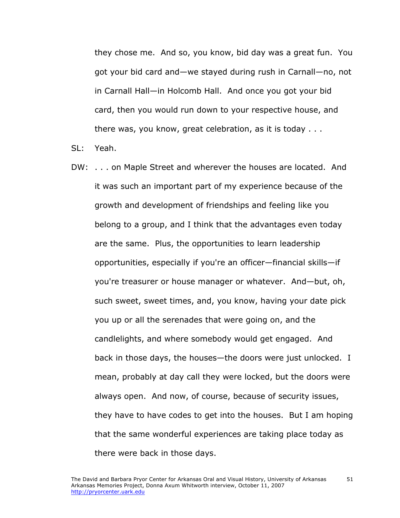they chose me. And so, you know, bid day was a great fun. You got your bid card and—we stayed during rush in Carnall—no, not in Carnall Hall—in Holcomb Hall. And once you got your bid card, then you would run down to your respective house, and there was, you know, great celebration, as it is today . . .

SL: Yeah.

DW: . . . on Maple Street and wherever the houses are located. And it was such an important part of my experience because of the growth and development of friendships and feeling like you belong to a group, and I think that the advantages even today are the same. Plus, the opportunities to learn leadership opportunities, especially if you're an officer—financial skills—if you're treasurer or house manager or whatever. And—but, oh, such sweet, sweet times, and, you know, having your date pick you up or all the serenades that were going on, and the candlelights, and where somebody would get engaged. And back in those days, the houses—the doors were just unlocked. I mean, probably at day call they were locked, but the doors were always open. And now, of course, because of security issues, they have to have codes to get into the houses. But I am hoping that the same wonderful experiences are taking place today as there were back in those days.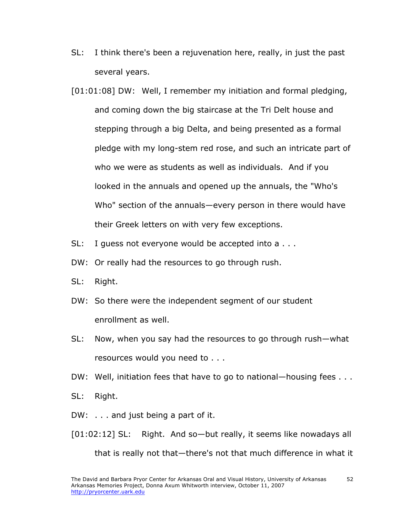- SL: I think there's been a rejuvenation here, really, in just the past several years.
- [01:01:08] DW: Well, I remember my initiation and formal pledging, and coming down the big staircase at the Tri Delt house and stepping through a big Delta, and being presented as a formal pledge with my long-stem red rose, and such an intricate part of who we were as students as well as individuals. And if you looked in the annuals and opened up the annuals, the "Who's Who" section of the annuals—every person in there would have their Greek letters on with very few exceptions.
- SL: I guess not everyone would be accepted into a . . .
- DW: Or really had the resources to go through rush.
- SL: Right.
- DW: So there were the independent segment of our student enrollment as well.
- SL: Now, when you say had the resources to go through rush—what resources would you need to . . .
- DW: Well, initiation fees that have to go to national—housing fees . . .
- SL: Right.
- DW: . . . and just being a part of it.
- [01:02:12] SL: Right. And so—but really, it seems like nowadays all

that is really not that—there's not that much difference in what it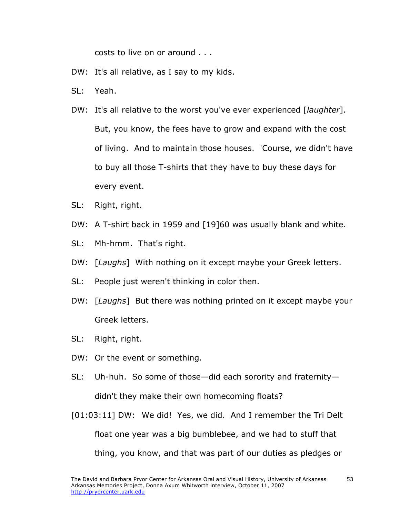costs to live on or around . . .

- DW: It's all relative, as I say to my kids.
- SL: Yeah.
- DW: It's all relative to the worst you've ever experienced [*laughter*]. But, you know, the fees have to grow and expand with the cost of living. And to maintain those houses. 'Course, we didn't have to buy all those T-shirts that they have to buy these days for every event.
- SL: Right, right.
- DW: A T-shirt back in 1959 and [19]60 was usually blank and white.
- SL: Mh-hmm. That's right.
- DW: [*Laughs*] With nothing on it except maybe your Greek letters.
- SL: People just weren't thinking in color then.
- DW: [*Laughs*] But there was nothing printed on it except maybe your Greek letters.
- SL: Right, right.
- DW: Or the event or something.
- SL: Uh-huh. So some of those—did each sorority and fraternity didn't they make their own homecoming floats?
- [01:03:11] DW: We did! Yes, we did. And I remember the Tri Delt float one year was a big bumblebee, and we had to stuff that thing, you know, and that was part of our duties as pledges or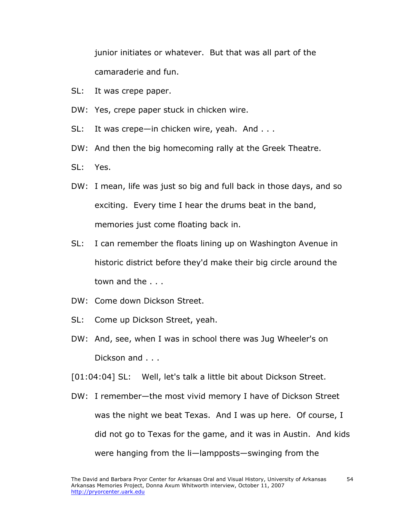junior initiates or whatever. But that was all part of the camaraderie and fun.

- SL: It was crepe paper.
- DW: Yes, crepe paper stuck in chicken wire.
- SL: It was crepe—in chicken wire, yeah. And . . .
- DW: And then the big homecoming rally at the Greek Theatre.
- SL: Yes.
- DW: I mean, life was just so big and full back in those days, and so exciting. Every time I hear the drums beat in the band, memories just come floating back in.
- SL: I can remember the floats lining up on Washington Avenue in historic district before they'd make their big circle around the town and the . . .
- DW: Come down Dickson Street.
- SL: Come up Dickson Street, yeah.
- DW: And, see, when I was in school there was Jug Wheeler's on Dickson and . . .

[01:04:04] SL: Well, let's talk a little bit about Dickson Street.

DW: I remember—the most vivid memory I have of Dickson Street was the night we beat Texas. And I was up here. Of course, I did not go to Texas for the game, and it was in Austin. And kids were hanging from the li—lampposts—swinging from the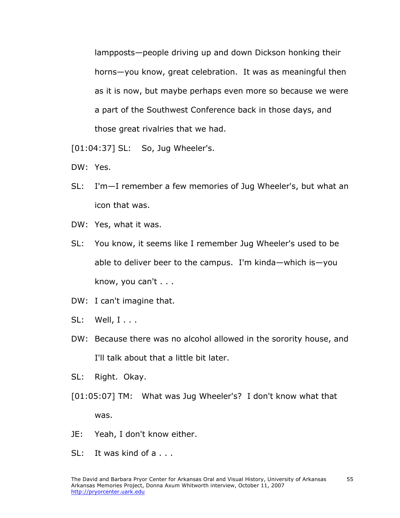lampposts—people driving up and down Dickson honking their horns—you know, great celebration. It was as meaningful then as it is now, but maybe perhaps even more so because we were a part of the Southwest Conference back in those days, and those great rivalries that we had.

[01:04:37] SL: So, Jug Wheeler's.

DW: Yes.

- SL: I'm—I remember a few memories of Jug Wheeler's, but what an icon that was.
- DW: Yes, what it was.
- SL: You know, it seems like I remember Jug Wheeler's used to be able to deliver beer to the campus. I'm kinda—which is—you know, you can't . . .
- DW: I can't imagine that.
- SL: Well, I . . .
- DW: Because there was no alcohol allowed in the sorority house, and I'll talk about that a little bit later.
- SL: Right. Okay.
- [01:05:07] TM: What was Jug Wheeler's? I don't know what that was.
- JE: Yeah, I don't know either.
- SL: It was kind of a . . .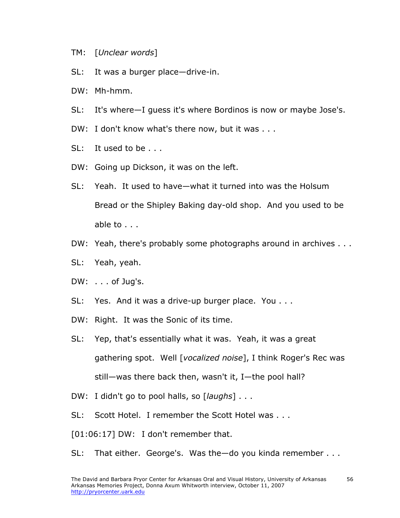- TM: [*Unclear words*]
- SL: It was a burger place—drive-in.
- DW: Mh-hmm.
- SL: It's where—I guess it's where Bordinos is now or maybe Jose's.
- DW: I don't know what's there now, but it was . . .
- SL: It used to be . . .
- DW: Going up Dickson, it was on the left.
- SL: Yeah. It used to have—what it turned into was the Holsum Bread or the Shipley Baking day-old shop. And you used to be able to . . .
- DW: Yeah, there's probably some photographs around in archives . . .
- SL: Yeah, yeah.
- DW: . . . of Jug's.
- SL: Yes. And it was a drive-up burger place. You . . .
- DW: Right. It was the Sonic of its time.
- SL: Yep, that's essentially what it was. Yeah, it was a great gathering spot. Well [*vocalized noise*], I think Roger's Rec was still—was there back then, wasn't it, I—the pool hall?
- DW: I didn't go to pool halls, so [*laughs*] . . .
- SL: Scott Hotel. I remember the Scott Hotel was . . .
- [01:06:17] DW: I don't remember that.
- SL: That either. George's. Was the—do you kinda remember . . .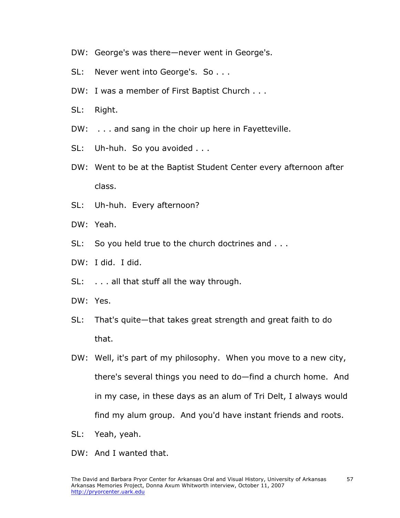- DW: George's was there—never went in George's.
- SL: Never went into George's. So...
- DW: I was a member of First Baptist Church . . .
- SL: Right.
- DW: . . . and sang in the choir up here in Fayetteville.
- SL: Uh-huh. So you avoided . . .
- DW: Went to be at the Baptist Student Center every afternoon after class.
- SL: Uh-huh. Every afternoon?
- DW: Yeah.
- SL: So you held true to the church doctrines and ...
- DW: I did. I did.
- SL: . . . all that stuff all the way through.
- DW: Yes.
- SL: That's quite—that takes great strength and great faith to do that.
- DW: Well, it's part of my philosophy. When you move to a new city, there's several things you need to do—find a church home. And in my case, in these days as an alum of Tri Delt, I always would find my alum group. And you'd have instant friends and roots.
- SL: Yeah, yeah.
- DW: And I wanted that.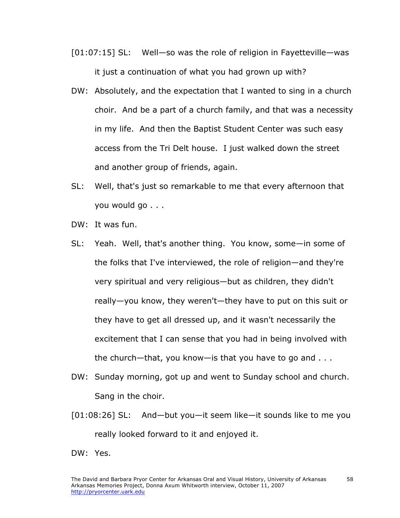- [01:07:15] SL: Well—so was the role of religion in Fayetteville—was it just a continuation of what you had grown up with?
- DW: Absolutely, and the expectation that I wanted to sing in a church choir. And be a part of a church family, and that was a necessity in my life. And then the Baptist Student Center was such easy access from the Tri Delt house. I just walked down the street and another group of friends, again.
- SL: Well, that's just so remarkable to me that every afternoon that you would go . . .
- DW: It was fun.
- SL: Yeah. Well, that's another thing. You know, some—in some of the folks that I've interviewed, the role of religion—and they're very spiritual and very religious—but as children, they didn't really—you know, they weren't—they have to put on this suit or they have to get all dressed up, and it wasn't necessarily the excitement that I can sense that you had in being involved with the church—that, you know—is that you have to go and . . .
- DW: Sunday morning, got up and went to Sunday school and church. Sang in the choir.
- [01:08:26] SL: And—but you—it seem like—it sounds like to me you really looked forward to it and enjoyed it.
- DW: Yes.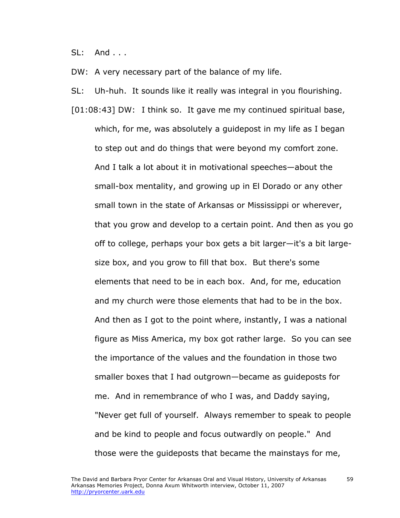SL: And . . .

- DW: A very necessary part of the balance of my life.
- SL: Uh-huh. It sounds like it really was integral in you flourishing.
- [01:08:43] DW: I think so. It gave me my continued spiritual base, which, for me, was absolutely a guidepost in my life as I began to step out and do things that were beyond my comfort zone. And I talk a lot about it in motivational speeches—about the small-box mentality, and growing up in El Dorado or any other small town in the state of Arkansas or Mississippi or wherever, that you grow and develop to a certain point. And then as you go off to college, perhaps your box gets a bit larger—it's a bit largesize box, and you grow to fill that box. But there's some elements that need to be in each box. And, for me, education and my church were those elements that had to be in the box. And then as I got to the point where, instantly, I was a national figure as Miss America, my box got rather large. So you can see the importance of the values and the foundation in those two smaller boxes that I had outgrown—became as guideposts for me. And in remembrance of who I was, and Daddy saying, "Never get full of yourself. Always remember to speak to people and be kind to people and focus outwardly on people." And those were the guideposts that became the mainstays for me,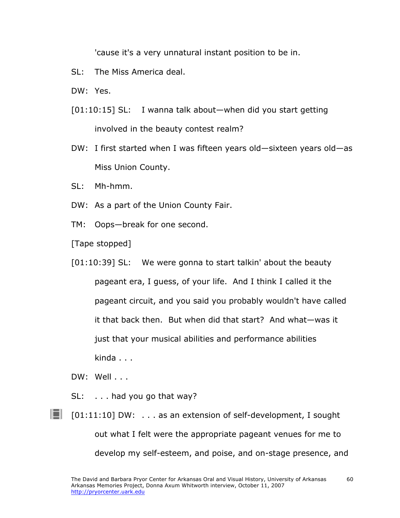'cause it's a very unnatural instant position to be in.

SL: The Miss America deal.

DW: Yes.

- [01:10:15] SL: I wanna talk about—when did you start getting involved in the beauty contest realm?
- DW: I first started when I was fifteen years old—sixteen years old—as Miss Union County.
- SL: Mh-hmm.
- DW: As a part of the Union County Fair.
- TM: Oops—break for one second.
- [Tape stopped]
- [01:10:39] SL: We were gonna to start talkin' about the beauty pageant era, I guess, of your life. And I think I called it the pageant circuit, and you said you probably wouldn't have called it that back then. But when did that start? And what—was it just that your musical abilities and performance abilities kinda . . .
- DW: Well . . .
- SL: . . . had you go that way?
- $\boxed{)}$  [01:11:10] DW: . . . as an extension of self-development, I sought out what I felt were the appropriate pageant venues for me to develop my self-esteem, and poise, and on-stage presence, and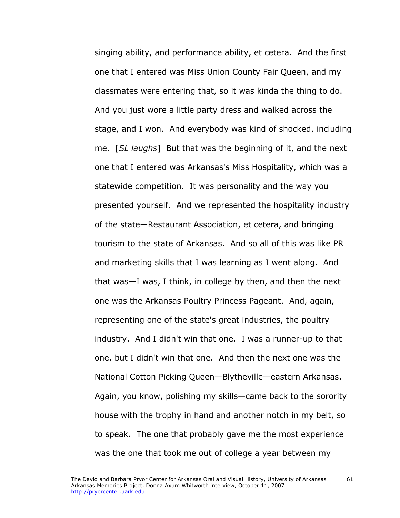singing ability, and performance ability, et cetera. And the first one that I entered was Miss Union County Fair Queen, and my classmates were entering that, so it was kinda the thing to do. And you just wore a little party dress and walked across the stage, and I won. And everybody was kind of shocked, including me. [*SL laughs*] But that was the beginning of it, and the next one that I entered was Arkansas's Miss Hospitality, which was a statewide competition. It was personality and the way you presented yourself. And we represented the hospitality industry of the state—Restaurant Association, et cetera, and bringing tourism to the state of Arkansas. And so all of this was like PR and marketing skills that I was learning as I went along. And that was—I was, I think, in college by then, and then the next one was the Arkansas Poultry Princess Pageant. And, again, representing one of the state's great industries, the poultry industry. And I didn't win that one. I was a runner-up to that one, but I didn't win that one. And then the next one was the National Cotton Picking Queen—Blytheville—eastern Arkansas. Again, you know, polishing my skills—came back to the sorority house with the trophy in hand and another notch in my belt, so to speak. The one that probably gave me the most experience was the one that took me out of college a year between my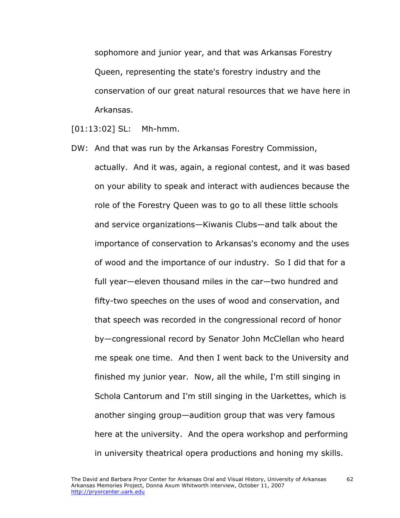sophomore and junior year, and that was Arkansas Forestry Queen, representing the state's forestry industry and the conservation of our great natural resources that we have here in Arkansas.

[01:13:02] SL: Mh-hmm.

DW: And that was run by the Arkansas Forestry Commission, actually. And it was, again, a regional contest, and it was based on your ability to speak and interact with audiences because the role of the Forestry Queen was to go to all these little schools and service organizations—Kiwanis Clubs—and talk about the importance of conservation to Arkansas's economy and the uses of wood and the importance of our industry. So I did that for a full year—eleven thousand miles in the car—two hundred and fifty-two speeches on the uses of wood and conservation, and that speech was recorded in the congressional record of honor by—congressional record by Senator John McClellan who heard me speak one time. And then I went back to the University and finished my junior year. Now, all the while, I'm still singing in Schola Cantorum and I'm still singing in the Uarkettes, which is another singing group—audition group that was very famous here at the university. And the opera workshop and performing in university theatrical opera productions and honing my skills.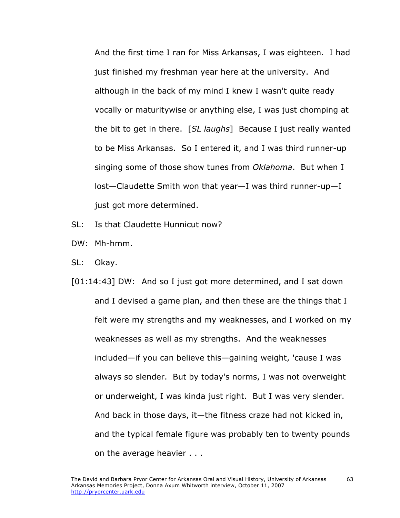And the first time I ran for Miss Arkansas, I was eighteen. I had just finished my freshman year here at the university. And although in the back of my mind I knew I wasn't quite ready vocally or maturitywise or anything else, I was just chomping at the bit to get in there. [*SL laughs*] Because I just really wanted to be Miss Arkansas. So I entered it, and I was third runner-up singing some of those show tunes from *Oklahoma*. But when I lost—Claudette Smith won that year—I was third runner-up—I just got more determined.

SL: Is that Claudette Hunnicut now?

DW: Mh-hmm.

SL: Okay.

[01:14:43] DW: And so I just got more determined, and I sat down and I devised a game plan, and then these are the things that I felt were my strengths and my weaknesses, and I worked on my weaknesses as well as my strengths. And the weaknesses included—if you can believe this—gaining weight, 'cause I was always so slender. But by today's norms, I was not overweight or underweight, I was kinda just right. But I was very slender. And back in those days, it—the fitness craze had not kicked in, and the typical female figure was probably ten to twenty pounds on the average heavier . . .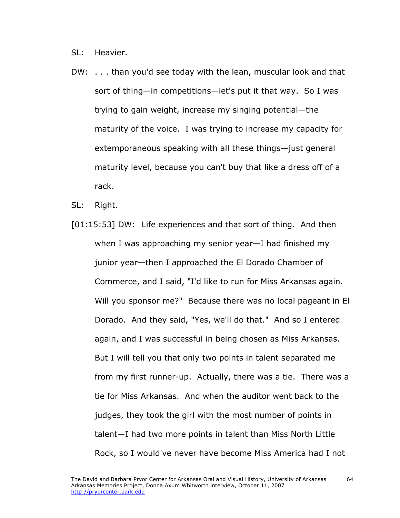SL: Heavier.

DW: . . . than you'd see today with the lean, muscular look and that sort of thing—in competitions—let's put it that way. So I was trying to gain weight, increase my singing potential—the maturity of the voice. I was trying to increase my capacity for extemporaneous speaking with all these things—just general maturity level, because you can't buy that like a dress off of a rack.

SL: Right.

[01:15:53] DW: Life experiences and that sort of thing. And then when I was approaching my senior year—I had finished my junior year—then I approached the El Dorado Chamber of Commerce, and I said, "I'd like to run for Miss Arkansas again. Will you sponsor me?" Because there was no local pageant in El Dorado. And they said, "Yes, we'll do that." And so I entered again, and I was successful in being chosen as Miss Arkansas. But I will tell you that only two points in talent separated me from my first runner-up. Actually, there was a tie. There was a tie for Miss Arkansas. And when the auditor went back to the judges, they took the girl with the most number of points in talent—I had two more points in talent than Miss North Little Rock, so I would've never have become Miss America had I not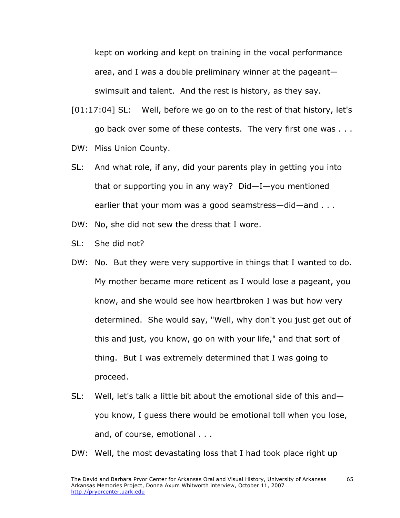kept on working and kept on training in the vocal performance area, and I was a double preliminary winner at the pageant swimsuit and talent. And the rest is history, as they say.

- [01:17:04] SL: Well, before we go on to the rest of that history, let's go back over some of these contests. The very first one was . . .
- DW: Miss Union County.
- SL: And what role, if any, did your parents play in getting you into that or supporting you in any way? Did—I—you mentioned earlier that your mom was a good seamstress—did—and . . .
- DW: No, she did not sew the dress that I wore.
- SL: She did not?
- DW: No. But they were very supportive in things that I wanted to do. My mother became more reticent as I would lose a pageant, you know, and she would see how heartbroken I was but how very determined. She would say, "Well, why don't you just get out of this and just, you know, go on with your life," and that sort of thing. But I was extremely determined that I was going to proceed.
- SL: Well, let's talk a little bit about the emotional side of this and you know, I guess there would be emotional toll when you lose, and, of course, emotional . . .
- DW: Well, the most devastating loss that I had took place right up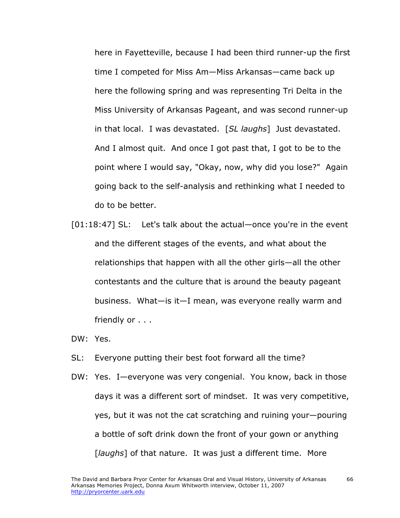here in Fayetteville, because I had been third runner-up the first time I competed for Miss Am—Miss Arkansas—came back up here the following spring and was representing Tri Delta in the Miss University of Arkansas Pageant, and was second runner-up in that local. I was devastated. [*SL laughs*] Just devastated. And I almost quit. And once I got past that, I got to be to the point where I would say, "Okay, now, why did you lose?" Again going back to the self-analysis and rethinking what I needed to do to be better.

[01:18:47] SL: Let's talk about the actual—once you're in the event and the different stages of the events, and what about the relationships that happen with all the other girls—all the other contestants and the culture that is around the beauty pageant business. What—is it—I mean, was everyone really warm and friendly or . . .

DW: Yes.

- SL: Everyone putting their best foot forward all the time?
- DW: Yes. I—everyone was very congenial. You know, back in those days it was a different sort of mindset. It was very competitive, yes, but it was not the cat scratching and ruining your—pouring a bottle of soft drink down the front of your gown or anything [*laughs*] of that nature. It was just a different time. More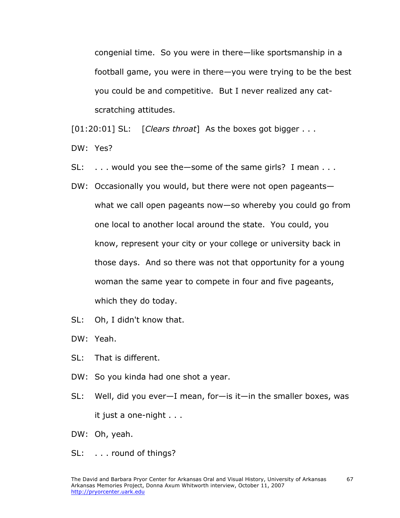congenial time. So you were in there—like sportsmanship in a football game, you were in there—you were trying to be the best you could be and competitive. But I never realized any catscratching attitudes.

[01:20:01] SL: [*Clears throat*] As the boxes got bigger . . .

- DW: Yes?
- SL: ... would you see the some of the same girls? I mean ...
- DW: Occasionally you would, but there were not open pageants what we call open pageants now—so whereby you could go from one local to another local around the state. You could, you know, represent your city or your college or university back in those days. And so there was not that opportunity for a young woman the same year to compete in four and five pageants, which they do today.
- SL: Oh, I didn't know that.

DW: Yeah.

- SL: That is different.
- DW: So you kinda had one shot a year.
- SL: Well, did you ever—I mean, for—is it—in the smaller boxes, was it just a one-night . . .
- DW: Oh, yeah.
- SL: . . . round of things?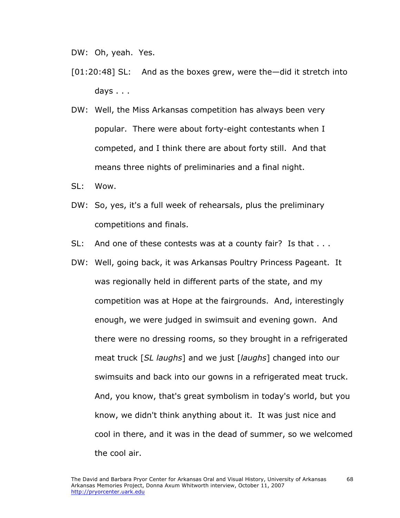DW: Oh, yeah. Yes.

- [01:20:48] SL: And as the boxes grew, were the-did it stretch into days . . .
- DW: Well, the Miss Arkansas competition has always been very popular. There were about forty-eight contestants when I competed, and I think there are about forty still. And that means three nights of preliminaries and a final night.
- SL: Wow.
- DW: So, yes, it's a full week of rehearsals, plus the preliminary competitions and finals.
- SL: And one of these contests was at a county fair? Is that . . .
- DW: Well, going back, it was Arkansas Poultry Princess Pageant. It was regionally held in different parts of the state, and my competition was at Hope at the fairgrounds. And, interestingly enough, we were judged in swimsuit and evening gown. And there were no dressing rooms, so they brought in a refrigerated meat truck [*SL laughs*] and we just [*laughs*] changed into our swimsuits and back into our gowns in a refrigerated meat truck. And, you know, that's great symbolism in today's world, but you know, we didn't think anything about it. It was just nice and cool in there, and it was in the dead of summer, so we welcomed the cool air.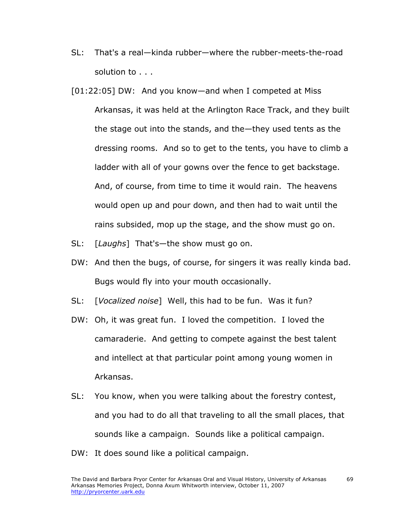SL: That's a real—kinda rubber—where the rubber-meets-the-road solution to . . .

[01:22:05] DW: And you know—and when I competed at Miss Arkansas, it was held at the Arlington Race Track, and they built the stage out into the stands, and the—they used tents as the dressing rooms. And so to get to the tents, you have to climb a ladder with all of your gowns over the fence to get backstage. And, of course, from time to time it would rain. The heavens would open up and pour down, and then had to wait until the rains subsided, mop up the stage, and the show must go on.

- SL: [*Laughs*] That's—the show must go on.
- DW: And then the bugs, of course, for singers it was really kinda bad. Bugs would fly into your mouth occasionally.
- SL: [*Vocalized noise*] Well, this had to be fun. Was it fun?
- DW: Oh, it was great fun. I loved the competition. I loved the camaraderie. And getting to compete against the best talent and intellect at that particular point among young women in Arkansas.
- SL: You know, when you were talking about the forestry contest, and you had to do all that traveling to all the small places, that sounds like a campaign. Sounds like a political campaign.
- DW: It does sound like a political campaign.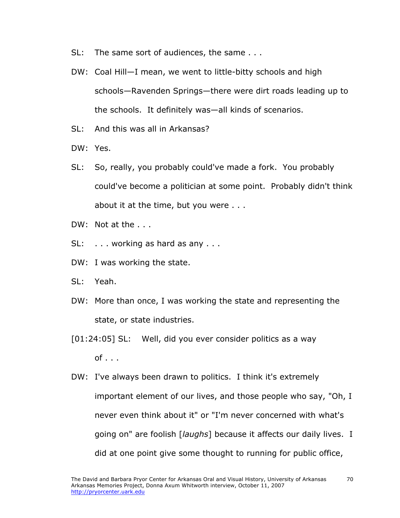- SL: The same sort of audiences, the same . . .
- DW: Coal Hill—I mean, we went to little-bitty schools and high schools—Ravenden Springs—there were dirt roads leading up to the schools. It definitely was—all kinds of scenarios.
- SL: And this was all in Arkansas?
- DW: Yes.
- SL: So, really, you probably could've made a fork. You probably could've become a politician at some point. Probably didn't think about it at the time, but you were . . .
- DW: Not at the ...
- SL: . . . working as hard as any . . .
- DW: I was working the state.
- SL: Yeah.
- DW: More than once, I was working the state and representing the state, or state industries.
- [01:24:05] SL: Well, did you ever consider politics as a way of . . .
- DW: I've always been drawn to politics. I think it's extremely important element of our lives, and those people who say, "Oh, I never even think about it" or "I'm never concerned with what's going on" are foolish [*laughs*] because it affects our daily lives. I did at one point give some thought to running for public office,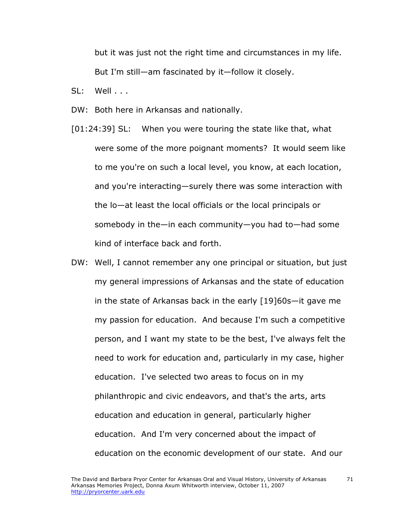but it was just not the right time and circumstances in my life. But I'm still—am fascinated by it—follow it closely.

- SL: Well . . .
- DW: Both here in Arkansas and nationally.
- [01:24:39] SL: When you were touring the state like that, what were some of the more poignant moments? It would seem like to me you're on such a local level, you know, at each location, and you're interacting—surely there was some interaction with the lo—at least the local officials or the local principals or somebody in the—in each community—you had to—had some kind of interface back and forth.
- DW: Well, I cannot remember any one principal or situation, but just my general impressions of Arkansas and the state of education in the state of Arkansas back in the early [19]60s—it gave me my passion for education. And because I'm such a competitive person, and I want my state to be the best, I've always felt the need to work for education and, particularly in my case, higher education. I've selected two areas to focus on in my philanthropic and civic endeavors, and that's the arts, arts education and education in general, particularly higher education. And I'm very concerned about the impact of education on the economic development of our state. And our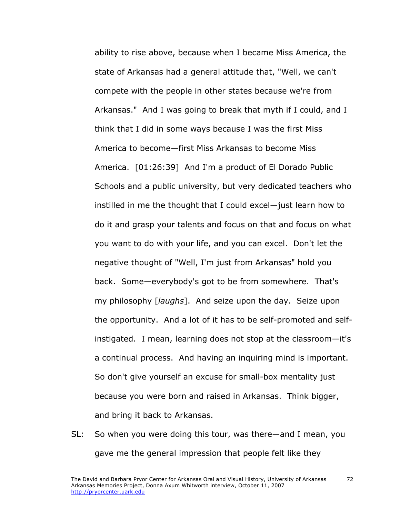ability to rise above, because when I became Miss America, the state of Arkansas had a general attitude that, "Well, we can't compete with the people in other states because we're from Arkansas." And I was going to break that myth if I could, and I think that I did in some ways because I was the first Miss America to become—first Miss Arkansas to become Miss America. [01:26:39] And I'm a product of El Dorado Public Schools and a public university, but very dedicated teachers who instilled in me the thought that I could excel—just learn how to do it and grasp your talents and focus on that and focus on what you want to do with your life, and you can excel. Don't let the negative thought of "Well, I'm just from Arkansas" hold you back. Some—everybody's got to be from somewhere. That's my philosophy [*laughs*]. And seize upon the day. Seize upon the opportunity. And a lot of it has to be self-promoted and selfinstigated. I mean, learning does not stop at the classroom—it's a continual process. And having an inquiring mind is important. So don't give yourself an excuse for small-box mentality just because you were born and raised in Arkansas. Think bigger, and bring it back to Arkansas.

SL: So when you were doing this tour, was there—and I mean, you gave me the general impression that people felt like they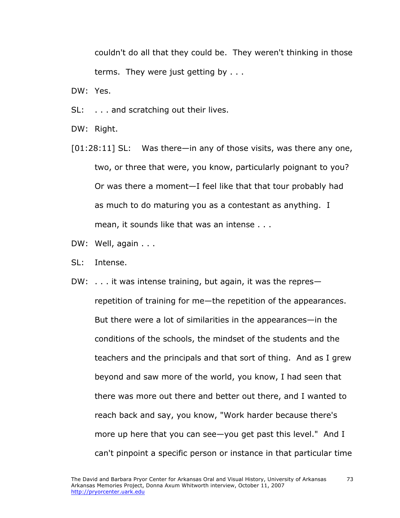couldn't do all that they could be. They weren't thinking in those terms. They were just getting by . . .

DW: Yes.

- SL: . . . . and scratching out their lives.
- DW: Right.
- [01:28:11] SL: Was there—in any of those visits, was there any one, two, or three that were, you know, particularly poignant to you? Or was there a moment—I feel like that that tour probably had as much to do maturing you as a contestant as anything. I mean, it sounds like that was an intense . . .
- DW: Well, again . . .
- SL: Intense.
- DW: . . . it was intense training, but again, it was the repres repetition of training for me—the repetition of the appearances. But there were a lot of similarities in the appearances—in the conditions of the schools, the mindset of the students and the teachers and the principals and that sort of thing. And as I grew beyond and saw more of the world, you know, I had seen that there was more out there and better out there, and I wanted to reach back and say, you know, "Work harder because there's more up here that you can see—you get past this level." And I can't pinpoint a specific person or instance in that particular time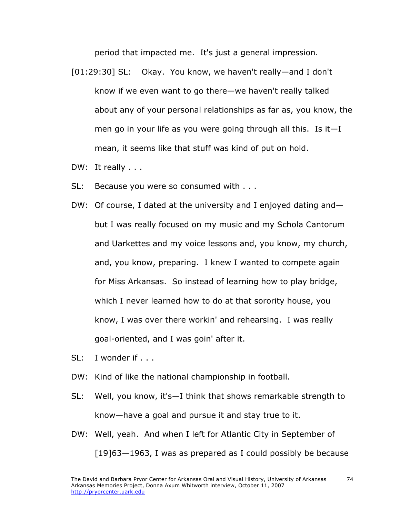period that impacted me. It's just a general impression.

- [01:29:30] SL: Okay. You know, we haven't really—and I don't know if we even want to go there—we haven't really talked about any of your personal relationships as far as, you know, the men go in your life as you were going through all this. Is it—I mean, it seems like that stuff was kind of put on hold.
- DW: It really . . .
- SL: Because you were so consumed with . . .
- DW: Of course, I dated at the university and I enjoyed dating and but I was really focused on my music and my Schola Cantorum and Uarkettes and my voice lessons and, you know, my church, and, you know, preparing. I knew I wanted to compete again for Miss Arkansas. So instead of learning how to play bridge, which I never learned how to do at that sorority house, you know, I was over there workin' and rehearsing. I was really goal-oriented, and I was goin' after it.
- SL: I wonder if . . .
- DW: Kind of like the national championship in football.
- SL: Well, you know, it's—I think that shows remarkable strength to know—have a goal and pursue it and stay true to it.
- DW: Well, yeah. And when I left for Atlantic City in September of [19]63–1963, I was as prepared as I could possibly be because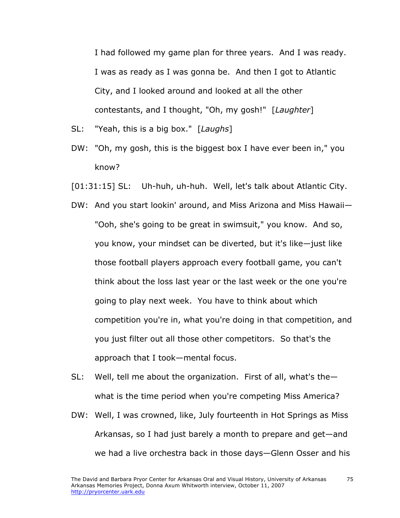I had followed my game plan for three years. And I was ready. I was as ready as I was gonna be. And then I got to Atlantic City, and I looked around and looked at all the other contestants, and I thought, "Oh, my gosh!" [*Laughter*]

- SL: "Yeah, this is a big box." [*Laughs*]
- DW: "Oh, my gosh, this is the biggest box I have ever been in," you know?
- [01:31:15] SL: Uh-huh, uh-huh. Well, let's talk about Atlantic City.
- DW: And you start lookin' around, and Miss Arizona and Miss Hawaii— "Ooh, she's going to be great in swimsuit," you know. And so, you know, your mindset can be diverted, but it's like—just like those football players approach every football game, you can't think about the loss last year or the last week or the one you're going to play next week. You have to think about which competition you're in, what you're doing in that competition, and you just filter out all those other competitors. So that's the approach that I took—mental focus.
- SL: Well, tell me about the organization. First of all, what's the what is the time period when you're competing Miss America?
- DW: Well, I was crowned, like, July fourteenth in Hot Springs as Miss Arkansas, so I had just barely a month to prepare and get—and we had a live orchestra back in those days—Glenn Osser and his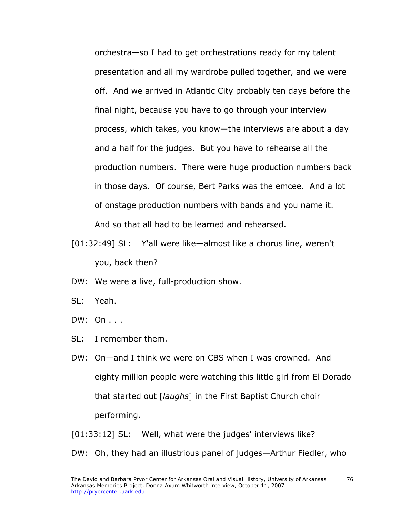orchestra—so I had to get orchestrations ready for my talent presentation and all my wardrobe pulled together, and we were off. And we arrived in Atlantic City probably ten days before the final night, because you have to go through your interview process, which takes, you know—the interviews are about a day and a half for the judges. But you have to rehearse all the production numbers. There were huge production numbers back in those days. Of course, Bert Parks was the emcee. And a lot of onstage production numbers with bands and you name it. And so that all had to be learned and rehearsed.

- [01:32:49] SL: Y'all were like—almost like a chorus line, weren't you, back then?
- DW: We were a live, full-production show.
- SL: Yeah.
- DW: On . . .
- SL: I remember them.
- DW: On—and I think we were on CBS when I was crowned. And eighty million people were watching this little girl from El Dorado that started out [*laughs*] in the First Baptist Church choir performing.
- [01:33:12] SL: Well, what were the judges' interviews like?
- DW: Oh, they had an illustrious panel of judges—Arthur Fiedler, who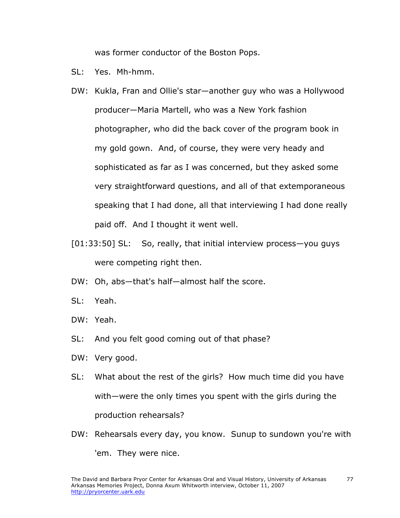was former conductor of the Boston Pops.

- SL: Yes. Mh-hmm.
- DW: Kukla, Fran and Ollie's star—another guy who was a Hollywood producer—Maria Martell, who was a New York fashion photographer, who did the back cover of the program book in my gold gown. And, of course, they were very heady and sophisticated as far as I was concerned, but they asked some very straightforward questions, and all of that extemporaneous speaking that I had done, all that interviewing I had done really paid off. And I thought it went well.
- [01:33:50] SL: So, really, that initial interview process—you guys were competing right then.
- DW: Oh, abs—that's half—almost half the score.
- SL: Yeah.
- DW: Yeah.
- SL: And you felt good coming out of that phase?
- DW: Very good.
- SL: What about the rest of the girls? How much time did you have with—were the only times you spent with the girls during the production rehearsals?
- DW: Rehearsals every day, you know. Sunup to sundown you're with 'em. They were nice.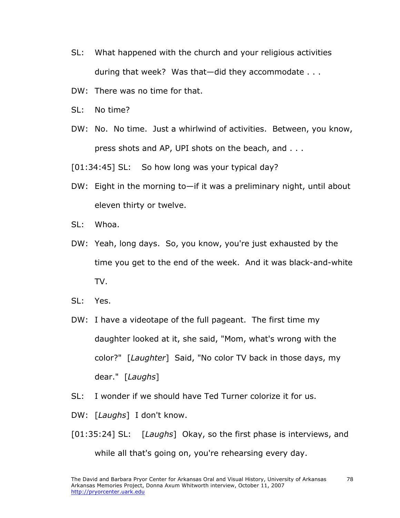- SL: What happened with the church and your religious activities during that week? Was that—did they accommodate . . .
- DW: There was no time for that.
- SL: No time?
- DW: No. No time. Just a whirlwind of activities. Between, you know, press shots and AP, UPI shots on the beach, and . . .
- [01:34:45] SL: So how long was your typical day?
- DW: Eight in the morning to—if it was a preliminary night, until about eleven thirty or twelve.
- SL: Whoa.
- DW: Yeah, long days. So, you know, you're just exhausted by the time you get to the end of the week. And it was black-and-white TV.
- SL: Yes.
- DW: I have a videotape of the full pageant. The first time my daughter looked at it, she said, "Mom, what's wrong with the color?" [*Laughter*] Said, "No color TV back in those days, my dear." [*Laughs*]
- SL: I wonder if we should have Ted Turner colorize it for us.
- DW: [*Laughs*] I don't know.
- [01:35:24] SL: [*Laughs*] Okay, so the first phase is interviews, and while all that's going on, you're rehearsing every day.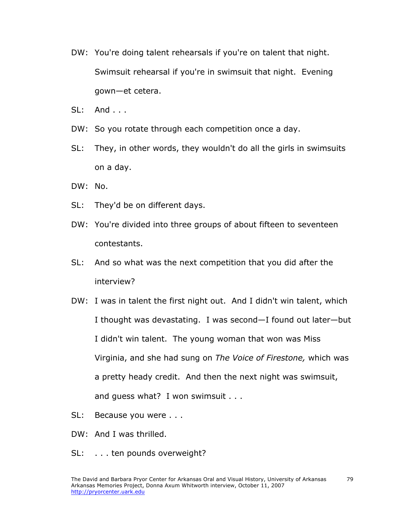- DW: You're doing talent rehearsals if you're on talent that night. Swimsuit rehearsal if you're in swimsuit that night. Evening gown—et cetera.
- SL: And . . .
- DW: So you rotate through each competition once a day.
- SL: They, in other words, they wouldn't do all the girls in swimsuits on a day.
- DW: No.
- SL: They'd be on different days.
- DW: You're divided into three groups of about fifteen to seventeen contestants.
- SL: And so what was the next competition that you did after the interview?
- DW: I was in talent the first night out. And I didn't win talent, which I thought was devastating. I was second—I found out later—but I didn't win talent. The young woman that won was Miss Virginia, and she had sung on *The Voice of Firestone,* which was a pretty heady credit. And then the next night was swimsuit, and guess what? I won swimsuit . . .
- SL: Because you were . . .
- DW: And I was thrilled.
- SL: . . . ten pounds overweight?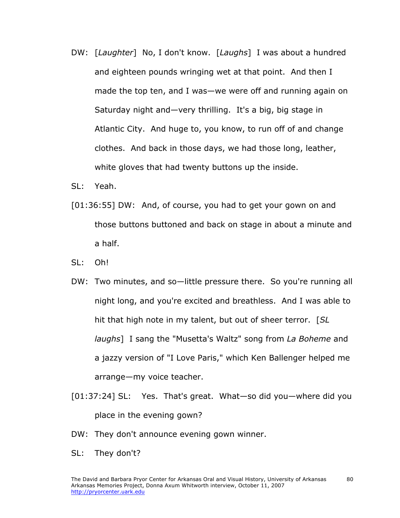- DW: [*Laughter*] No, I don't know. [*Laughs*] I was about a hundred and eighteen pounds wringing wet at that point. And then I made the top ten, and I was—we were off and running again on Saturday night and—very thrilling. It's a big, big stage in Atlantic City. And huge to, you know, to run off of and change clothes. And back in those days, we had those long, leather, white gloves that had twenty buttons up the inside.
- SL: Yeah.
- [01:36:55] DW: And, of course, you had to get your gown on and those buttons buttoned and back on stage in about a minute and a half.
- SL: Oh!
- DW: Two minutes, and so—little pressure there. So you're running all night long, and you're excited and breathless. And I was able to hit that high note in my talent, but out of sheer terror. [*SL laughs*] I sang the "Musetta's Waltz" song from *La Boheme* and a jazzy version of "I Love Paris," which Ken Ballenger helped me arrange—my voice teacher.
- [01:37:24] SL: Yes. That's great. What—so did you—where did you place in the evening gown?
- DW: They don't announce evening gown winner.
- SL: They don't?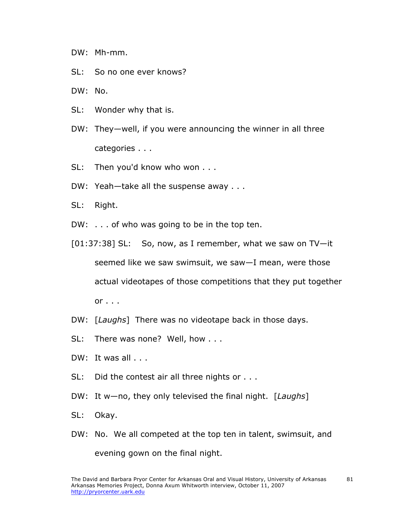- DW: Mh-mm.
- SL: So no one ever knows?

DW: No.

SL: Wonder why that is.

DW: They—well, if you were announcing the winner in all three categories . . .

- SL: Then you'd know who won . . .
- DW: Yeah-take all the suspense away . . .
- SL: Right.
- DW: . . . of who was going to be in the top ten.
- $[01:37:38]$  SL: So, now, as I remember, what we saw on TV-it seemed like we saw swimsuit, we saw—I mean, were those actual videotapes of those competitions that they put together  $or \ldots$
- DW: [*Laughs*] There was no videotape back in those days.
- SL: There was none? Well, how . . .
- DW: It was all . . .
- SL: Did the contest air all three nights or . . .
- DW: It w—no, they only televised the final night. [*Laughs*]
- SL: Okay.
- DW: No. We all competed at the top ten in talent, swimsuit, and evening gown on the final night.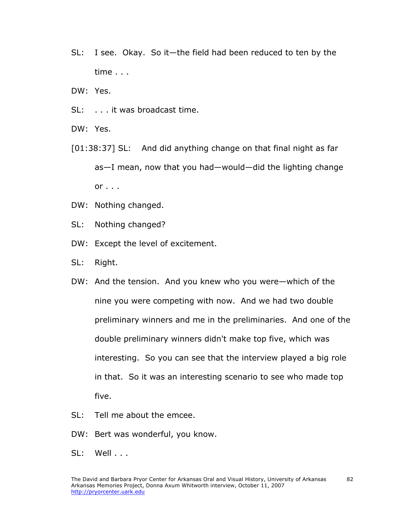- SL: I see. Okay. So it—the field had been reduced to ten by the time . . .
- DW: Yes.
- SL: . . . it was broadcast time.
- DW: Yes.
- [01:38:37] SL: And did anything change on that final night as far as—I mean, now that you had—would—did the lighting change or . . .
- DW: Nothing changed.
- SL: Nothing changed?
- DW: Except the level of excitement.
- SL: Right.
- DW: And the tension. And you knew who you were—which of the nine you were competing with now. And we had two double preliminary winners and me in the preliminaries. And one of the double preliminary winners didn't make top five, which was interesting. So you can see that the interview played a big role in that. So it was an interesting scenario to see who made top five.
- SL: Tell me about the emcee.
- DW: Bert was wonderful, you know.
- SL: Well . . .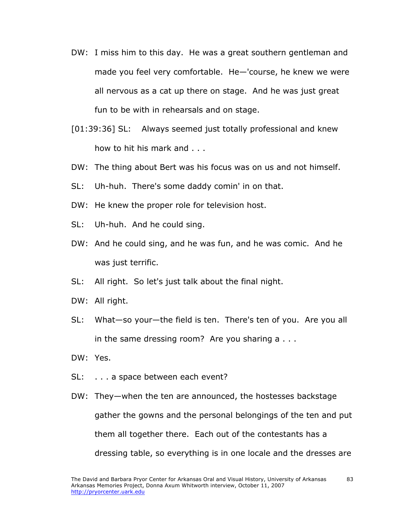- DW: I miss him to this day. He was a great southern gentleman and made you feel very comfortable. He—'course, he knew we were all nervous as a cat up there on stage. And he was just great fun to be with in rehearsals and on stage.
- [01:39:36] SL: Always seemed just totally professional and knew how to hit his mark and . . .
- DW: The thing about Bert was his focus was on us and not himself.
- SL: Uh-huh. There's some daddy comin' in on that.
- DW: He knew the proper role for television host.
- SL: Uh-huh. And he could sing.
- DW: And he could sing, and he was fun, and he was comic. And he was just terrific.
- SL: All right. So let's just talk about the final night.
- DW: All right.
- SL: What—so your—the field is ten. There's ten of you. Are you all in the same dressing room? Are you sharing a . . .
- DW: Yes.
- SL: . . . a space between each event?
- DW: They—when the ten are announced, the hostesses backstage gather the gowns and the personal belongings of the ten and put them all together there. Each out of the contestants has a dressing table, so everything is in one locale and the dresses are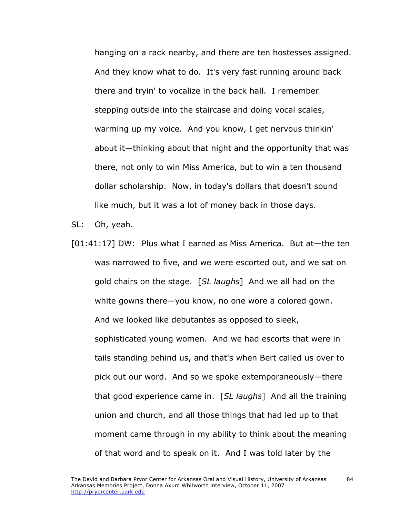hanging on a rack nearby, and there are ten hostesses assigned. And they know what to do. It's very fast running around back there and tryin' to vocalize in the back hall. I remember stepping outside into the staircase and doing vocal scales, warming up my voice. And you know, I get nervous thinkin' about it—thinking about that night and the opportunity that was there, not only to win Miss America, but to win a ten thousand dollar scholarship. Now, in today's dollars that doesn't sound like much, but it was a lot of money back in those days.

SL: Oh, yeah.

[01:41:17] DW: Plus what I earned as Miss America. But at—the ten was narrowed to five, and we were escorted out, and we sat on gold chairs on the stage. [*SL laughs*] And we all had on the white gowns there—you know, no one wore a colored gown. And we looked like debutantes as opposed to sleek, sophisticated young women. And we had escorts that were in tails standing behind us, and that's when Bert called us over to pick out our word. And so we spoke extemporaneously—there that good experience came in. [*SL laughs*] And all the training union and church, and all those things that had led up to that moment came through in my ability to think about the meaning of that word and to speak on it. And I was told later by the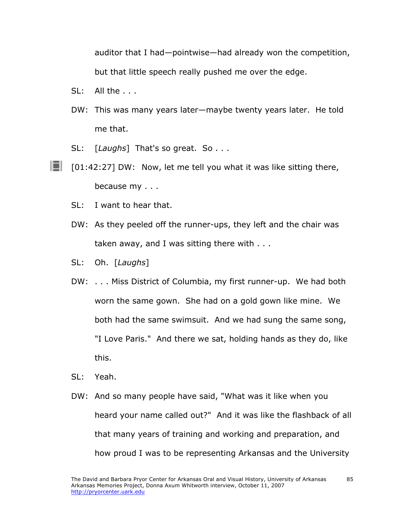auditor that I had—pointwise—had already won the competition, but that little speech really pushed me over the edge.

- SL: All the . . .
- DW: This was many years later—maybe twenty years later. He told me that.
- SL: [*Laughs*] That's so great. So . . .
- $\Box$  [01:42:27] DW: Now, let me tell you what it was like sitting there, because my . . .
	- SL: I want to hear that.
	- DW: As they peeled off the runner-ups, they left and the chair was taken away, and I was sitting there with . . .
	- SL: Oh. [*Laughs*]
	- DW: . . . Miss District of Columbia, my first runner-up. We had both worn the same gown. She had on a gold gown like mine. We both had the same swimsuit. And we had sung the same song, "I Love Paris." And there we sat, holding hands as they do, like this.
	- SL: Yeah.
	- DW: And so many people have said, "What was it like when you heard your name called out?" And it was like the flashback of all that many years of training and working and preparation, and how proud I was to be representing Arkansas and the University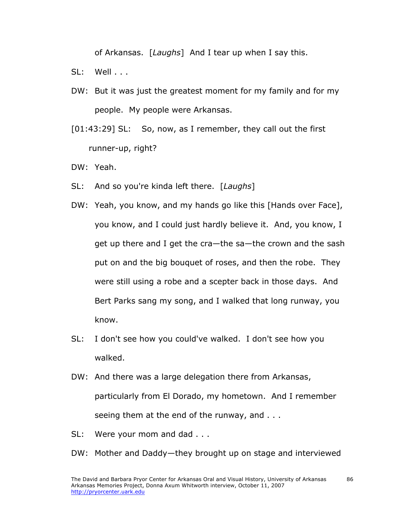of Arkansas. [*Laughs*] And I tear up when I say this.

- SL: Well . . .
- DW: But it was just the greatest moment for my family and for my people. My people were Arkansas.
- [01:43:29] SL: So, now, as I remember, they call out the first runner-up, right?
- DW: Yeah.
- SL: And so you're kinda left there. [*Laughs*]
- DW: Yeah, you know, and my hands go like this [Hands over Face], you know, and I could just hardly believe it. And, you know, I get up there and I get the cra—the sa—the crown and the sash put on and the big bouquet of roses, and then the robe. They were still using a robe and a scepter back in those days. And Bert Parks sang my song, and I walked that long runway, you know.
- SL: I don't see how you could've walked. I don't see how you walked.
- DW: And there was a large delegation there from Arkansas, particularly from El Dorado, my hometown. And I remember seeing them at the end of the runway, and . . .
- SL: Were your mom and dad . . .
- DW: Mother and Daddy—they brought up on stage and interviewed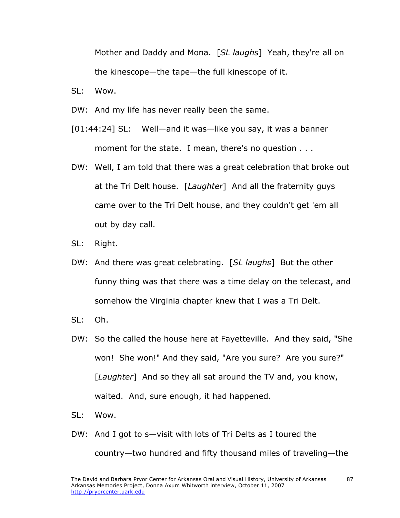Mother and Daddy and Mona. [*SL laughs*] Yeah, they're all on the kinescope—the tape—the full kinescope of it.

- SL: Wow.
- DW: And my life has never really been the same.
- [01:44:24] SL: Well—and it was—like you say, it was a banner moment for the state. I mean, there's no question . . .
- DW: Well, I am told that there was a great celebration that broke out at the Tri Delt house. [*Laughter*] And all the fraternity guys came over to the Tri Delt house, and they couldn't get 'em all out by day call.
- SL: Right.
- DW: And there was great celebrating. [*SL laughs*] But the other funny thing was that there was a time delay on the telecast, and somehow the Virginia chapter knew that I was a Tri Delt.
- SL: Oh.
- DW: So the called the house here at Fayetteville. And they said, "She won! She won!" And they said, "Are you sure? Are you sure?" [*Laughter*] And so they all sat around the TV and, you know, waited. And, sure enough, it had happened.
- SL: Wow.
- DW: And I got to s—visit with lots of Tri Delts as I toured the country—two hundred and fifty thousand miles of traveling—the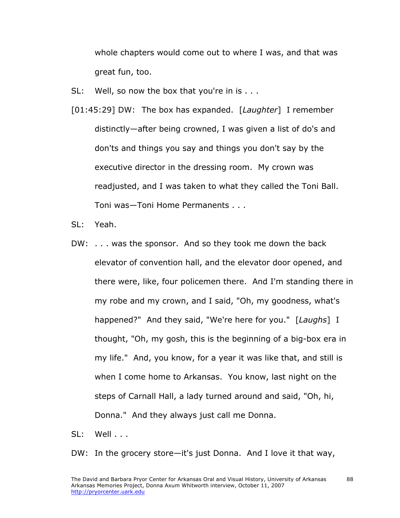whole chapters would come out to where I was, and that was great fun, too.

SL: Well, so now the box that you're in is . . .

[01:45:29] DW: The box has expanded. [*Laughter*] I remember distinctly—after being crowned, I was given a list of do's and don'ts and things you say and things you don't say by the executive director in the dressing room. My crown was readjusted, and I was taken to what they called the Toni Ball. Toni was—Toni Home Permanents . . .

SL: Yeah.

DW: . . . was the sponsor. And so they took me down the back elevator of convention hall, and the elevator door opened, and there were, like, four policemen there. And I'm standing there in my robe and my crown, and I said, "Oh, my goodness, what's happened?" And they said, "We're here for you." [*Laughs*] I thought, "Oh, my gosh, this is the beginning of a big-box era in my life." And, you know, for a year it was like that, and still is when I come home to Arkansas. You know, last night on the steps of Carnall Hall, a lady turned around and said, "Oh, hi, Donna." And they always just call me Donna.

SL: Well . . .

DW: In the grocery store—it's just Donna. And I love it that way,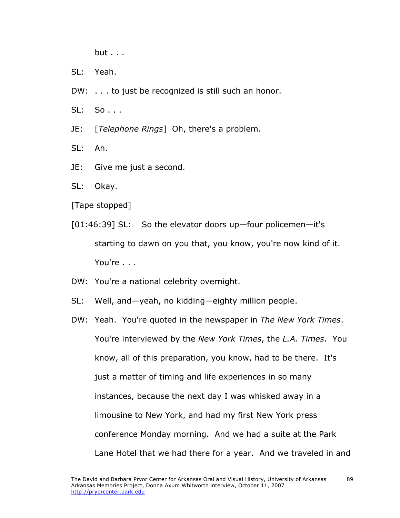but . . .

- SL: Yeah.
- DW: . . . to just be recognized is still such an honor.
- SL: So . . .
- JE: [*Telephone Rings*] Oh, there's a problem.
- SL: Ah.
- JE: Give me just a second.
- SL: Okay.
- [Tape stopped]
- [01:46:39] SL: So the elevator doors up—four policemen—it's starting to dawn on you that, you know, you're now kind of it. You're . . .
- DW: You're a national celebrity overnight.
- SL: Well, and—yeah, no kidding—eighty million people.
- DW: Yeah. You're quoted in the newspaper in *The New York Times*. You're interviewed by the *New York Times*, the *L.A. Times*. You know, all of this preparation, you know, had to be there. It's just a matter of timing and life experiences in so many instances, because the next day I was whisked away in a limousine to New York, and had my first New York press conference Monday morning. And we had a suite at the Park Lane Hotel that we had there for a year. And we traveled in and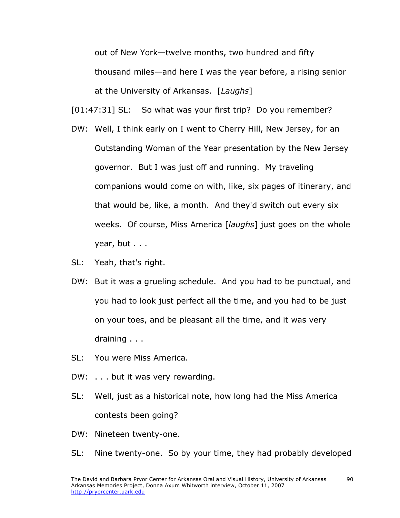out of New York—twelve months, two hundred and fifty thousand miles—and here I was the year before, a rising senior at the University of Arkansas. [*Laughs*]

[01:47:31] SL: So what was your first trip? Do you remember?

- DW: Well, I think early on I went to Cherry Hill, New Jersey, for an Outstanding Woman of the Year presentation by the New Jersey governor. But I was just off and running. My traveling companions would come on with, like, six pages of itinerary, and that would be, like, a month. And they'd switch out every six weeks. Of course, Miss America [*laughs*] just goes on the whole year, but . . .
- SL: Yeah, that's right.
- DW: But it was a grueling schedule. And you had to be punctual, and you had to look just perfect all the time, and you had to be just on your toes, and be pleasant all the time, and it was very draining . . .
- SL: You were Miss America.
- DW: . . . but it was very rewarding.
- SL: Well, just as a historical note, how long had the Miss America contests been going?
- DW: Nineteen twenty-one.
- SL: Nine twenty-one. So by your time, they had probably developed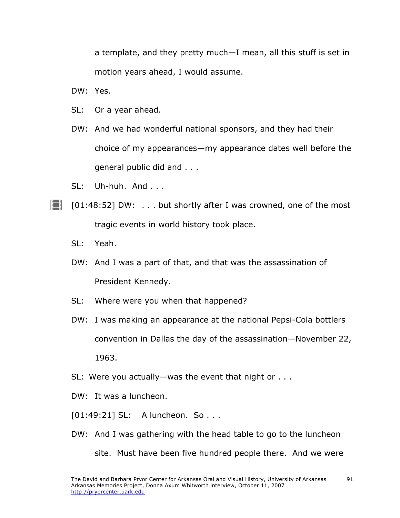a template, and they pretty much—I mean, all this stuff is set in motion years ahead, I would assume.

DW: Yes.

SL: Or a year ahead.

- DW: And we had wonderful national sponsors, and they had their choice of my appearances—my appearance dates well before the general public did and . . .
- SL: Uh-huh. And . . .
- ▐▔▌ [01:48:52] DW: . . . but shortly after I was crowned, one of the most tragic events in world history took place.
	- SL: Yeah.
	- DW: And I was a part of that, and that was the assassination of President Kennedy.
	- SL: Where were you when that happened?
	- DW: I was making an appearance at the national Pepsi-Cola bottlers convention in Dallas the day of the assassination—November 22, 1963.
	- SL: Were you actually—was the event that night or . . .
	- DW: It was a luncheon.
	- [01:49:21] SL: A luncheon. So . . .
	- DW: And I was gathering with the head table to go to the luncheon
		- site. Must have been five hundred people there. And we were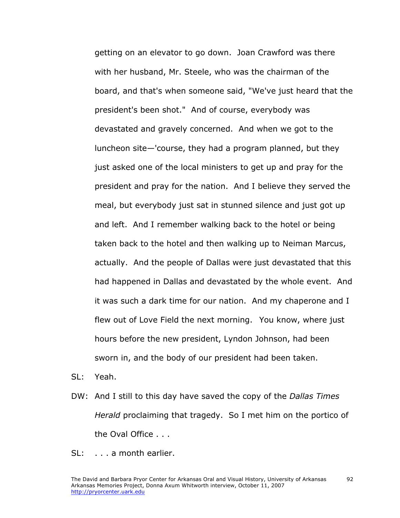getting on an elevator to go down. Joan Crawford was there with her husband, Mr. Steele, who was the chairman of the board, and that's when someone said, "We've just heard that the president's been shot." And of course, everybody was devastated and gravely concerned. And when we got to the luncheon site—'course, they had a program planned, but they just asked one of the local ministers to get up and pray for the president and pray for the nation. And I believe they served the meal, but everybody just sat in stunned silence and just got up and left. And I remember walking back to the hotel or being taken back to the hotel and then walking up to Neiman Marcus, actually. And the people of Dallas were just devastated that this had happened in Dallas and devastated by the whole event. And it was such a dark time for our nation. And my chaperone and I flew out of Love Field the next morning. You know, where just hours before the new president, Lyndon Johnson, had been sworn in, and the body of our president had been taken.

SL: Yeah.

DW: And I still to this day have saved the copy of the *Dallas Times Herald* proclaiming that tragedy. So I met him on the portico of the Oval Office . . .

SL: . . . a month earlier.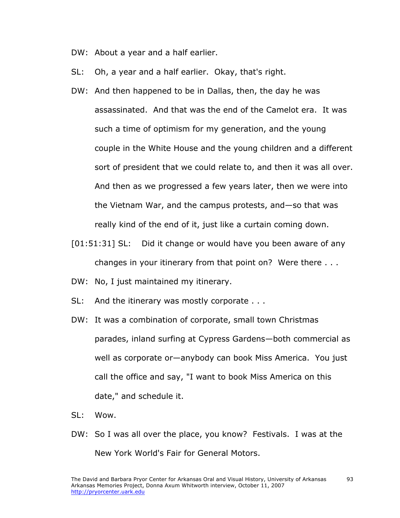- DW: About a year and a half earlier.
- SL: Oh, a year and a half earlier. Okay, that's right.
- DW: And then happened to be in Dallas, then, the day he was assassinated. And that was the end of the Camelot era. It was such a time of optimism for my generation, and the young couple in the White House and the young children and a different sort of president that we could relate to, and then it was all over. And then as we progressed a few years later, then we were into the Vietnam War, and the campus protests, and—so that was really kind of the end of it, just like a curtain coming down.
- [01:51:31] SL: Did it change or would have you been aware of any changes in your itinerary from that point on? Were there . . .
- DW: No, I just maintained my itinerary.
- SL: And the itinerary was mostly corporate . . .
- DW: It was a combination of corporate, small town Christmas parades, inland surfing at Cypress Gardens—both commercial as well as corporate or—anybody can book Miss America. You just call the office and say, "I want to book Miss America on this date," and schedule it.
- SL: Wow.
- DW: So I was all over the place, you know? Festivals. I was at the New York World's Fair for General Motors.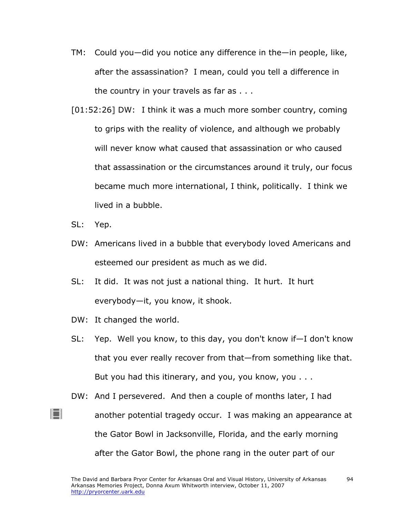- TM: Could you—did you notice any difference in the—in people, like, after the assassination? I mean, could you tell a difference in the country in your travels as far as . . .
- [01:52:26] DW: I think it was a much more somber country, coming to grips with the reality of violence, and although we probably will never know what caused that assassination or who caused that assassination or the circumstances around it truly, our focus became much more international, I think, politically. I think we lived in a bubble.
- SL: Yep.
- DW: Americans lived in a bubble that everybody loved Americans and esteemed our president as much as we did.
- SL: It did. It was not just a national thing. It hurt. It hurt everybody—it, you know, it shook.
- DW: It changed the world.
- SL: Yep. Well you know, to this day, you don't know if—I don't know that you ever really recover from that—from something like that. But you had this itinerary, and you, you know, you . . .
- DW: And I persevered. And then a couple of months later, I had ▐▁▌ another potential tragedy occur. I was making an appearance at the Gator Bowl in Jacksonville, Florida, and the early morning after the Gator Bowl, the phone rang in the outer part of our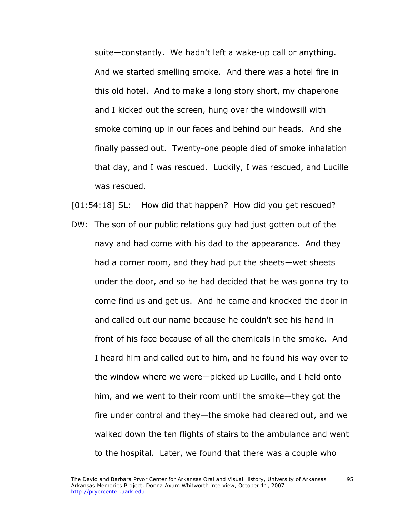suite—constantly. We hadn't left a wake-up call or anything. And we started smelling smoke. And there was a hotel fire in this old hotel. And to make a long story short, my chaperone and I kicked out the screen, hung over the windowsill with smoke coming up in our faces and behind our heads. And she finally passed out. Twenty-one people died of smoke inhalation that day, and I was rescued. Luckily, I was rescued, and Lucille was rescued.

[01:54:18] SL: How did that happen? How did you get rescued?

DW: The son of our public relations guy had just gotten out of the navy and had come with his dad to the appearance. And they had a corner room, and they had put the sheets—wet sheets under the door, and so he had decided that he was gonna try to come find us and get us. And he came and knocked the door in and called out our name because he couldn't see his hand in front of his face because of all the chemicals in the smoke. And I heard him and called out to him, and he found his way over to the window where we were—picked up Lucille, and I held onto him, and we went to their room until the smoke—they got the fire under control and they—the smoke had cleared out, and we walked down the ten flights of stairs to the ambulance and went to the hospital. Later, we found that there was a couple who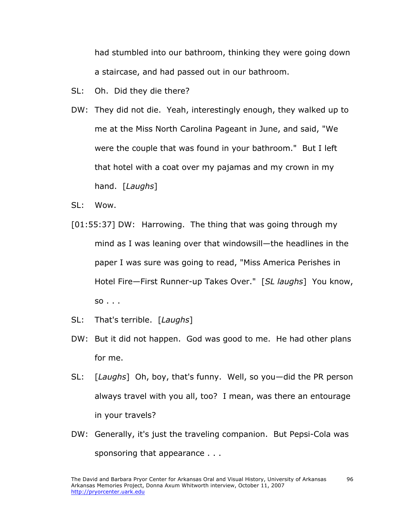had stumbled into our bathroom, thinking they were going down a staircase, and had passed out in our bathroom.

- SL: Oh. Did they die there?
- DW: They did not die. Yeah, interestingly enough, they walked up to me at the Miss North Carolina Pageant in June, and said, "We were the couple that was found in your bathroom." But I left that hotel with a coat over my pajamas and my crown in my hand. [*Laughs*]
- SL: Wow.
- [01:55:37] DW: Harrowing. The thing that was going through my mind as I was leaning over that windowsill—the headlines in the paper I was sure was going to read, "Miss America Perishes in Hotel Fire—First Runner-up Takes Over." [*SL laughs*] You know, so . . .
- SL: That's terrible. [*Laughs*]
- DW: But it did not happen. God was good to me. He had other plans for me.
- SL: [*Laughs*] Oh, boy, that's funny. Well, so you—did the PR person always travel with you all, too? I mean, was there an entourage in your travels?
- DW: Generally, it's just the traveling companion. But Pepsi-Cola was sponsoring that appearance . . .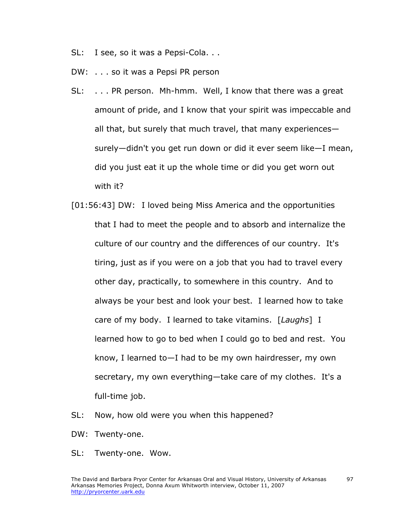- SL: I see, so it was a Pepsi-Cola. . .
- DW: . . . so it was a Pepsi PR person
- SL: . . . PR person. Mh-hmm. Well, I know that there was a great amount of pride, and I know that your spirit was impeccable and all that, but surely that much travel, that many experiences surely—didn't you get run down or did it ever seem like—I mean, did you just eat it up the whole time or did you get worn out with it?
- [01:56:43] DW: I loved being Miss America and the opportunities that I had to meet the people and to absorb and internalize the culture of our country and the differences of our country. It's tiring, just as if you were on a job that you had to travel every other day, practically, to somewhere in this country. And to always be your best and look your best. I learned how to take care of my body. I learned to take vitamins. [*Laughs*] I learned how to go to bed when I could go to bed and rest. You know, I learned to—I had to be my own hairdresser, my own secretary, my own everything—take care of my clothes. It's a full-time job.
- SL: Now, how old were you when this happened?
- DW: Twenty-one.
- SL: Twenty-one. Wow.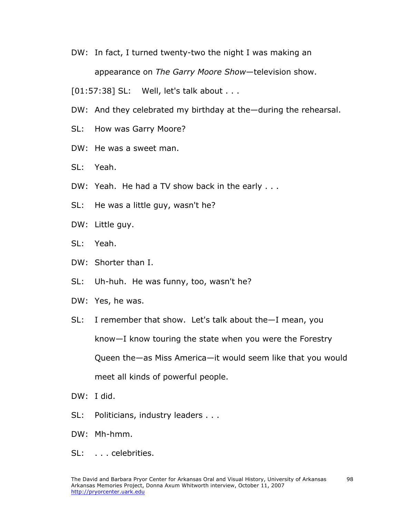DW: In fact, I turned twenty-two the night I was making an

appearance on *The Garry Moore Show*—television show.

[01:57:38] SL: Well, let's talk about . . .

- DW: And they celebrated my birthday at the—during the rehearsal.
- SL: How was Garry Moore?
- DW: He was a sweet man.
- SL: Yeah.
- DW: Yeah. He had a TV show back in the early ...
- SL: He was a little guy, wasn't he?
- DW: Little guy.
- SL: Yeah.
- DW: Shorter than I.
- SL: Uh-huh. He was funny, too, wasn't he?
- DW: Yes, he was.
- SL: I remember that show. Let's talk about the—I mean, you know—I know touring the state when you were the Forestry Queen the—as Miss America—it would seem like that you would meet all kinds of powerful people.
- DW: I did.
- SL: Politicians, industry leaders . . .
- DW: Mh-hmm.
- SL: . . . celebrities.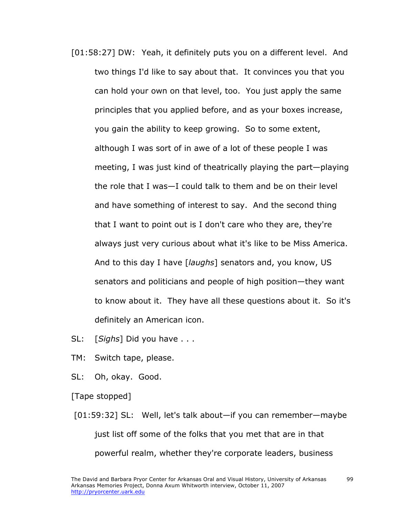- [01:58:27] DW: Yeah, it definitely puts you on a different level. And two things I'd like to say about that. It convinces you that you can hold your own on that level, too. You just apply the same principles that you applied before, and as your boxes increase, you gain the ability to keep growing. So to some extent, although I was sort of in awe of a lot of these people I was meeting, I was just kind of theatrically playing the part—playing the role that I was—I could talk to them and be on their level and have something of interest to say. And the second thing that I want to point out is I don't care who they are, they're always just very curious about what it's like to be Miss America. And to this day I have [*laughs*] senators and, you know, US senators and politicians and people of high position—they want to know about it. They have all these questions about it. So it's definitely an American icon.
- SL: [*Sighs*] Did you have . . .
- TM: Switch tape, please.
- SL: Oh, okay. Good.

[Tape stopped]

[01:59:32] SL: Well, let's talk about—if you can remember—maybe just list off some of the folks that you met that are in that powerful realm, whether they're corporate leaders, business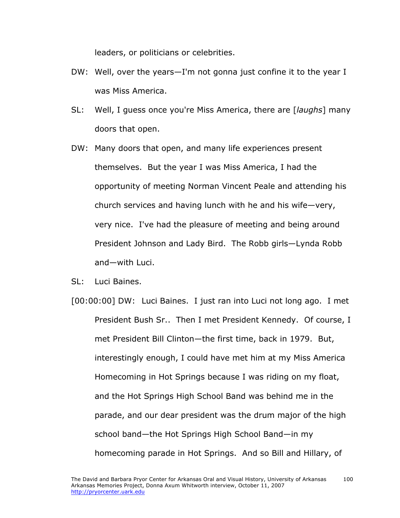leaders, or politicians or celebrities.

- DW: Well, over the years—I'm not gonna just confine it to the year I was Miss America.
- SL: Well, I guess once you're Miss America, there are [*laughs*] many doors that open.
- DW: Many doors that open, and many life experiences present themselves. But the year I was Miss America, I had the opportunity of meeting Norman Vincent Peale and attending his church services and having lunch with he and his wife—very, very nice. I've had the pleasure of meeting and being around President Johnson and Lady Bird. The Robb girls—Lynda Robb and—with Luci.
- SL: Luci Baines.
- [00:00:00] DW: Luci Baines. I just ran into Luci not long ago. I met President Bush Sr.. Then I met President Kennedy. Of course, I met President Bill Clinton—the first time, back in 1979. But, interestingly enough, I could have met him at my Miss America Homecoming in Hot Springs because I was riding on my float, and the Hot Springs High School Band was behind me in the parade, and our dear president was the drum major of the high school band—the Hot Springs High School Band—in my homecoming parade in Hot Springs. And so Bill and Hillary, of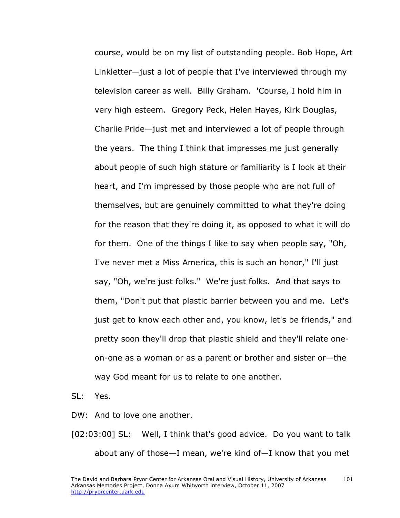course, would be on my list of outstanding people. Bob Hope, Art Linkletter—just a lot of people that I've interviewed through my television career as well. Billy Graham. 'Course, I hold him in very high esteem. Gregory Peck, Helen Hayes, Kirk Douglas, Charlie Pride—just met and interviewed a lot of people through the years. The thing I think that impresses me just generally about people of such high stature or familiarity is I look at their heart, and I'm impressed by those people who are not full of themselves, but are genuinely committed to what they're doing for the reason that they're doing it, as opposed to what it will do for them. One of the things I like to say when people say, "Oh, I've never met a Miss America, this is such an honor," I'll just say, "Oh, we're just folks." We're just folks. And that says to them, "Don't put that plastic barrier between you and me. Let's just get to know each other and, you know, let's be friends," and pretty soon they'll drop that plastic shield and they'll relate oneon-one as a woman or as a parent or brother and sister or—the way God meant for us to relate to one another.

SL: Yes.

DW: And to love one another.

[02:03:00] SL: Well, I think that's good advice. Do you want to talk about any of those—I mean, we're kind of—I know that you met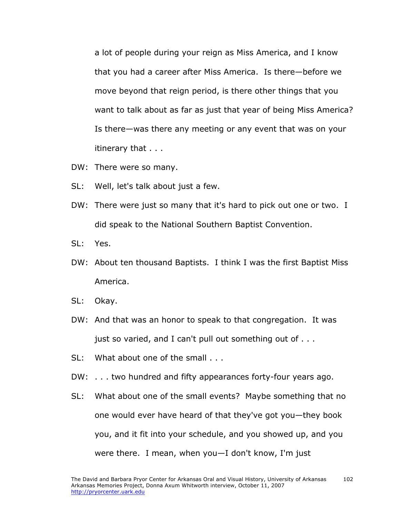a lot of people during your reign as Miss America, and I know that you had a career after Miss America. Is there—before we move beyond that reign period, is there other things that you want to talk about as far as just that year of being Miss America? Is there—was there any meeting or any event that was on your itinerary that . . .

- DW: There were so many.
- SL: Well, let's talk about just a few.
- DW: There were just so many that it's hard to pick out one or two. I did speak to the National Southern Baptist Convention.
- SL: Yes.
- DW: About ten thousand Baptists. I think I was the first Baptist Miss America.
- SL: Okay.
- DW: And that was an honor to speak to that congregation. It was just so varied, and I can't pull out something out of . . .
- SL: What about one of the small . . .
- DW: . . . two hundred and fifty appearances forty-four years ago.
- SL: What about one of the small events? Maybe something that no one would ever have heard of that they've got you—they book you, and it fit into your schedule, and you showed up, and you were there. I mean, when you—I don't know, I'm just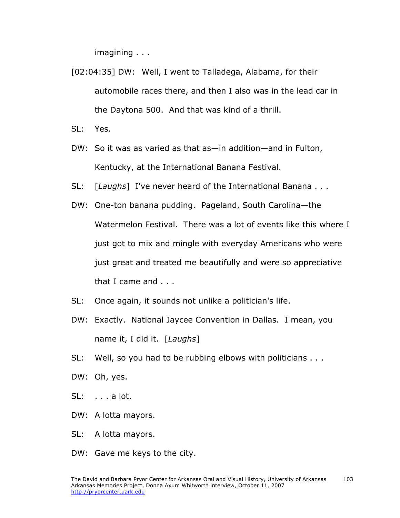imagining . . .

- [02:04:35] DW: Well, I went to Talladega, Alabama, for their automobile races there, and then I also was in the lead car in the Daytona 500. And that was kind of a thrill.
- SL: Yes.
- DW: So it was as varied as that as—in addition—and in Fulton, Kentucky, at the International Banana Festival.
- SL: [*Laughs*] I've never heard of the International Banana . . .
- DW: One-ton banana pudding. Pageland, South Carolina—the Watermelon Festival. There was a lot of events like this where I just got to mix and mingle with everyday Americans who were just great and treated me beautifully and were so appreciative that I came and . . .
- SL: Once again, it sounds not unlike a politician's life.
- DW: Exactly. National Jaycee Convention in Dallas. I mean, you name it, I did it. [*Laughs*]
- SL: Well, so you had to be rubbing elbows with politicians . . .
- DW: Oh, yes.
- SL: . . . a lot.
- DW: A lotta mayors.
- SL: A lotta mayors.
- DW: Gave me keys to the city.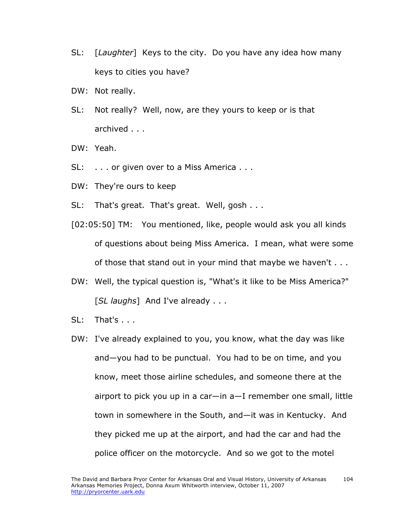- SL: [*Laughter*] Keys to the city. Do you have any idea how many keys to cities you have?
- DW: Not really.
- SL: Not really? Well, now, are they yours to keep or is that archived . . .
- DW: Yeah.
- SL: . . . or given over to a Miss America . . .
- DW: They're ours to keep
- SL: That's great. That's great. Well, gosh . . .
- [02:05:50] TM: You mentioned, like, people would ask you all kinds of questions about being Miss America. I mean, what were some of those that stand out in your mind that maybe we haven't . . .
- DW: Well, the typical question is, "What's it like to be Miss America?" [*SL laughs*] And I've already . . .
- SL: That's . . .
- DW: I've already explained to you, you know, what the day was like and—you had to be punctual. You had to be on time, and you know, meet those airline schedules, and someone there at the airport to pick you up in a car—in a—I remember one small, little town in somewhere in the South, and—it was in Kentucky. And they picked me up at the airport, and had the car and had the police officer on the motorcycle. And so we got to the motel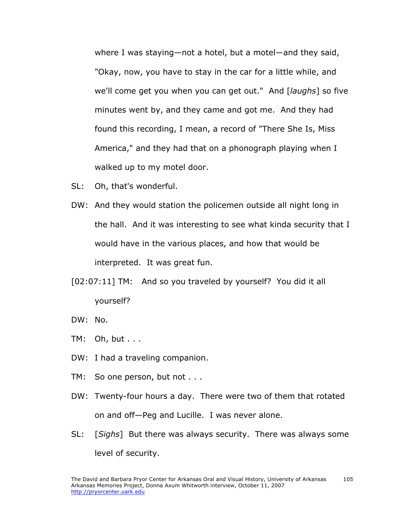where I was staying—not a hotel, but a motel—and they said, "Okay, now, you have to stay in the car for a little while, and we'll come get you when you can get out." And [*laughs*] so five minutes went by, and they came and got me. And they had found this recording, I mean, a record of "There She Is, Miss America," and they had that on a phonograph playing when I walked up to my motel door.

- SL: Oh, that's wonderful.
- DW: And they would station the policemen outside all night long in the hall. And it was interesting to see what kinda security that I would have in the various places, and how that would be interpreted. It was great fun.
- [02:07:11] TM: And so you traveled by yourself? You did it all yourself?
- DW: No.
- TM: Oh, but . . .
- DW: I had a traveling companion.
- TM: So one person, but not . . .
- DW: Twenty-four hours a day. There were two of them that rotated on and off—Peg and Lucille. I was never alone.
- SL: [*Sighs*] But there was always security. There was always some level of security.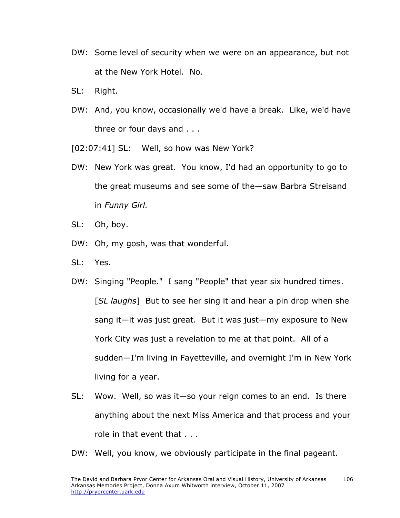- DW: Some level of security when we were on an appearance, but not at the New York Hotel. No.
- SL: Right.
- DW: And, you know, occasionally we'd have a break. Like, we'd have three or four days and . . .

[02:07:41] SL: Well, so how was New York?

- DW: New York was great. You know, I'd had an opportunity to go to the great museums and see some of the—saw Barbra Streisand in *Funny Girl.*
- SL: Oh, boy.
- DW: Oh, my gosh, was that wonderful.
- SL: Yes.
- DW: Singing "People." I sang "People" that year six hundred times. [*SL laughs*] But to see her sing it and hear a pin drop when she sang it—it was just great. But it was just—my exposure to New York City was just a revelation to me at that point. All of a sudden—I'm living in Fayetteville, and overnight I'm in New York living for a year.
- SL: Wow. Well, so was it—so your reign comes to an end. Is there anything about the next Miss America and that process and your role in that event that . . .
- DW: Well, you know, we obviously participate in the final pageant.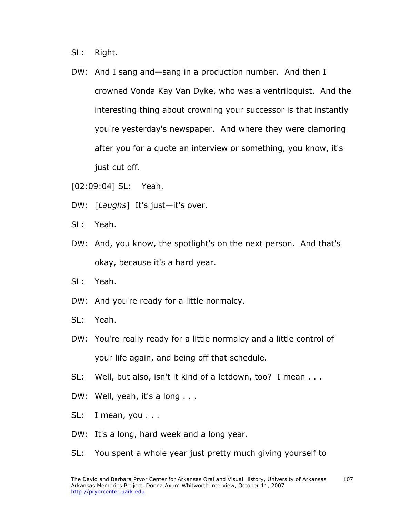SL: Right.

- DW: And I sang and—sang in a production number. And then I crowned Vonda Kay Van Dyke, who was a ventriloquist. And the interesting thing about crowning your successor is that instantly you're yesterday's newspaper. And where they were clamoring after you for a quote an interview or something, you know, it's just cut off.
- [02:09:04] SL: Yeah.
- DW: [*Laughs*] It's just—it's over.
- SL: Yeah.
- DW: And, you know, the spotlight's on the next person. And that's okay, because it's a hard year.
- SL: Yeah.
- DW: And you're ready for a little normalcy.
- SL: Yeah.
- DW: You're really ready for a little normalcy and a little control of your life again, and being off that schedule.
- SL: Well, but also, isn't it kind of a letdown, too? I mean . . .
- DW: Well, yeah, it's a long . . .
- SL: I mean, you . . .
- DW: It's a long, hard week and a long year.
- SL: You spent a whole year just pretty much giving yourself to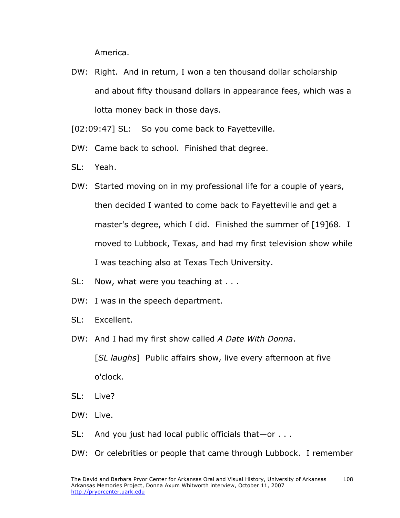America.

DW: Right. And in return, I won a ten thousand dollar scholarship and about fifty thousand dollars in appearance fees, which was a lotta money back in those days.

[02:09:47] SL: So you come back to Fayetteville.

- DW: Came back to school. Finished that degree.
- SL: Yeah.
- DW: Started moving on in my professional life for a couple of years, then decided I wanted to come back to Fayetteville and get a master's degree, which I did. Finished the summer of [19]68. I moved to Lubbock, Texas, and had my first television show while I was teaching also at Texas Tech University.
- SL: Now, what were you teaching at . . .
- DW: I was in the speech department.
- SL: Excellent.
- DW: And I had my first show called *A Date With Donna*.

[*SL laughs*] Public affairs show, live every afternoon at five o'clock.

- SL: Live?
- DW: Live.
- SL: And you just had local public officials that—or . . .
- DW: Or celebrities or people that came through Lubbock. I remember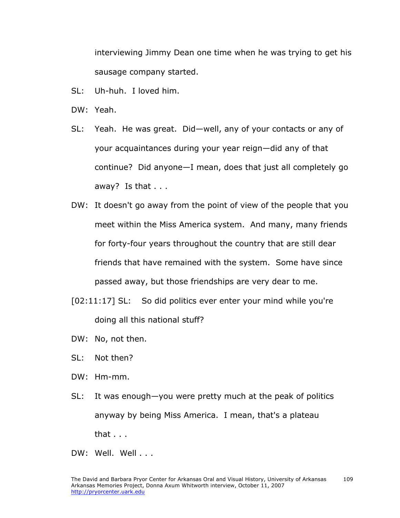interviewing Jimmy Dean one time when he was trying to get his sausage company started.

- SL: Uh-huh. I loved him.
- DW: Yeah.
- SL: Yeah. He was great. Did—well, any of your contacts or any of your acquaintances during your year reign—did any of that continue? Did anyone—I mean, does that just all completely go away? Is that . . .
- DW: It doesn't go away from the point of view of the people that you meet within the Miss America system. And many, many friends for forty-four years throughout the country that are still dear friends that have remained with the system. Some have since passed away, but those friendships are very dear to me.
- [02:11:17] SL: So did politics ever enter your mind while you're doing all this national stuff?
- DW: No, not then.
- SL: Not then?
- DW: Hm-mm.
- SL: It was enough—you were pretty much at the peak of politics anyway by being Miss America. I mean, that's a plateau that  $\ldots$
- DW: Well. Well . . .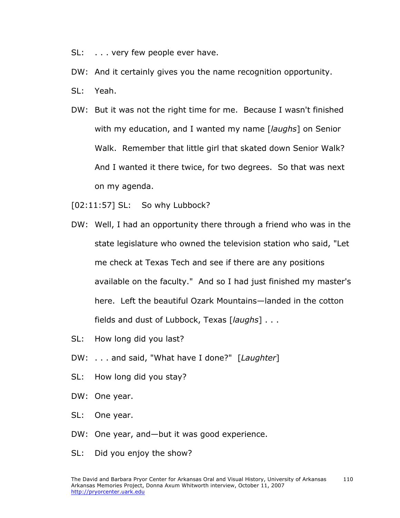- SL: . . . . very few people ever have.
- DW: And it certainly gives you the name recognition opportunity.

SL: Yeah.

DW: But it was not the right time for me. Because I wasn't finished with my education, and I wanted my name [*laughs*] on Senior Walk. Remember that little girl that skated down Senior Walk? And I wanted it there twice, for two degrees. So that was next on my agenda.

[02:11:57] SL: So why Lubbock?

- DW: Well, I had an opportunity there through a friend who was in the state legislature who owned the television station who said, "Let me check at Texas Tech and see if there are any positions available on the faculty." And so I had just finished my master's here. Left the beautiful Ozark Mountains—landed in the cotton fields and dust of Lubbock, Texas [*laughs*] . . .
- SL: How long did you last?
- DW: . . . and said, "What have I done?" [*Laughter*]
- SL: How long did you stay?
- DW: One year.
- SL: One year.
- DW: One year, and—but it was good experience.
- SL: Did you enjoy the show?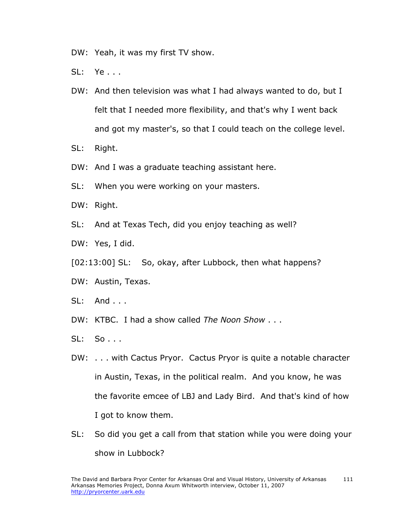- DW: Yeah, it was my first TV show.
- SL: Ye . . .
- DW: And then television was what I had always wanted to do, but I felt that I needed more flexibility, and that's why I went back and got my master's, so that I could teach on the college level.
- SL: Right.
- DW: And I was a graduate teaching assistant here.
- SL: When you were working on your masters.
- DW: Right.
- SL: And at Texas Tech, did you enjoy teaching as well?
- DW: Yes, I did.
- [02:13:00] SL: So, okay, after Lubbock, then what happens?
- DW: Austin, Texas.
- SL: And . . .
- DW: KTBC. I had a show called *The Noon Show* . . .
- SL: So . . .
- DW: . . . with Cactus Pryor. Cactus Pryor is quite a notable character in Austin, Texas, in the political realm. And you know, he was the favorite emcee of LBJ and Lady Bird. And that's kind of how I got to know them.
- SL: So did you get a call from that station while you were doing your show in Lubbock?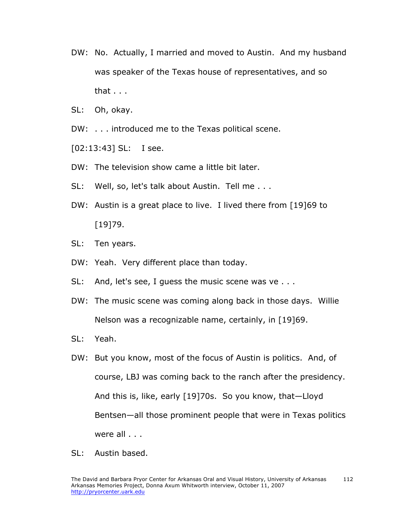- DW: No. Actually, I married and moved to Austin. And my husband was speaker of the Texas house of representatives, and so that  $\ldots$
- SL: Oh, okay.
- DW: . . . introduced me to the Texas political scene.
- [02:13:43] SL: I see.
- DW: The television show came a little bit later.
- SL: Well, so, let's talk about Austin. Tell me . . .
- DW: Austin is a great place to live. I lived there from [19]69 to [19]79.
- SL: Ten years.
- DW: Yeah. Very different place than today.
- SL: And, let's see, I quess the music scene was ve . . .
- DW: The music scene was coming along back in those days. Willie Nelson was a recognizable name, certainly, in [19]69.
- SL: Yeah.
- DW: But you know, most of the focus of Austin is politics. And, of course, LBJ was coming back to the ranch after the presidency. And this is, like, early [19]70s. So you know, that—Lloyd Bentsen—all those prominent people that were in Texas politics were all . . .
- SL: Austin based.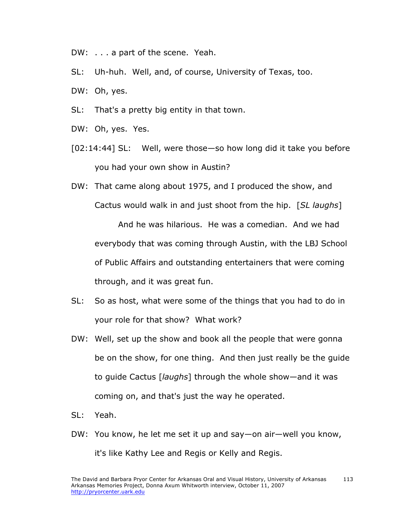DW: . . . a part of the scene. Yeah.

SL: Uh-huh. Well, and, of course, University of Texas, too.

DW: Oh, yes.

- SL: That's a pretty big entity in that town.
- DW: Oh, yes. Yes.
- [02:14:44] SL: Well, were those—so how long did it take you before you had your own show in Austin?
- DW: That came along about 1975, and I produced the show, and Cactus would walk in and just shoot from the hip. [*SL laughs*]

And he was hilarious. He was a comedian. And we had everybody that was coming through Austin, with the LBJ School of Public Affairs and outstanding entertainers that were coming through, and it was great fun.

- SL: So as host, what were some of the things that you had to do in your role for that show? What work?
- DW: Well, set up the show and book all the people that were gonna be on the show, for one thing. And then just really be the guide to guide Cactus [*laughs*] through the whole show—and it was coming on, and that's just the way he operated.
- SL: Yeah.
- DW: You know, he let me set it up and say—on air—well you know, it's like Kathy Lee and Regis or Kelly and Regis.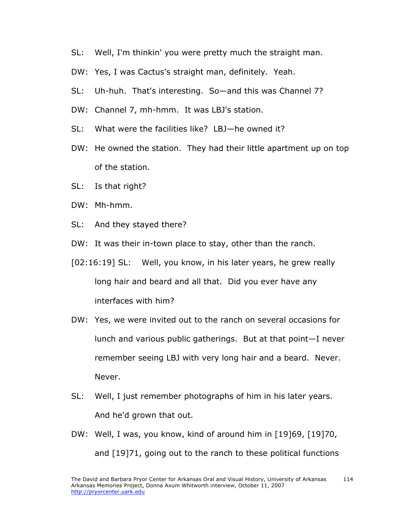- SL: Well, I'm thinkin' you were pretty much the straight man.
- DW: Yes, I was Cactus's straight man, definitely. Yeah.
- SL: Uh-huh. That's interesting. So—and this was Channel 7?
- DW: Channel 7, mh-hmm. It was LBJ's station.
- SL: What were the facilities like? LBJ—he owned it?
- DW: He owned the station. They had their little apartment up on top of the station.
- SL: Is that right?
- DW: Mh-hmm.
- SL: And they stayed there?
- DW: It was their in-town place to stay, other than the ranch.
- [02:16:19] SL: Well, you know, in his later years, he grew really long hair and beard and all that. Did you ever have any interfaces with him?
- DW: Yes, we were invited out to the ranch on several occasions for lunch and various public gatherings. But at that point—I never remember seeing LBJ with very long hair and a beard. Never. Never.
- SL: Well, I just remember photographs of him in his later years. And he'd grown that out.
- DW: Well, I was, you know, kind of around him in [19]69, [19]70, and [19]71, going out to the ranch to these political functions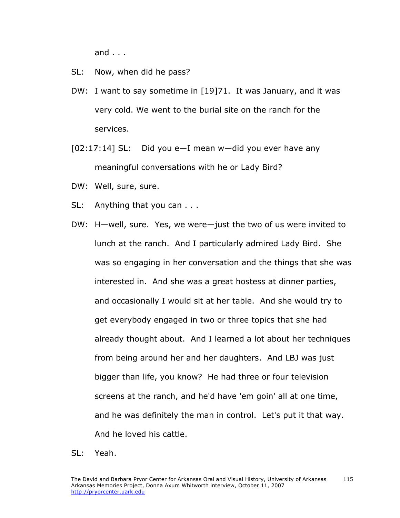and . . .

- SL: Now, when did he pass?
- DW: I want to say sometime in [19]71. It was January, and it was very cold. We went to the burial site on the ranch for the services.
- $[02:17:14]$  SL: Did you e-I mean w-did you ever have any meaningful conversations with he or Lady Bird?
- DW: Well, sure, sure.
- SL: Anything that you can . . .
- DW: H—well, sure. Yes, we were—just the two of us were invited to lunch at the ranch. And I particularly admired Lady Bird. She was so engaging in her conversation and the things that she was interested in. And she was a great hostess at dinner parties, and occasionally I would sit at her table. And she would try to get everybody engaged in two or three topics that she had already thought about. And I learned a lot about her techniques from being around her and her daughters. And LBJ was just bigger than life, you know? He had three or four television screens at the ranch, and he'd have 'em goin' all at one time, and he was definitely the man in control. Let's put it that way. And he loved his cattle.

SL: Yeah.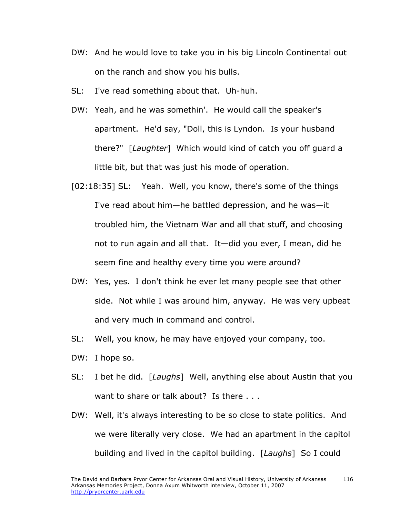- DW: And he would love to take you in his big Lincoln Continental out on the ranch and show you his bulls.
- SL: I've read something about that. Uh-huh.
- DW: Yeah, and he was somethin'. He would call the speaker's apartment. He'd say, "Doll, this is Lyndon. Is your husband there?" [*Laughter*] Which would kind of catch you off guard a little bit, but that was just his mode of operation.
- [02:18:35] SL: Yeah. Well, you know, there's some of the things I've read about him—he battled depression, and he was—it troubled him, the Vietnam War and all that stuff, and choosing not to run again and all that. It—did you ever, I mean, did he seem fine and healthy every time you were around?
- DW: Yes, yes. I don't think he ever let many people see that other side. Not while I was around him, anyway. He was very upbeat and very much in command and control.
- SL: Well, you know, he may have enjoyed your company, too.
- DW: I hope so.
- SL: I bet he did. [*Laughs*] Well, anything else about Austin that you want to share or talk about? Is there . . .
- DW: Well, it's always interesting to be so close to state politics. And we were literally very close. We had an apartment in the capitol building and lived in the capitol building. [*Laughs*] So I could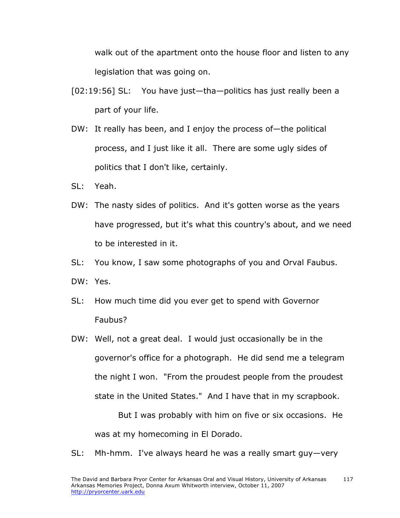walk out of the apartment onto the house floor and listen to any legislation that was going on.

- [02:19:56] SL: You have just—tha—politics has just really been a part of your life.
- DW: It really has been, and I enjoy the process of—the political process, and I just like it all. There are some ugly sides of politics that I don't like, certainly.
- SL: Yeah.
- DW: The nasty sides of politics. And it's gotten worse as the years have progressed, but it's what this country's about, and we need to be interested in it.
- SL: You know, I saw some photographs of you and Orval Faubus.

DW: Yes.

- SL: How much time did you ever get to spend with Governor Faubus?
- DW: Well, not a great deal. I would just occasionally be in the governor's office for a photograph. He did send me a telegram the night I won. "From the proudest people from the proudest state in the United States." And I have that in my scrapbook.

But I was probably with him on five or six occasions. He was at my homecoming in El Dorado.

SL: Mh-hmm. I've always heard he was a really smart guy—very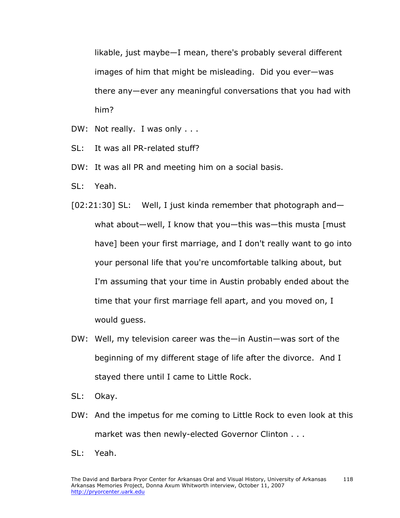likable, just maybe—I mean, there's probably several different images of him that might be misleading. Did you ever—was there any—ever any meaningful conversations that you had with him?

- DW: Not really. I was only . . .
- SL: It was all PR-related stuff?
- DW: It was all PR and meeting him on a social basis.
- SL: Yeah.
- [02:21:30] SL: Well, I just kinda remember that photograph and what about—well, I know that you—this was—this musta [must have] been your first marriage, and I don't really want to go into your personal life that you're uncomfortable talking about, but I'm assuming that your time in Austin probably ended about the time that your first marriage fell apart, and you moved on, I would guess.
- DW: Well, my television career was the—in Austin—was sort of the beginning of my different stage of life after the divorce. And I stayed there until I came to Little Rock.
- SL: Okay.
- DW: And the impetus for me coming to Little Rock to even look at this market was then newly-elected Governor Clinton . . .
- SL: Yeah.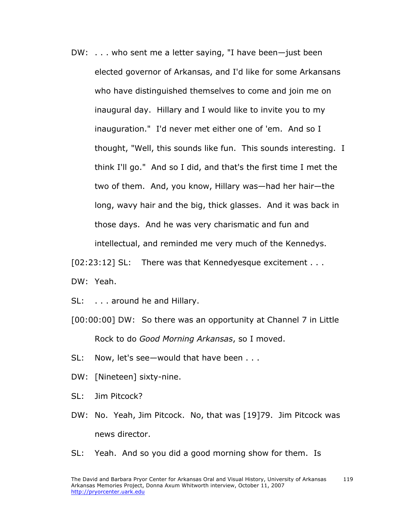DW: . . . who sent me a letter saying, "I have been—just been elected governor of Arkansas, and I'd like for some Arkansans who have distinguished themselves to come and join me on inaugural day. Hillary and I would like to invite you to my inauguration." I'd never met either one of 'em. And so I thought, "Well, this sounds like fun. This sounds interesting. I think I'll go." And so I did, and that's the first time I met the two of them. And, you know, Hillary was—had her hair—the long, wavy hair and the big, thick glasses. And it was back in those days. And he was very charismatic and fun and intellectual, and reminded me very much of the Kennedys.

[02:23:12] SL: There was that Kennedyesque excitement . . . DW: Yeah.

- SL: . . . around he and Hillary.
- [00:00:00] DW: So there was an opportunity at Channel 7 in Little Rock to do *Good Morning Arkansas*, so I moved.
- SL: Now, let's see—would that have been . . .
- DW: [Nineteen] sixty-nine.
- SL: Jim Pitcock?
- DW: No. Yeah, Jim Pitcock. No, that was [19]79. Jim Pitcock was news director.
- SL: Yeah. And so you did a good morning show for them. Is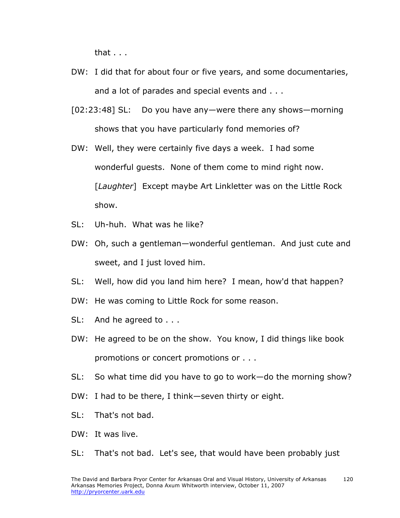that . . .

- DW: I did that for about four or five years, and some documentaries, and a lot of parades and special events and . . .
- [02:23:48] SL: Do you have any—were there any shows—morning shows that you have particularly fond memories of?
- DW: Well, they were certainly five days a week. I had some wonderful guests. None of them come to mind right now. [*Laughter*] Except maybe Art Linkletter was on the Little Rock show.
- SL: Uh-huh. What was he like?
- DW: Oh, such a gentleman—wonderful gentleman. And just cute and sweet, and I just loved him.
- SL: Well, how did you land him here? I mean, how'd that happen?
- DW: He was coming to Little Rock for some reason.
- SL: And he agreed to . . .
- DW: He agreed to be on the show. You know, I did things like book promotions or concert promotions or . . .
- SL: So what time did you have to go to work—do the morning show?
- DW: I had to be there, I think—seven thirty or eight.
- SL: That's not bad.
- DW: It was live.
- SL: That's not bad. Let's see, that would have been probably just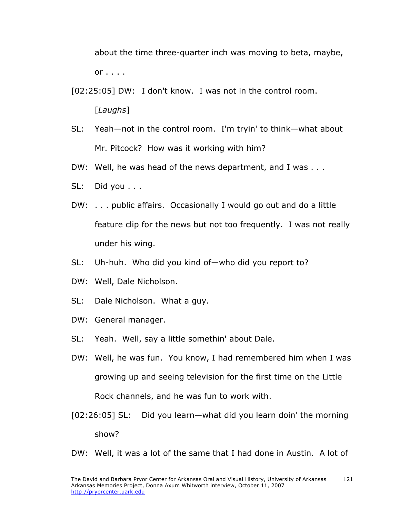about the time three-quarter inch was moving to beta, maybe,

or . . . .

[02:25:05] DW: I don't know. I was not in the control room.

[*Laughs*]

- SL: Yeah—not in the control room. I'm tryin' to think—what about Mr. Pitcock? How was it working with him?
- DW: Well, he was head of the news department, and I was . . .
- SL: Did you . . .
- DW: . . . public affairs. Occasionally I would go out and do a little feature clip for the news but not too frequently. I was not really under his wing.
- SL: Uh-huh. Who did you kind of—who did you report to?
- DW: Well, Dale Nicholson.
- SL: Dale Nicholson. What a guy.
- DW: General manager.
- SL: Yeah. Well, say a little somethin' about Dale.
- DW: Well, he was fun. You know, I had remembered him when I was growing up and seeing television for the first time on the Little Rock channels, and he was fun to work with.
- [02:26:05] SL: Did you learn—what did you learn doin' the morning show?
- DW: Well, it was a lot of the same that I had done in Austin. A lot of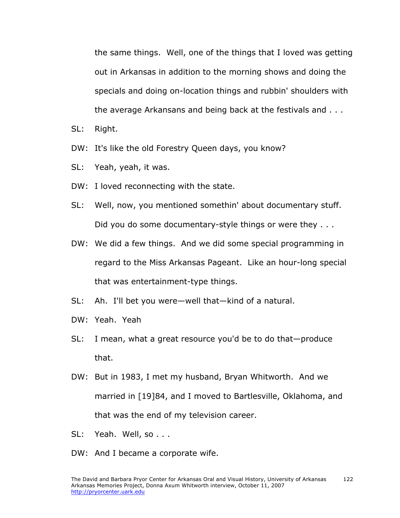the same things. Well, one of the things that I loved was getting out in Arkansas in addition to the morning shows and doing the specials and doing on-location things and rubbin' shoulders with the average Arkansans and being back at the festivals and . . .

- SL: Right.
- DW: It's like the old Forestry Queen days, you know?
- SL: Yeah, yeah, it was.
- DW: I loved reconnecting with the state.
- SL: Well, now, you mentioned somethin' about documentary stuff. Did you do some documentary-style things or were they . . .
- DW: We did a few things. And we did some special programming in regard to the Miss Arkansas Pageant. Like an hour-long special that was entertainment-type things.
- SL: Ah. I'll bet you were—well that—kind of a natural.
- DW: Yeah. Yeah
- SL: I mean, what a great resource you'd be to do that—produce that.
- DW: But in 1983, I met my husband, Bryan Whitworth. And we married in [19]84, and I moved to Bartlesville, Oklahoma, and that was the end of my television career.
- SL: Yeah. Well, so . . .
- DW: And I became a corporate wife.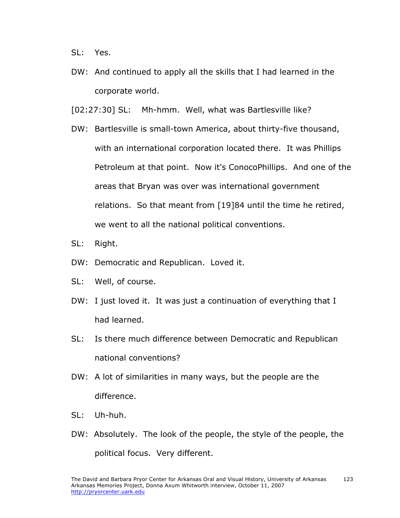SL: Yes.

DW: And continued to apply all the skills that I had learned in the corporate world.

[02:27:30] SL: Mh-hmm. Well, what was Bartlesville like?

- DW: Bartlesville is small-town America, about thirty-five thousand, with an international corporation located there. It was Phillips Petroleum at that point. Now it's ConocoPhillips. And one of the areas that Bryan was over was international government relations. So that meant from [19]84 until the time he retired, we went to all the national political conventions.
- SL: Right.
- DW: Democratic and Republican. Loved it.
- SL: Well, of course.
- DW: I just loved it. It was just a continuation of everything that I had learned.
- SL: Is there much difference between Democratic and Republican national conventions?
- DW: A lot of similarities in many ways, but the people are the difference.
- SL: Uh-huh.
- DW: Absolutely. The look of the people, the style of the people, the political focus. Very different.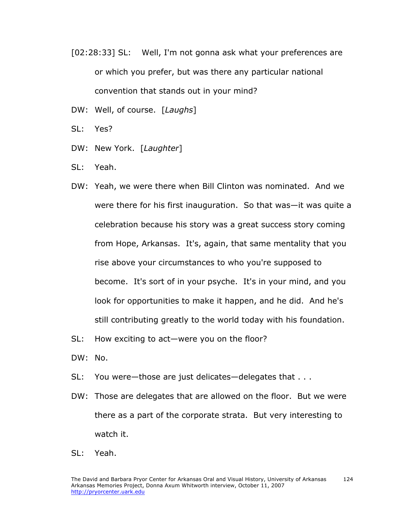- [02:28:33] SL: Well, I'm not gonna ask what your preferences are or which you prefer, but was there any particular national convention that stands out in your mind?
- DW: Well, of course. [*Laughs*]

SL: Yes?

- DW: New York. [*Laughter*]
- SL: Yeah.
- DW: Yeah, we were there when Bill Clinton was nominated. And we were there for his first inauguration. So that was—it was quite a celebration because his story was a great success story coming from Hope, Arkansas. It's, again, that same mentality that you rise above your circumstances to who you're supposed to become. It's sort of in your psyche. It's in your mind, and you look for opportunities to make it happen, and he did. And he's still contributing greatly to the world today with his foundation.
- SL: How exciting to act—were you on the floor?
- DW: No.
- SL: You were—those are just delicates—delegates that . . .
- DW: Those are delegates that are allowed on the floor. But we were there as a part of the corporate strata. But very interesting to watch it.
- SL: Yeah.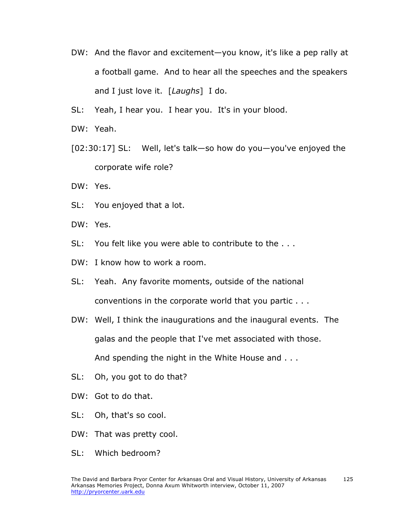- DW: And the flavor and excitement—you know, it's like a pep rally at a football game. And to hear all the speeches and the speakers and I just love it. [*Laughs*] I do.
- SL: Yeah, I hear you. I hear you. It's in your blood.
- DW: Yeah.
- [02:30:17] SL: Well, let's talk—so how do you—you've enjoyed the corporate wife role?
- DW: Yes.
- SL: You enjoyed that a lot.
- DW: Yes.
- SL: You felt like you were able to contribute to the ...
- DW: I know how to work a room.
- SL: Yeah. Any favorite moments, outside of the national conventions in the corporate world that you partic . . .
- DW: Well, I think the inaugurations and the inaugural events. The galas and the people that I've met associated with those. And spending the night in the White House and . . .
- SL: Oh, you got to do that?
- DW: Got to do that.
- SL: Oh, that's so cool.
- DW: That was pretty cool.
- SL: Which bedroom?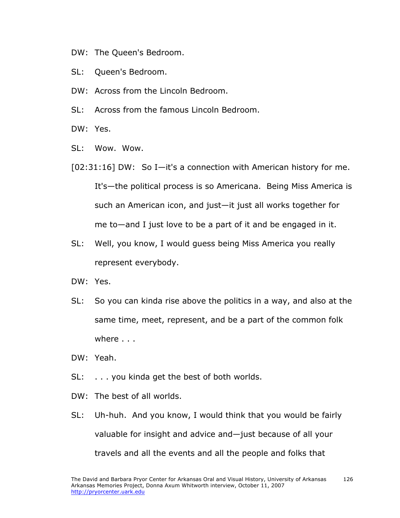DW: The Queen's Bedroom.

- SL: Queen's Bedroom.
- DW: Across from the Lincoln Bedroom.
- SL: Across from the famous Lincoln Bedroom.

DW: Yes.

- SL: Wow. Wow.
- [02:31:16] DW: So I—it's a connection with American history for me. It's—the political process is so Americana. Being Miss America is such an American icon, and just—it just all works together for me to—and I just love to be a part of it and be engaged in it.
- SL: Well, you know, I would guess being Miss America you really represent everybody.

DW: Yes.

SL: So you can kinda rise above the politics in a way, and also at the same time, meet, represent, and be a part of the common folk where . . .

DW: Yeah.

- SL: . . . you kinda get the best of both worlds.
- DW: The best of all worlds.
- SL: Uh-huh. And you know, I would think that you would be fairly valuable for insight and advice and—just because of all your travels and all the events and all the people and folks that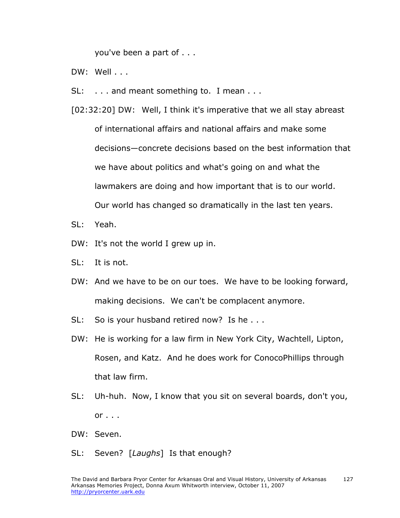you've been a part of . . .

- DW: Well . . .
- SL: . . . and meant something to. I mean . . .
- [02:32:20] DW: Well, I think it's imperative that we all stay abreast of international affairs and national affairs and make some decisions—concrete decisions based on the best information that we have about politics and what's going on and what the lawmakers are doing and how important that is to our world. Our world has changed so dramatically in the last ten years.
- SL: Yeah.
- DW: It's not the world I grew up in.
- SL: It is not.
- DW: And we have to be on our toes. We have to be looking forward, making decisions. We can't be complacent anymore.
- SL: So is your husband retired now? Is he ...
- DW: He is working for a law firm in New York City, Wachtell, Lipton, Rosen, and Katz. And he does work for ConocoPhillips through that law firm.
- SL: Uh-huh. Now, I know that you sit on several boards, don't you,  $or \ldots$
- DW: Seven.
- SL: Seven? [*Laughs*] Is that enough?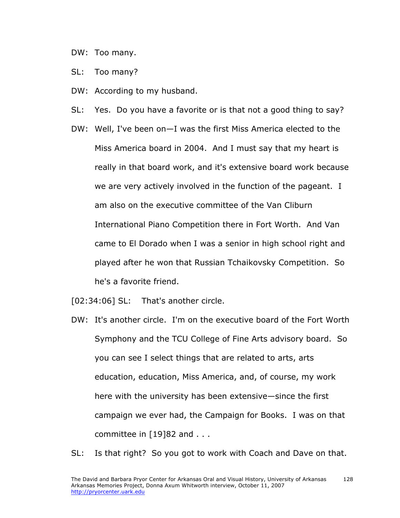## DW: Too many.

## SL: Too many?

- DW: According to my husband.
- SL: Yes. Do you have a favorite or is that not a good thing to say?
- DW: Well, I've been on—I was the first Miss America elected to the Miss America board in 2004. And I must say that my heart is really in that board work, and it's extensive board work because we are very actively involved in the function of the pageant. I am also on the executive committee of the Van Cliburn International Piano Competition there in Fort Worth. And Van came to El Dorado when I was a senior in high school right and played after he won that Russian Tchaikovsky Competition. So he's a favorite friend.

[02:34:06] SL: That's another circle.

- DW: It's another circle. I'm on the executive board of the Fort Worth Symphony and the TCU College of Fine Arts advisory board. So you can see I select things that are related to arts, arts education, education, Miss America, and, of course, my work here with the university has been extensive—since the first campaign we ever had, the Campaign for Books. I was on that committee in [19]82 and . . .
- SL: Is that right? So you got to work with Coach and Dave on that.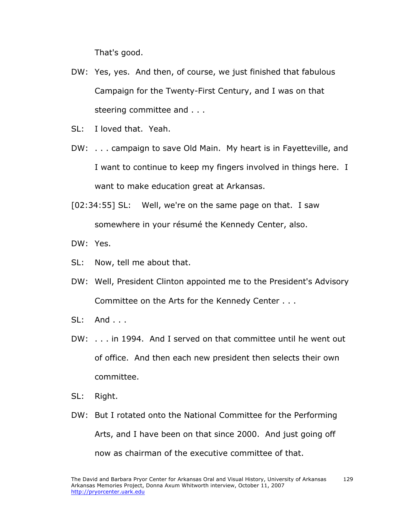That's good.

- DW: Yes, yes. And then, of course, we just finished that fabulous Campaign for the Twenty-First Century, and I was on that steering committee and . . .
- SL: I loved that. Yeah.
- DW: . . . campaign to save Old Main. My heart is in Fayetteville, and I want to continue to keep my fingers involved in things here. I want to make education great at Arkansas.
- [02:34:55] SL: Well, we're on the same page on that. I saw somewhere in your résumé the Kennedy Center, also.
- DW: Yes.
- SL: Now, tell me about that.
- DW: Well, President Clinton appointed me to the President's Advisory Committee on the Arts for the Kennedy Center . . .
- SL: And . . .
- DW: . . . in 1994. And I served on that committee until he went out of office. And then each new president then selects their own committee.
- SL: Right.
- DW: But I rotated onto the National Committee for the Performing Arts, and I have been on that since 2000. And just going off now as chairman of the executive committee of that.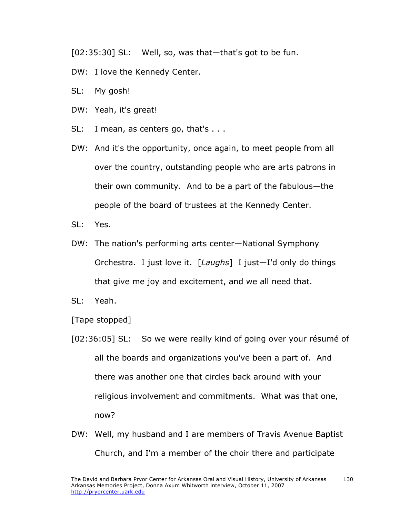[02:35:30] SL: Well, so, was that-that's got to be fun.

- DW: I love the Kennedy Center.
- SL: My gosh!
- DW: Yeah, it's great!
- SL: I mean, as centers go, that's . . .
- DW: And it's the opportunity, once again, to meet people from all over the country, outstanding people who are arts patrons in their own community. And to be a part of the fabulous—the people of the board of trustees at the Kennedy Center.
- SL: Yes.
- DW: The nation's performing arts center—National Symphony Orchestra. I just love it. [*Laughs*] I just—I'd only do things that give me joy and excitement, and we all need that.
- SL: Yeah.
- [Tape stopped]
- [02:36:05] SL: So we were really kind of going over your résumé of all the boards and organizations you've been a part of. And there was another one that circles back around with your religious involvement and commitments. What was that one, now?
- DW: Well, my husband and I are members of Travis Avenue Baptist Church, and I'm a member of the choir there and participate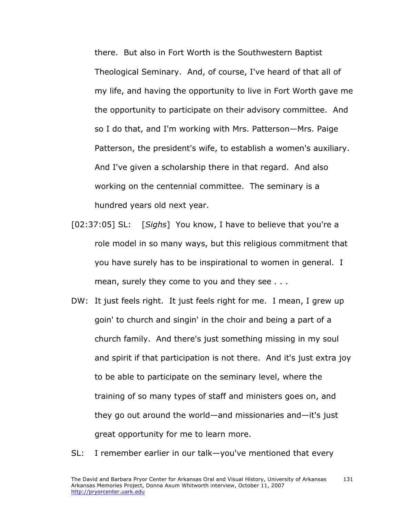there. But also in Fort Worth is the Southwestern Baptist Theological Seminary. And, of course, I've heard of that all of my life, and having the opportunity to live in Fort Worth gave me the opportunity to participate on their advisory committee. And so I do that, and I'm working with Mrs. Patterson—Mrs. Paige Patterson, the president's wife, to establish a women's auxiliary. And I've given a scholarship there in that regard. And also working on the centennial committee. The seminary is a hundred years old next year.

- [02:37:05] SL: [*Sighs*] You know, I have to believe that you're a role model in so many ways, but this religious commitment that you have surely has to be inspirational to women in general. I mean, surely they come to you and they see . . .
- DW: It just feels right. It just feels right for me. I mean, I grew up goin' to church and singin' in the choir and being a part of a church family. And there's just something missing in my soul and spirit if that participation is not there. And it's just extra joy to be able to participate on the seminary level, where the training of so many types of staff and ministers goes on, and they go out around the world—and missionaries and—it's just great opportunity for me to learn more.
- SL: I remember earlier in our talk—you've mentioned that every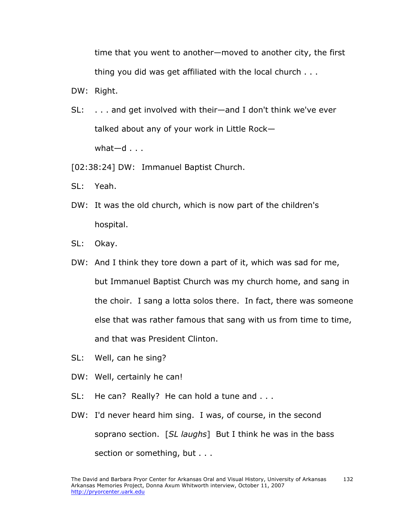time that you went to another—moved to another city, the first thing you did was get affiliated with the local church . . .

DW: Right.

- SL: . . . and get involved with their—and I don't think we've ever talked about any of your work in Little Rock what— $d \ldots$
- [02:38:24] DW: Immanuel Baptist Church.
- SL: Yeah.
- DW: It was the old church, which is now part of the children's hospital.
- SL: Okay.
- DW: And I think they tore down a part of it, which was sad for me, but Immanuel Baptist Church was my church home, and sang in the choir. I sang a lotta solos there. In fact, there was someone else that was rather famous that sang with us from time to time, and that was President Clinton.
- SL: Well, can he sing?
- DW: Well, certainly he can!
- SL: He can? Really? He can hold a tune and . . .
- DW: I'd never heard him sing. I was, of course, in the second soprano section. [*SL laughs*] But I think he was in the bass section or something, but . . .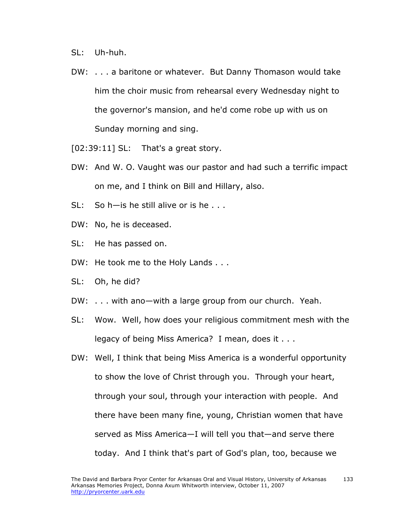SL: Uh-huh.

- DW: . . . a baritone or whatever. But Danny Thomason would take him the choir music from rehearsal every Wednesday night to the governor's mansion, and he'd come robe up with us on Sunday morning and sing.
- $[02:39:11]$  SL: That's a great story.
- DW: And W. O. Vaught was our pastor and had such a terrific impact on me, and I think on Bill and Hillary, also.
- SL: So  $h$ —is he still alive or is he  $\ldots$
- DW: No, he is deceased.
- SL: He has passed on.
- DW: He took me to the Holy Lands . . .
- SL: Oh, he did?
- DW: . . . with ano—with a large group from our church. Yeah.
- SL: Wow. Well, how does your religious commitment mesh with the legacy of being Miss America? I mean, does it . . .
- DW: Well, I think that being Miss America is a wonderful opportunity to show the love of Christ through you. Through your heart, through your soul, through your interaction with people. And there have been many fine, young, Christian women that have served as Miss America—I will tell you that—and serve there today. And I think that's part of God's plan, too, because we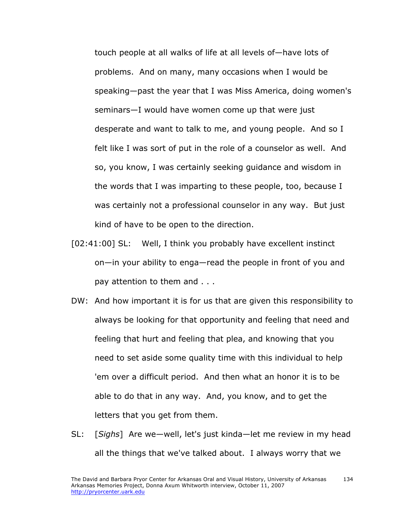touch people at all walks of life at all levels of—have lots of problems. And on many, many occasions when I would be speaking—past the year that I was Miss America, doing women's seminars—I would have women come up that were just desperate and want to talk to me, and young people. And so I felt like I was sort of put in the role of a counselor as well. And so, you know, I was certainly seeking guidance and wisdom in the words that I was imparting to these people, too, because I was certainly not a professional counselor in any way. But just kind of have to be open to the direction.

- [02:41:00] SL: Well, I think you probably have excellent instinct on—in your ability to enga—read the people in front of you and pay attention to them and . . .
- DW: And how important it is for us that are given this responsibility to always be looking for that opportunity and feeling that need and feeling that hurt and feeling that plea, and knowing that you need to set aside some quality time with this individual to help 'em over a difficult period. And then what an honor it is to be able to do that in any way. And, you know, and to get the letters that you get from them.
- SL: [*Sighs*] Are we—well, let's just kinda—let me review in my head all the things that we've talked about. I always worry that we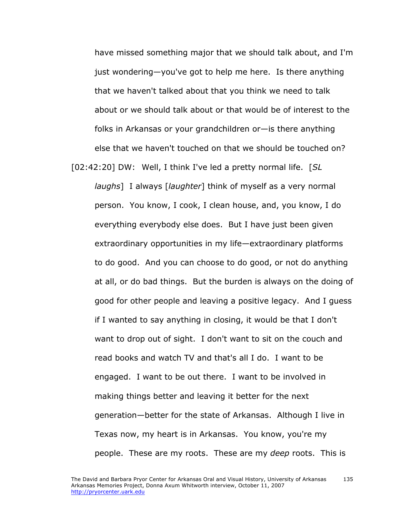have missed something major that we should talk about, and I'm just wondering—you've got to help me here. Is there anything that we haven't talked about that you think we need to talk about or we should talk about or that would be of interest to the folks in Arkansas or your grandchildren or—is there anything else that we haven't touched on that we should be touched on?

[02:42:20] DW: Well, I think I've led a pretty normal life. [*SL laughs*] I always [*laughter*] think of myself as a very normal person. You know, I cook, I clean house, and, you know, I do everything everybody else does. But I have just been given extraordinary opportunities in my life—extraordinary platforms to do good. And you can choose to do good, or not do anything at all, or do bad things. But the burden is always on the doing of good for other people and leaving a positive legacy. And I guess if I wanted to say anything in closing, it would be that I don't want to drop out of sight. I don't want to sit on the couch and read books and watch TV and that's all I do. I want to be engaged. I want to be out there. I want to be involved in making things better and leaving it better for the next generation—better for the state of Arkansas. Although I live in Texas now, my heart is in Arkansas. You know, you're my people. These are my roots. These are my *deep* roots. This is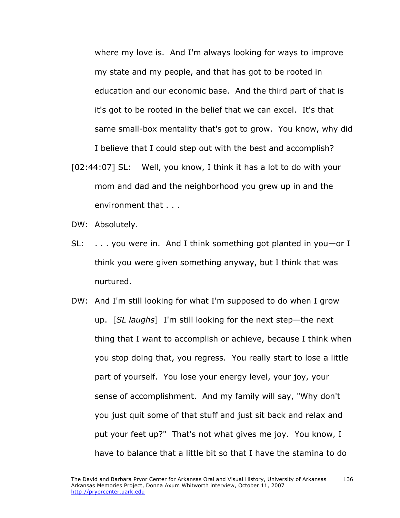where my love is. And I'm always looking for ways to improve my state and my people, and that has got to be rooted in education and our economic base. And the third part of that is it's got to be rooted in the belief that we can excel. It's that same small-box mentality that's got to grow. You know, why did I believe that I could step out with the best and accomplish?

- [02:44:07] SL: Well, you know, I think it has a lot to do with your mom and dad and the neighborhood you grew up in and the environment that . . .
- DW: Absolutely.
- SL: . . . you were in. And I think something got planted in you—or I think you were given something anyway, but I think that was nurtured.
- DW: And I'm still looking for what I'm supposed to do when I grow up. [*SL laughs*] I'm still looking for the next step—the next thing that I want to accomplish or achieve, because I think when you stop doing that, you regress. You really start to lose a little part of yourself. You lose your energy level, your joy, your sense of accomplishment. And my family will say, "Why don't you just quit some of that stuff and just sit back and relax and put your feet up?" That's not what gives me joy. You know, I have to balance that a little bit so that I have the stamina to do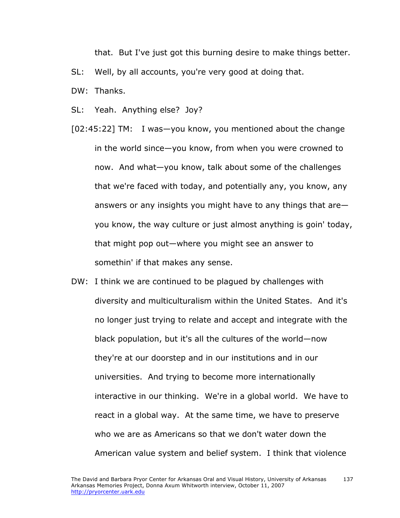that. But I've just got this burning desire to make things better.

- SL: Well, by all accounts, you're very good at doing that.
- DW: Thanks.
- SL: Yeah. Anything else? Joy?
- [02:45:22] TM: I was—you know, you mentioned about the change in the world since—you know, from when you were crowned to now. And what—you know, talk about some of the challenges that we're faced with today, and potentially any, you know, any answers or any insights you might have to any things that are you know, the way culture or just almost anything is goin' today, that might pop out—where you might see an answer to somethin' if that makes any sense.
- DW: I think we are continued to be plagued by challenges with diversity and multiculturalism within the United States. And it's no longer just trying to relate and accept and integrate with the black population, but it's all the cultures of the world—now they're at our doorstep and in our institutions and in our universities. And trying to become more internationally interactive in our thinking. We're in a global world. We have to react in a global way. At the same time, we have to preserve who we are as Americans so that we don't water down the American value system and belief system. I think that violence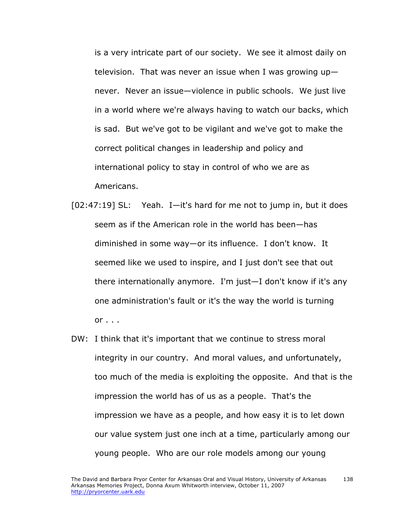is a very intricate part of our society. We see it almost daily on television. That was never an issue when I was growing  $up$ never. Never an issue—violence in public schools. We just live in a world where we're always having to watch our backs, which is sad. But we've got to be vigilant and we've got to make the correct political changes in leadership and policy and international policy to stay in control of who we are as Americans.

- [02:47:19] SL: Yeah. I—it's hard for me not to jump in, but it does seem as if the American role in the world has been—has diminished in some way—or its influence. I don't know. It seemed like we used to inspire, and I just don't see that out there internationally anymore. I'm just—I don't know if it's any one administration's fault or it's the way the world is turning  $or \ldots$
- DW: I think that it's important that we continue to stress moral integrity in our country. And moral values, and unfortunately, too much of the media is exploiting the opposite. And that is the impression the world has of us as a people. That's the impression we have as a people, and how easy it is to let down our value system just one inch at a time, particularly among our young people. Who are our role models among our young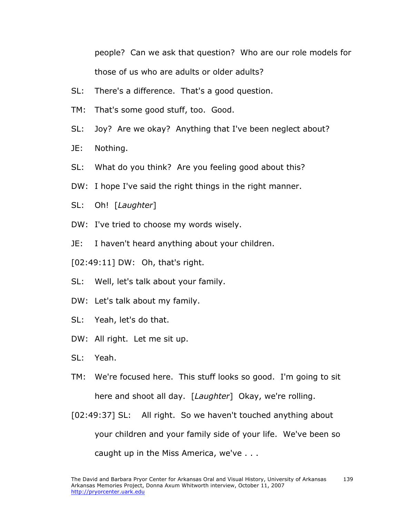people? Can we ask that question? Who are our role models for those of us who are adults or older adults?

- SL: There's a difference. That's a good question.
- TM: That's some good stuff, too. Good.
- SL: Joy? Are we okay? Anything that I've been neglect about?
- JE: Nothing.
- SL: What do you think? Are you feeling good about this?
- DW: I hope I've said the right things in the right manner.
- SL: Oh! [*Laughter*]
- DW: I've tried to choose my words wisely.
- JE: I haven't heard anything about your children.
- [02:49:11] DW: Oh, that's right.
- SL: Well, let's talk about your family.
- DW: Let's talk about my family.
- SL: Yeah, let's do that.
- DW: All right. Let me sit up.
- SL: Yeah.
- TM: We're focused here. This stuff looks so good. I'm going to sit here and shoot all day. [*Laughter*] Okay, we're rolling.
- [02:49:37] SL: All right. So we haven't touched anything about your children and your family side of your life. We've been so caught up in the Miss America, we've . . .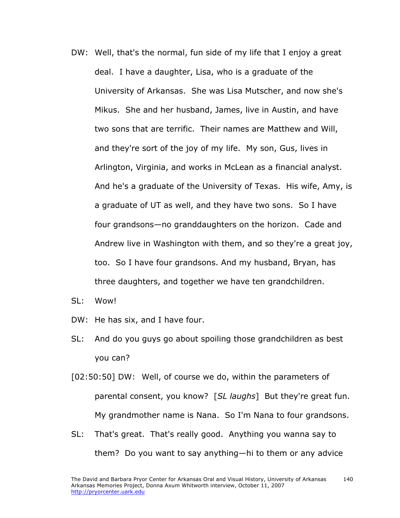DW: Well, that's the normal, fun side of my life that I enjoy a great deal. I have a daughter, Lisa, who is a graduate of the University of Arkansas. She was Lisa Mutscher, and now she's Mikus. She and her husband, James, live in Austin, and have two sons that are terrific. Their names are Matthew and Will, and they're sort of the joy of my life. My son, Gus, lives in Arlington, Virginia, and works in McLean as a financial analyst. And he's a graduate of the University of Texas. His wife, Amy, is a graduate of UT as well, and they have two sons. So I have four grandsons—no granddaughters on the horizon. Cade and Andrew live in Washington with them, and so they're a great joy, too. So I have four grandsons. And my husband, Bryan, has three daughters, and together we have ten grandchildren.

SL: Wow!

DW: He has six, and I have four.

- SL: And do you guys go about spoiling those grandchildren as best you can?
- [02:50:50] DW: Well, of course we do, within the parameters of parental consent, you know? [*SL laughs*] But they're great fun. My grandmother name is Nana. So I'm Nana to four grandsons.
- SL: That's great. That's really good. Anything you wanna say to them? Do you want to say anything—hi to them or any advice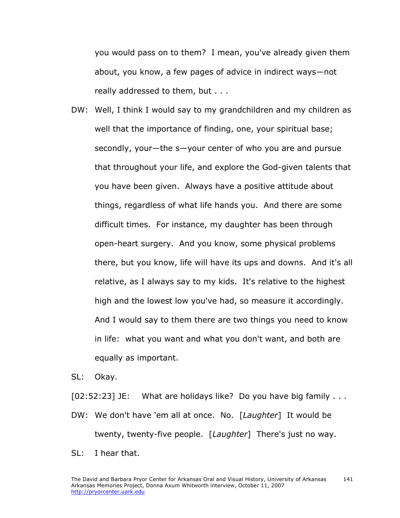you would pass on to them? I mean, you've already given them about, you know, a few pages of advice in indirect ways—not really addressed to them, but . . .

DW: Well, I think I would say to my grandchildren and my children as well that the importance of finding, one, your spiritual base; secondly, your—the s—your center of who you are and pursue that throughout your life, and explore the God-given talents that you have been given. Always have a positive attitude about things, regardless of what life hands you. And there are some difficult times. For instance, my daughter has been through open-heart surgery. And you know, some physical problems there, but you know, life will have its ups and downs. And it's all relative, as I always say to my kids. It's relative to the highest high and the lowest low you've had, so measure it accordingly. And I would say to them there are two things you need to know in life: what you want and what you don't want, and both are equally as important.

SL: Okay.

[02:52:23] JE: What are holidays like? Do you have big family . . . DW: We don't have 'em all at once. No. [*Laughter*] It would be

twenty, twenty-five people. [*Laughter*] There's just no way.

SL: I hear that.